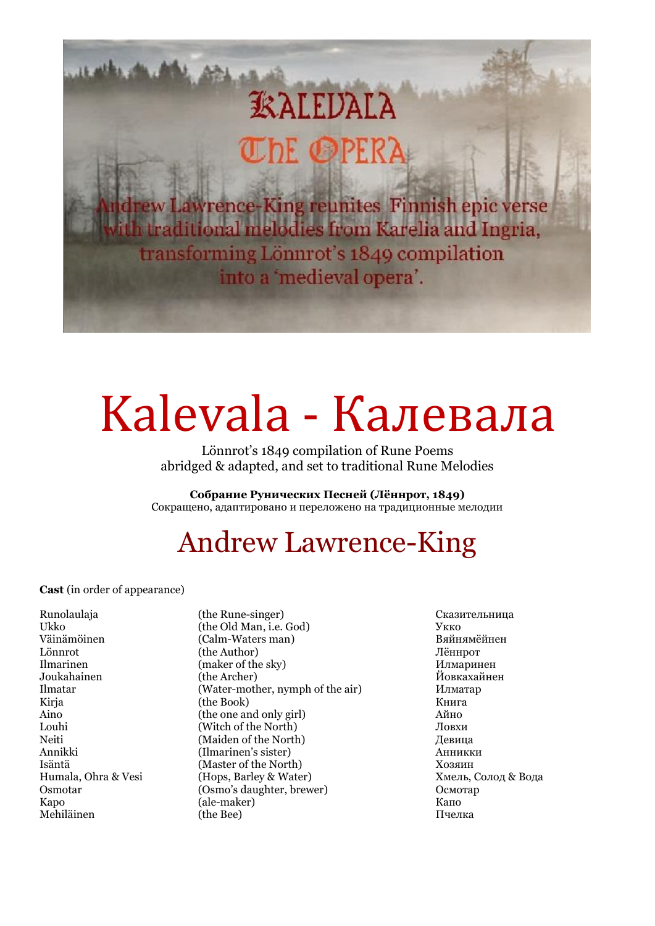# **EXALEUALA** DE OPERA

Lawrence-King reunites Finnish epic verse raditional melodies from Karelia and Ingria, transforming Lönnrot's 1849 compilation into a 'medieval opera'.

# Kalevala - Калевала

Lönnrot's 1849 compilation of Rune Poems abridged & adapted, and set to traditional Rune Melodies

**Собрание Рунических Песней (Лённрот, 1849)** Сокращено, адаптировано и переложено на традиционные мелодии

## Andrew Lawrence-King

**Cast** (in order of appearance)

Väinämöinen (Calm-Waters man)

Runolaulaja (the Rune-singer) Сказительница Ukko (the Old Man, i.e. God) Укко Lönnrot (the Author) Лённрот Ilmarinen (maker of the sky) Илмаринен Joukahainen (the Archer) Йовкахайнен (Water-mother, nymph of the air) Илматар Kirja **(the Book)** (the Book) Книга Aino (the one and only girl) Айно Louhi (Witch of the North) Ловхи<br>
Meiti (Maiden of the North) Левин (Maiden of the North) Девица Annikki (Ilmarinen's sister) Анникки Isäntä (Master of the North) Хозяин Humala, Ohra & Vesi (Hops, Barley & Water) Хмель, Солод & Вода Osmotar (Osmo's daughter, brewer) Осмотар Kapo (ale-maker) Капо Mehiläinen (the Bee) Пчелка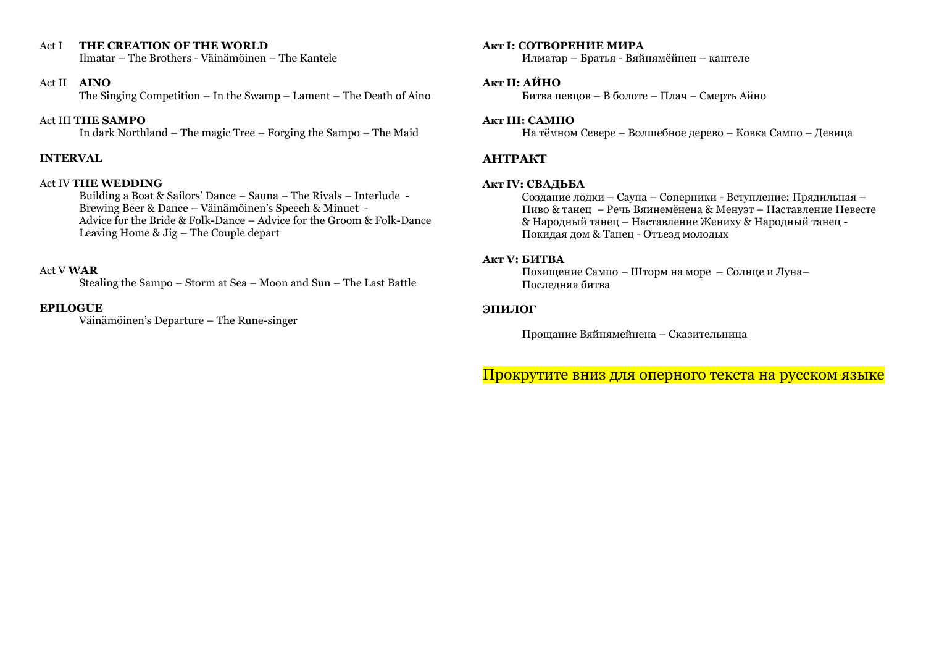## Act I **THE CREATION OF THE WORLD**

Ilmatar – The Brothers - Väinämöinen – The Kantele

## Act II **AINO**

The Singing Competition – In the Swamp – Lament – The Death of Aino

## Act III **THE SAMPO**

In dark Northland – The magic Tree – Forging the Sampo – The Maid

## **INTERVAL**

## Act IV **THE WEDDING**

Building a Boat & Sailors' Dance – Sauna – The Rivals – Interlude - Brewing Beer & Dance – Väinämöinen's Speech & Minuet - Advice for the Bride & Folk-Dance – Advice for the Groom & Folk-Dance Leaving Home & Jig – The Couple depart

## Act V **WAR**

Stealing the Sampo – Storm at Sea – Moon and Sun – The Last Battle

## **EPILOGUE**

Väinämöinen's Departure – The Rune-singer

## **Акт I: СОТВОРЕНИЕ МИРА**

Илматар – Братья - Вяйнямёйнен – кантеле

## **Акт II: АЙНО**

Битва певцов – В болоте – Плач – Смерть Айно

## **Акт III: САМПО**

На тёмном Севере – Волшебное дерево – Ковка Сампо – Девица

## **АНТРАКТ**

## **Акт IV: СВАДЬБА**

Создание лодки – Сауна – Соперники - Вступление: Прядильная – Пиво & танец – Речь Вяинемёнена & Менуэт – Наставление Невесте & Народный танец – Наставление Жениху & Народный танец - Покидая дом & Танец - Отъезд молодых

## **Акт V: БИТВА**

Похищение Сампо – Шторм на море – Солнце и Луна– Последняя битва

## **ЭПИЛОГ**

Прощание Вяйнямейнена – Сказительница

Прокрутите вниз для оперного текста на русском языке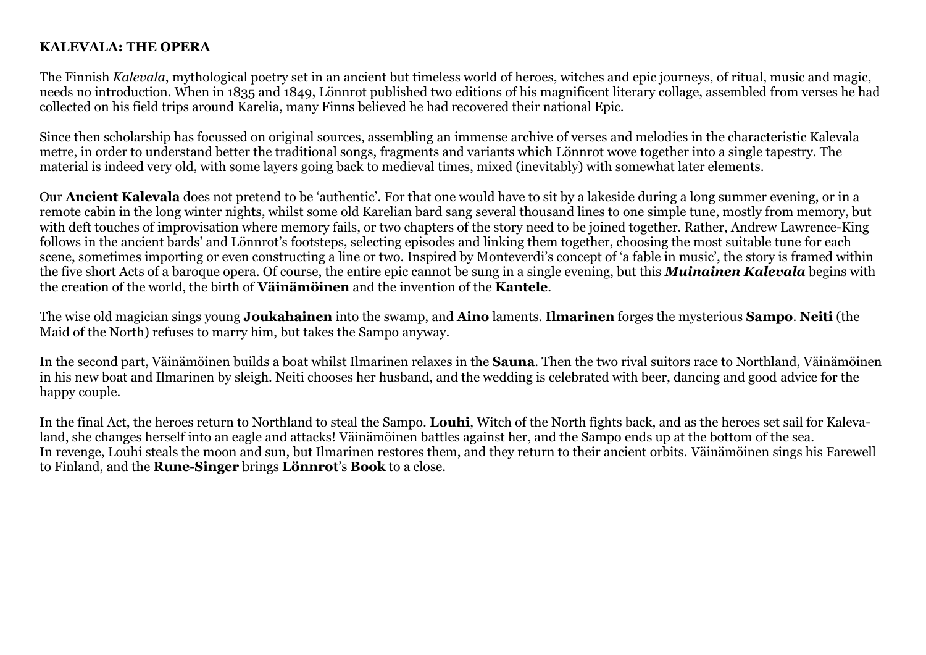## **KALEVALA: THE OPERA**

The Finnish *Kalevala*, mythological poetry set in an ancient but timeless world of heroes, witches and epic journeys, of ritual, music and magic, needs no introduction. When in 1835 and 1849, Lönnrot published two editions of his magnificent literary collage, assembled from verses he had collected on his field trips around Karelia, many Finns believed he had recovered their national Epic.

Since then scholarship has focussed on original sources, assembling an immense archive of verses and melodies in the characteristic Kalevala metre, in order to understand better the traditional songs, fragments and variants which Lönnrot wove together into a single tapestry. The material is indeed very old, with some layers going back to medieval times, mixed (inevitably) with somewhat later elements.

Our **Ancient Kalevala** does not pretend to be 'authentic'. For that one would have to sit by a lakeside during a long summer evening, or in a remote cabin in the long winter nights, whilst some old Karelian bard sang several thousand lines to one simple tune, mostly from memory, but with deft touches of improvisation where memory fails, or two chapters of the story need to be joined together. Rather, Andrew Lawrence-King follows in the ancient bards' and Lönnrot's footsteps, selecting episodes and linking them together, choosing the most suitable tune for each scene, sometimes importing or even constructing a line or two. Inspired by Monteverdi's concept of 'a fable in music', the story is framed within the five short Acts of a baroque opera. Of course, the entire epic cannot be sung in a single evening, but this *Muinainen Kalevala* begins with the creation of the world, the birth of **Väinämöinen** and the invention of the **Kantele**.

The wise old magician sings young **Joukahainen** into the swamp, and **Aino** laments. **Ilmarinen** forges the mysterious **Sampo**. **Neiti** (the Maid of the North) refuses to marry him, but takes the Sampo anyway.

In the second part, Väinämöinen builds a boat whilst Ilmarinen relaxes in the **Sauna**. Then the two rival suitors race to Northland, Väinämöinen in his new boat and Ilmarinen by sleigh. Neiti chooses her husband, and the wedding is celebrated with beer, dancing and good advice for the happy couple.

In the final Act, the heroes return to Northland to steal the Sampo. **Louhi**, Witch of the North fights back, and as the heroes set sail for Kalevaland, she changes herself into an eagle and attacks! Väinämöinen battles against her, and the Sampo ends up at the bottom of the sea. In revenge, Louhi steals the moon and sun, but Ilmarinen restores them, and they return to their ancient orbits. Väinämöinen sings his Farewell to Finland, and the **Rune-Singer** brings **Lönnrot**'s **Book** to a close.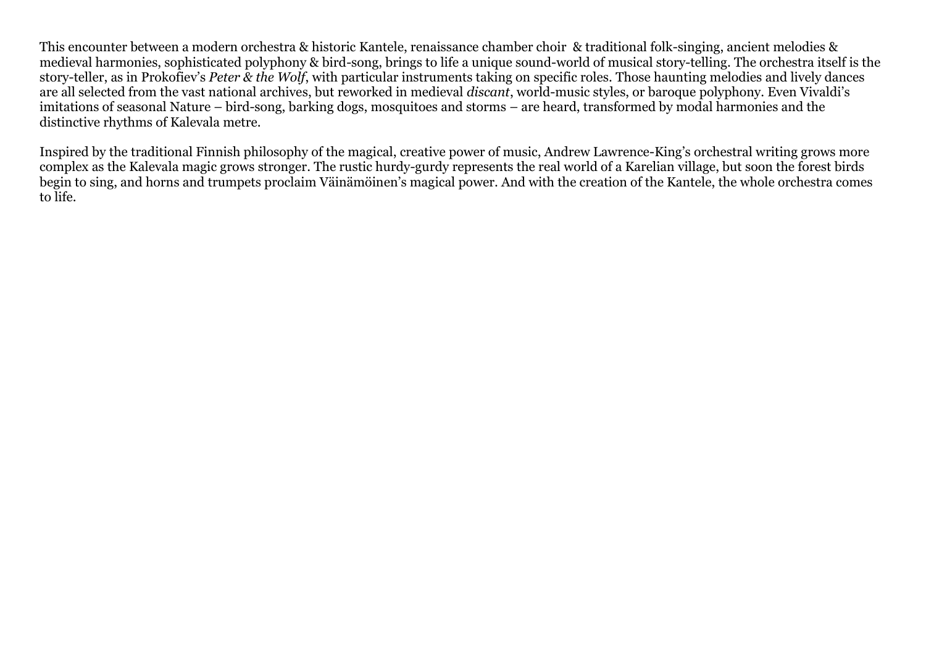This encounter between a modern orchestra & historic Kantele, renaissance chamber choir & traditional folk-singing, ancient melodies & medieval harmonies, sophisticated polyphony & bird-song, brings to life a unique sound-world of musical story-telling. The orchestra itself is the story-teller, as in Prokofiev's *Peter & the Wolf*, with particular instruments taking on specific roles. Those haunting melodies and lively dances are all selected from the vast national archives, but reworked in medieval *discant*, world-music styles, or baroque polyphony. Even Vivaldi's imitations of seasonal Nature – bird-song, barking dogs, mosquitoes and storms – are heard, transformed by modal harmonies and the distinctive rhythms of Kalevala metre.

Inspired by the traditional Finnish philosophy of the magical, creative power of music, Andrew Lawrence-King's orchestral writing grows more complex as the Kalevala magic grows stronger. The rustic hurdy-gurdy represents the real world of a Karelian village, but soon the forest birds begin to sing, and horns and trumpets proclaim Väinämöinen's magical power. And with the creation of the Kantele, the whole orchestra comes to life.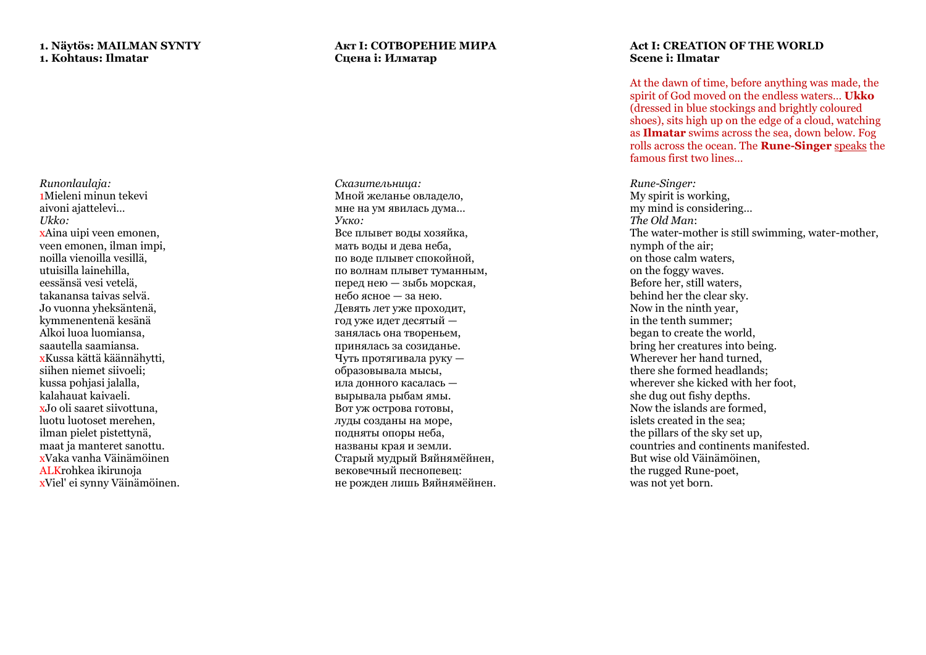## **1. Näytös: MAILMAN SYNTY 1. Kohtaus: Ilmatar**

*Runonlaulaja:* 1Mieleni minun tekevi aivoni ajattelevi… *Ukko:* xAina uipi veen emonen, veen emonen, ilman impi, noilla vienoilla vesillä, utuisilla lainehilla, eessänsä vesi vetelä, takanansa taivas selvä. Jo vuonna yheksäntenä, kymmenentenä kesänä Alkoi luoa luomiansa, saautella saamiansa. xKussa kättä käännähytti, siihen niemet siivoeli; kussa pohjasi jalalla, kalahauat kaivaeli. xJo oli saaret siivottuna, luotu luotoset merehen, ilman pielet pistettynä, maat ja manteret sanottu. xVaka vanha Väinämöinen ALKrohkea ikirunoja xViel' ei synny Väinämöinen.

## **Акт I: СОТВОРЕНИЕ МИРА Сцена i: Илматар**

*Сказительница:* Мной желанье овладело, мне на ум явилась дума… *Укко :* Все плывет воды хозяйка, мать воды и дева неба, по воде плывет спокойной, по волнам плывет туманным, перед нею — зыбь морская, небо ясное — за нею. Девять лет уже проходит, год уже идет десятый занялась она твореньем, принялась за созиданье . Чуть протягивала руку образовывала мысы, ила донного касалась вырывала рыбам ямы. Вот уж острова готовы, луды созданы на море, подняты опоры неба, названы края и земли. Старый мудрый Вяйнямёйнен, вековечный песнопевец: не рожден лишь Вяйнямёйнен.

## **Act I: CREATION OF THE WORLD Scene i: Ilmatar**

At the dawn of time, before anything was made, the spirit of God moved on the endless waters… **Ukko** (dressed in blue stockings and brightly coloured shoes), sits high up on the edge of a cloud, watching as **Ilmatar** swims across the sea, down below . Fog rolls across the ocean. The **Rune -Singer** speaks the famous first two lines…

*Rune -Singer:*  My spirit is working, my mind is considering… *The Old Man*: The water -mother is still swimming, water -mother, nymph of the air; on those calm waters, on the foggy waves. Before her, still waters, behind her the clear sky. Now in the ninth year, in the tenth summer; began to create the world, bring her creatures into being. Wherever her hand turned, there she formed headlands; wherever she kicked with her foot, she dug out fishy depths. Now the islands are formed, islets created in the sea; the pillars of the sky set up, countries and continents manifested. But wise old Väinämöinen, the rugged Rune -poet, was not yet born.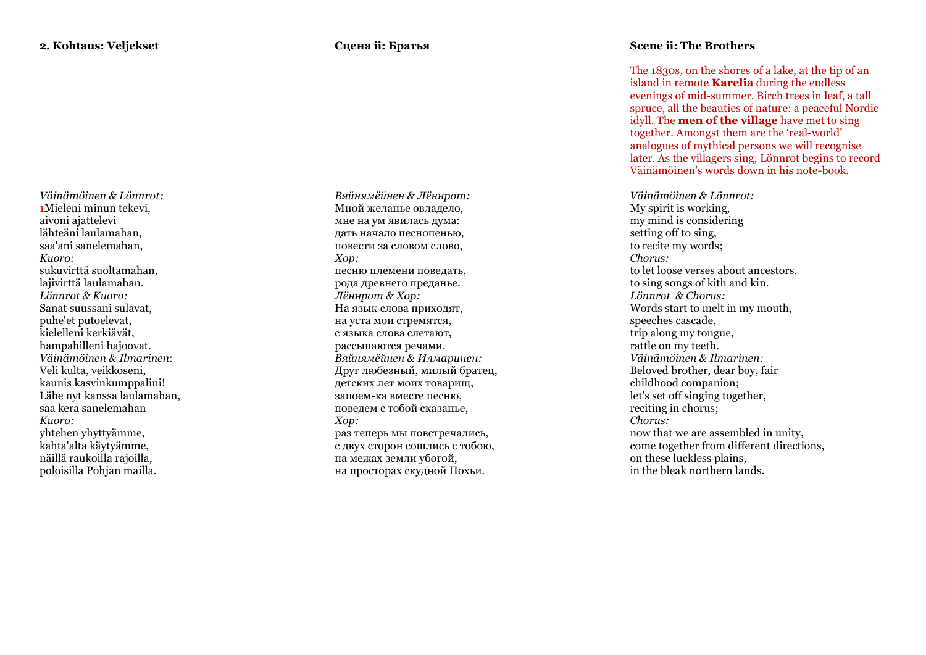*Väinämöinen & Lönnrot:* 1Mieleni minun tekevi, aivoni ajattelevi lähteäni laulamahan, saa'ani sanelemahan, *Kuoro:* sukuvirttä suoltamahan, lajivirttä laulamahan. *Lönnrot & Kuoro:* Sanat suussani sulavat, puhe'et putoelevat, kielelleni kerkiävät, hampahilleni hajoovat. *Väinämöinen & Ilmarinen* : Veli kulta, veikkoseni, kaunis kasvinkumppalini! Lähe nyt kanssa laulamahan, saa kera sanelemahan *Kuoro:* yhtehen yhyttyämme, kahta'alta käytyämme, näillä raukoilla rajoilla, poloisilla Pohjan mailla.

*Вяйнямёйнен & Лённрот :* Мной желанье овладело, мне на ум явилась дума: дать начало песнопенью, повести за словом слово, *Хор :* песню племени поведать, рода древнего преданье. *Лённрот & Хор :* На язык слова приходят, на уста мои стремятся, с языка слова слетают, рассыпаются речами. *Вяйнямёйнен & Илмаринен :* Друг любезный, милый братец, детских лет моих товарищ, запоем -ка вместе песню, поведем с тобой сказанье, *Хор :* раз теперь мы повстречались, с двух сторон сошлись с тобою, на межах земли убогой, на просторах скудной Похьи.

## **Scene ii: The Brothers**

The 1830s, on the shores of a lake, at the tip of an island in remote **Karelia** during the endless evenings of mid -summer. Birch trees in leaf, a tall spruce, all the beauties of natur e: a peaceful Nordic idyll. The **men of the village** have met to sing together. Amongst them are the 'real -world' analogues of mythical persons we will recognise later. As the villagers sing, Lönnrot begins to record Väinämöinen's words down in his note -book.

*Väinämöinen & Lönnrot:*  My spirit is working, my mind is considering setting off to sing. to recite my words ; *Chorus:* to let loose verses about ancestors, to sing songs of kith and kin. *Lönnrot & Chorus:* Words start to melt in my mouth, speeches cascade , trip along my tongue, rattle on my teeth. *Väinämöinen & Ilmarinen :* Beloved brother, dear boy, fair childhood companion ; let's set off singing together. reciting in chorus ; *Chorus:* now that we are assembled in unity, come together from different directions, on these luckless plains, in the bleak northern lands.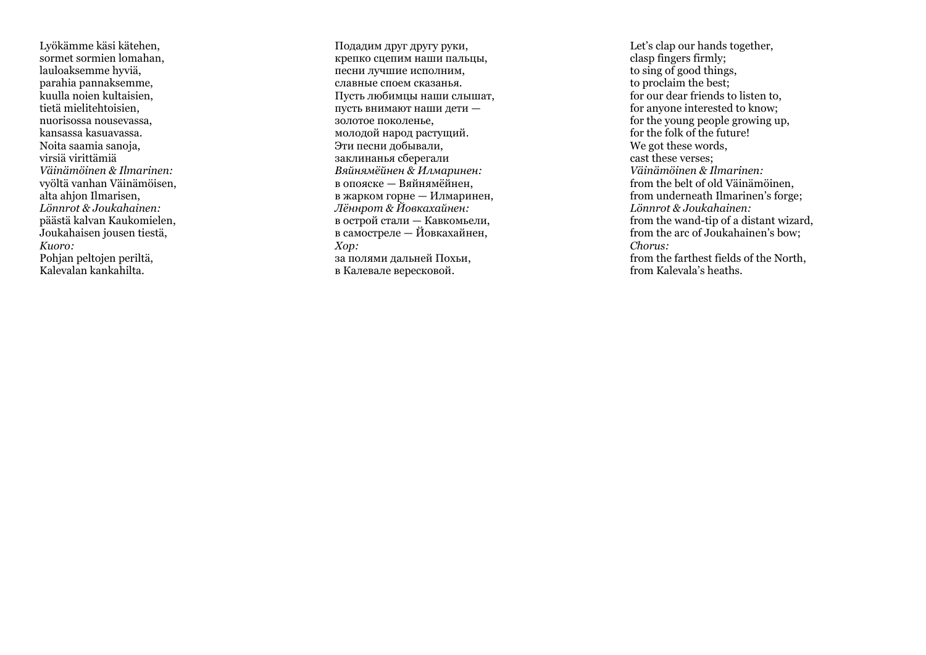Lyökämme käsi kätehen, sormet sormien lomahan, lauloaksemme hyviä, parahia pannaksemme, kuulla noien kultaisien, tietä mielitehtoisien, nuorisossa nousevassa, kansassa kasuavassa. Noita saamia sanoja, virsiä virittämiä *Väinämöinen & Ilmarinen:*  vyöltä vanhan Väinämöisen, alta ahjon Ilmarisen, *Lönnrot & Joukahainen:* päästä kalvan Kaukomielen, Joukahaisen jousen tiestä, *Kuoro:*  Pohjan peltojen periltä, Kalevalan kankahilta.

Подадим друг другу руки, крепко сцепим наши пальцы, песни лучшие исполним, славные споем сказанья. Пусть любимцы наши слышат, пусть внимают наши дети золотое поколенье, молодой народ растущий. Эти песни добывали, заклинанья сберегали *Вяйнямёйнен & Илмаринен :* в опояске — Вяйнямёйнен, в жарком горне — Илмаринен, *Лённрот & Йовкахайнен :* в острой стали — Кавкомьели, в самостреле — Йовкахайнен, *Хор :* за полями дальней Похьи, в Калевале вересковой.

Let's clap our hands together, clasp fingers firmly; to sing of good things, to proclaim the best; for our dear friends to listen to, for anyone interested to know; for the young people growing up, for the folk of the future! We got these words, cast these verses ; *Väinämöinen & Ilmarinen:* from the belt of old Väinämöinen, from underneath Ilmarinen's forge ; *Lönnrot & Joukahainen:* from the wand -tip of a distant wizard, from the arc of Joukahainen's bow ; *Chorus:*  from the farthest fields of the North, from Kalevala's heaths.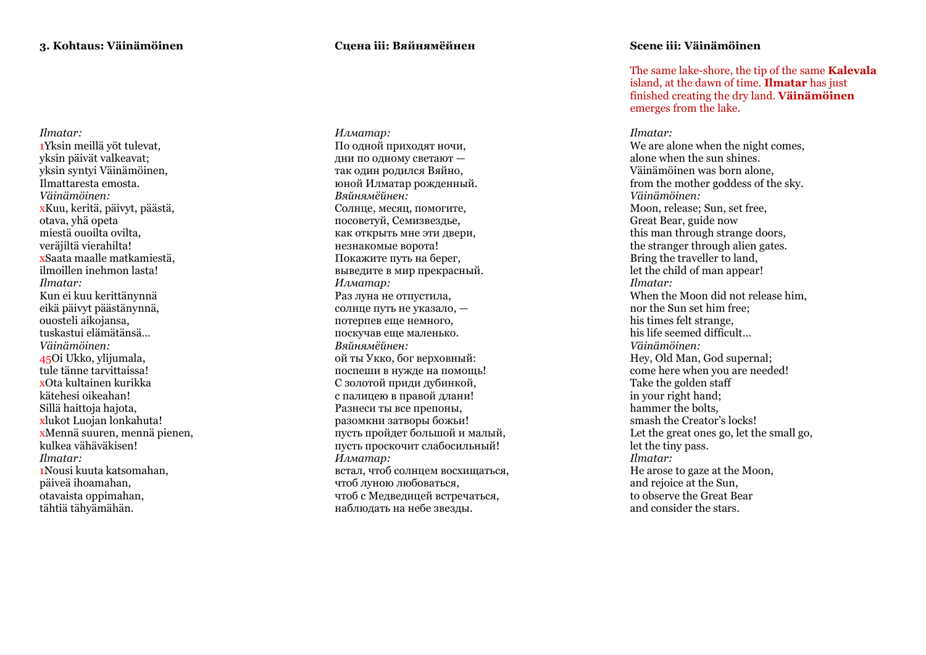*Ilmatar:* 1Yksin meillä yöt tulevat, yksin päivät valkeavat; yksin syntyi Väinämöinen, Ilmattaresta emosta. *Väinämöinen :* xKuu, keritä, päivyt, päästä, otava, yhä opeta miestä ouoilta ovilta, veräjiltä vierahilta! xSaata maalle matkamiestä, ilmoillen inehmon lasta! *Ilmatar :* Kun ei kuu kerittänynnä eikä päivyt päästänynnä, ouosteli aikojansa, tuskastui elämätänsä… *Väinämöinen:* 45Oi Ukko, ylijumala, tule tänne tarvittaissa! xOta kultainen kurikka kätehesi oikeahan! Sillä haittoja hajota, xlukot Luojan lonkahuta! xMennä suuren, mennä pienen, kulkea vähäväkisen! *Ilmatar:* 1Nousi kuuta katsomahan, päiveä ihoamahan, otavaista oppimahan, tähtiä tähyämähän.

## **Сцена iii: Вяйнямёйнен**

*Илматар:* По одной приходят ночи, дни по одному светают так один родился Вяйно, юной Илматар рожденный. *Вяйнямёйнен :* Солнце, месяц, помогите, посоветуй, Семизвездье, как открыть мне эти двери, незнакомые ворота! Покажите путь на берег, выведите в мир прекрасный. *Илматар:* Раз луна не отпустила, солнце путь не указало, потерпев еще немного, поскучав еще маленько. *Вяйнямёйнен :* ой ты Укко, бог верховный: поспеши в нужде на помощь! С золотой приди дубинкой, с палицею в правой длани! Разнеси ты все препоны , разомкни затворы божьи! пусть пройдет большой и малый, пусть проскочит слабосильный ! *Илматар:* встал, чтоб солнцем восхищаться, чтоб луною любоваться, чтоб с Медведицей встречаться, наблюдать на небе звезды.

## **Scene iii: Väinämöinen**

The same lake -shore, the tip of the same **Kalevala**  island, at the dawn of time. **Ilmatar** has just finished creating th e dry land. **Väinämöinen** emerges from the lake.

#### *Ilmatar:*

We are alone when the night comes, alone when the sun shines . Väinämöinen was born alone, from the mother goddess of the sky. *Väinämöinen:*  Moon, release; Sun, set free , Great Bear , guide now this man through strange doors , the stranger through alien gates. Bring the traveller to land, let the child of man appear! *Ilmatar:*  When the Moon did not release him, nor the Sun set him free ; his times felt strange, his life seemed difficult … *Väinämöinen:*  Hey, Old Man, God supernal ; come here when you are needed! Take the golden staff in your right hand ; hammer the bolts. smash the Creator's locks! Let the great ones go, let the small go, let the tiny pass. *Ilmatar:*  He arose to gaze at the Moon, and rejoice at the Sun , to observe the Great Bear and consider the stars .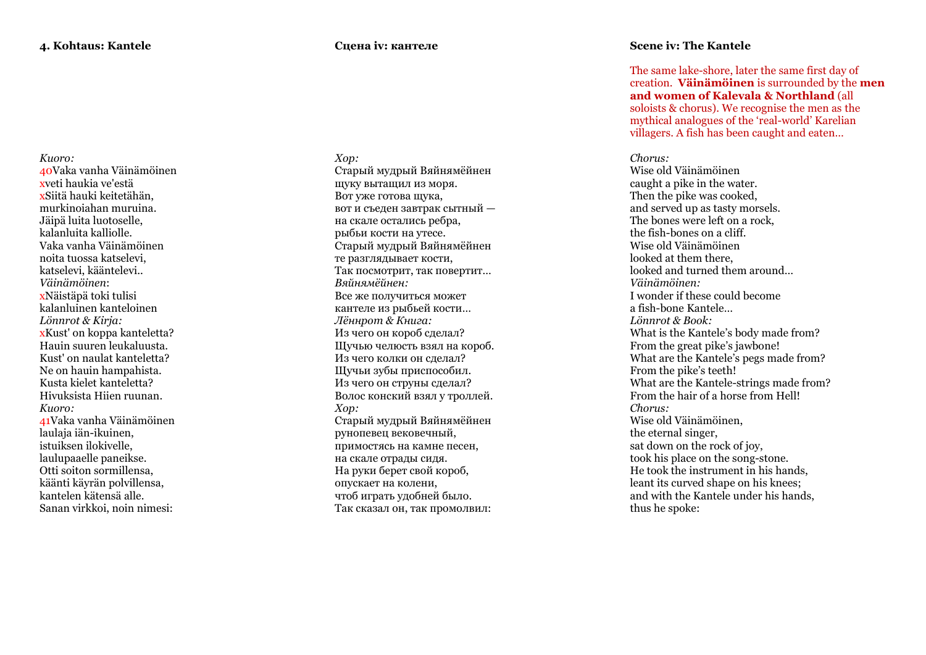*Kuoro:* 40Vaka vanha Väinämöinen xveti haukia ve'estä xSiitä hauki keitetähän, murkinoiahan muruina. Jäipä luita luotoselle, kalanluita kalliolle. Vaka vanha Väinämöinen noita tuossa katselevi, katselevi, kääntelevi.. *Väinämöinen*: xNäistäpä toki tulisi kalanluinen kanteloinen *Lönnrot & Kirja:* xKust' on koppa kanteletta? Hauin suuren leukaluusta. Kust' on naulat kanteletta? Ne on hauin hampahista. Kusta kielet kanteletta? Hivuksista Hiien ruunan. *Kuoro:* 41Vaka vanha Väinämöinen laulaja iän -ikuinen, istuiksen ilokivelle, laulupaaelle paneikse . Otti soiton sormillensa, käänti käyrän polvillensa, kantelen kätensä alle. Sanan virkkoi, noin nimesi:

#### **Сцена iv: кантеле**

*Хор :* Старый мудрый Вяйнямёйнен щуку вытащил из моря . Вот уже готова щука, вот и съеден завтрак сытный на скале остались ребра, рыбьи кости на утесе. Старый мудрый Вяйнямёйнен те разглядывает кости, Так посмотрит, так повертит … *Вяйнямёйнен :* Все же получиться может кантеле из рыбьей кости … *Лённрот & Книга :* Из чего он короб сделал? Щучью челюсть взял на короб. Из чего колки он сделал? Щучьи зубы приспособил. Из чего он струны сделал? Волос конский взял у троллей . *Хор :* Старый мудрый Вяйнямёйнен рунопевец вековечный, примостясь на камне песен, на скале отрады сидя. На руки берет свой короб, опускает на колени, чтоб играть удобней было. Так сказал он, так промолвил:

## **Scene iv: The Kantele**

The same lake -shore, later the same first day of creation. **Väinämöinen** is surrounded by the **men and women of Kalevala & Northland** (all soloists & chorus). We recognise the men as the mythical analogues of the 'real -world' Karelian villagers. A fish has been caught and eaten…

## *Chorus:*

Wise old Väinämöinen caught a pike in the water. Then the pike was cooked. and served up as tasty morsels. The bones were left on a rock, the fish -bones on a cliff. Wise old Väinämöinen looked at them there, looked and turned them around… *Väinämöinen:*  I wonder if these could become a fish -bone Kantele … *Lönnrot & Book :* What is the Kantele's body made from? From the great pike's jawbone! What are the Kantele's pegs made from? From the pike's teeth! What are the Kantele -strings made from? From the hair of a horse from Hell! *Chorus:*  Wise old Väinämöinen, the eternal singer , sat down on the rock of joy, took his place on the song -stone . He took the instrument in his hands, leant its curved shape on his knees ; and with the Kantele under his hands, thus he spoke: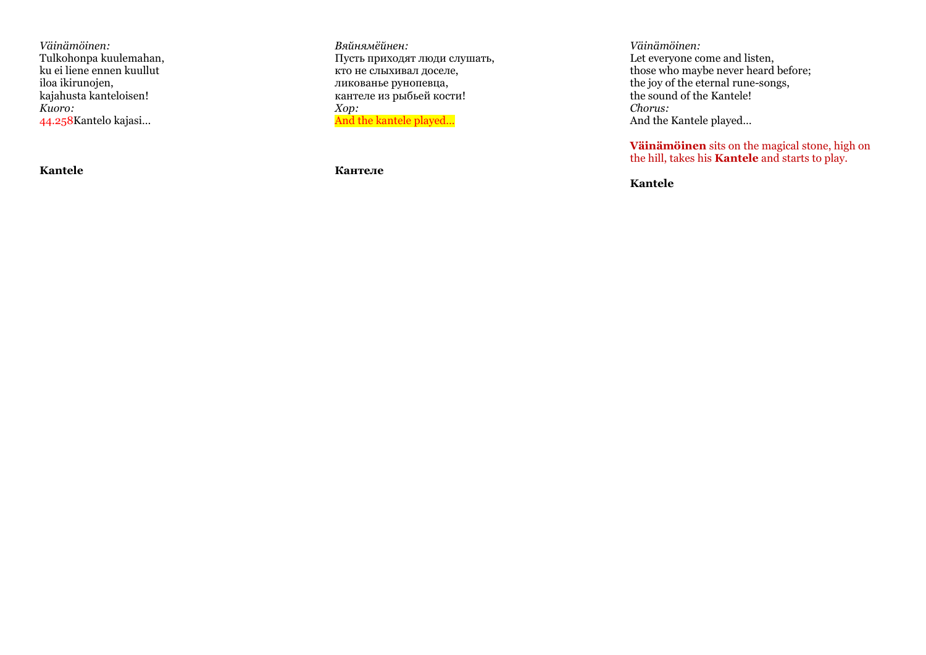*Väinämöinen:* Tulkohonpa kuulemahan, ku ei liene ennen kuullut iloa ikirunojen, kajahusta kanteloisen! *Kuoro:* 44.258Kantelo kajasi…

**Kantele**

*Вяйнямёйнен :* Пусть приходят люди слушать, кто не слыхивал доселе, ликованье рунопевца, кантеле из рыбьей кости! *Хор :* And the kantele played...

**Кантеле**

*Väinämöinen:*  Let everyone come and listen, those who maybe never heard before; the joy of the eternal rune -songs, the sound of the Kantele! *Chorus:* And the Kantele played…

**Väinämöinen** sits on the magical stone, high on the hill, takes his **Kantele** and starts to play.

**Kantele**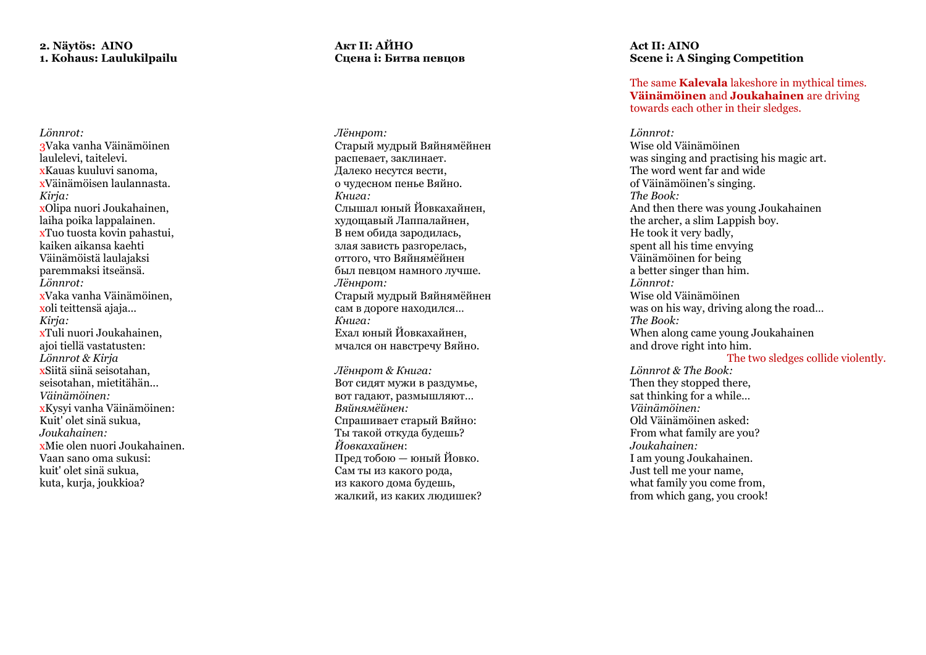## **2. Näytös: AINO 1. Kohaus: Laulukilpailu**

*Lönnrot:* 3Vaka vanha Väinämöinen laulelevi, taitelevi. xKauas kuuluvi sanoma, xVäinämöisen laulannasta. *Kirja:* xOlipa nuori Joukahainen, laiha poika lappalainen. xTuo tuosta kovin pahastui, kaiken aikansa kaehti Väinämöistä laulajaksi paremmaksi itseänsä. *Lönnrot:* xVaka vanha Väinämöinen, xoli teittensä ajaja... *Kirja:* xTuli nuori Joukahainen, ajoi tiellä vastatusten: *Lönnrot & Kirja* xSiitä siinä seisotahan, seisotahan, mietitähän... *Väinämöinen:* xKysyi vanha Väinämöinen: Kuit' olet sinä sukua, *Joukahainen:* xMie olen nuori Joukahainen. Vaan sano oma sukusi: kuit' olet sinä sukua, kuta, kurja, joukkioa?

## **Акт II: АЙНО Сцена i: Битва певцов**

*Лённрот :* Старый мудрый Вяйнямёйнен распевает, заклинает. Далеко несутся вести, о чудесном пенье Вяйно. *Книга :* Слышал юный Йовкахайнен, худощавый Лаппалайнен , В нем обида зародилась, злая зависть разгорелась, оттого, что Вяйнямёйнен был певцом намного лучше. *Лённрот :* Старый мудрый Вяйнямёйнен сам в дороге находился … *Книга :* Ехал юный Йовкахайнен, мчался он навстречу Вяйно.

*Лённрот & Книга :* Вот сидят мужи в раздумье, вот гадают, размышляют … *Вяйнямёйнен :* Спрашивает старый Вяйно: Ты такой откуда будешь? *Йовкахайнен* : Пред тобою — юный Йовко. Сам ты из какого рода, из какого дома будешь, жалкий, из каких людишек?

## **Act II: AINO Scene i: A Singing Competition**

The same **Kalevala** lakeshore in mythical times. **Väinämöinen** and **Joukahainen** are driving towards each other in their sledges.

*Lönnrot:*  Wise old Väinämöinen was singing and practising his magic art. The word went far and wide of Väinämöinen's singing. *The Book:*  And then there was young Joukahainen the archer, a slim Lappish boy. He took it very badly, spent all his time envying Väinämöinen for being a better singer than him. *Lönnrot:*  Wise old Väinämöinen was on his way, driving along the road… *The Book:*  When along came young Joukahainen and drove right into him.

The two sledges collide violently.

*Lönnrot & The Book:*  Then they stopped there, sat thinking for a while… *Väinämöinen:*  Old Väinämöinen asked: From what family are you? *Joukahainen:*  I am young Joukahainen. Just tell me your name, what family you come from, from which gang, you crook!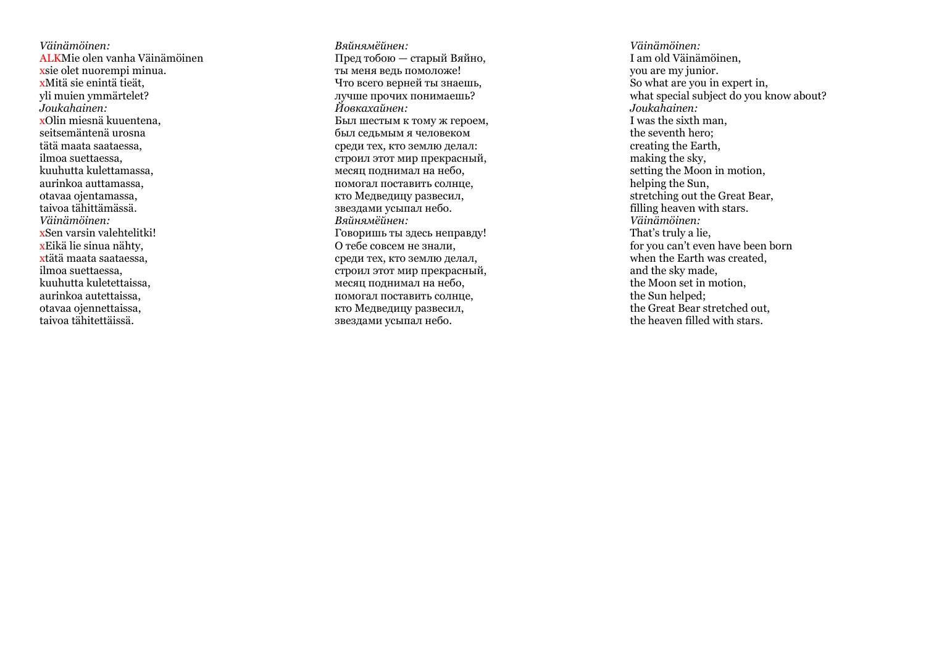*Väinämöinen:*  ALKMie olen vanha Väinämöinen xsie olet nuorempi minua. xMitä sie enintä tieät, yli muien ymmärtelet? *Joukahainen:* xOlin miesnä kuuentena, seitsemäntenä urosna tätä maata saataessa, ilmoa suettaessa, kuuhutta kulettamassa, aurinkoa auttamassa, otavaa ojentamassa, taivoa tähittämässä. *Väinämöinen:* xEikä lie sinua nähty, xtätä maata saataessa, ilmoa suettaessa, kuuhutta kuletettaissa, aurinkoa autettaissa, otavaa ojennettaissa, taivoa tähitettäissä.

*Вяйнямёйнен :* Пред тобою — старый Вяйно, ты меня ведь помоложе! Что всего верней ты знаешь, лучше прочих понимаешь? *Йовкахайнен :* Был шестым к тому ж героем, был седьмым я человеком среди тех, кто землю делал: строил этот мир прекрасный, месяц поднимал на небо, помогал поставить солнце, кто Медведицу развесил, звездами усыпал небо . *Вяйнямёйнен :* Говоришь ты здесь неправду! О тебе совсем не знали, среди тех, кто землю делал, строил этот мир прекрасный, месяц поднимал на небо, помогал поставить солнце, кто Медведицу развесил, звездами усыпал небо .

*Väinämöinen:* I am old Väinämöinen, you are my junior. So what are you in expert in, what special subject do you know about? *Joukahainen:* I was the sixth man, the seventh hero; creating the Earth, making the sky, setting the Moon in motion, helping the Sun, stretching out the Great Bear, filling heaven with stars. *Väinämöinen:*  That's truly a lie, for you can't even have been born when the Earth was created, and the sky made, the Moon set in motion, the Sun helped; the Great Bear stretched out, the heaven filled with stars.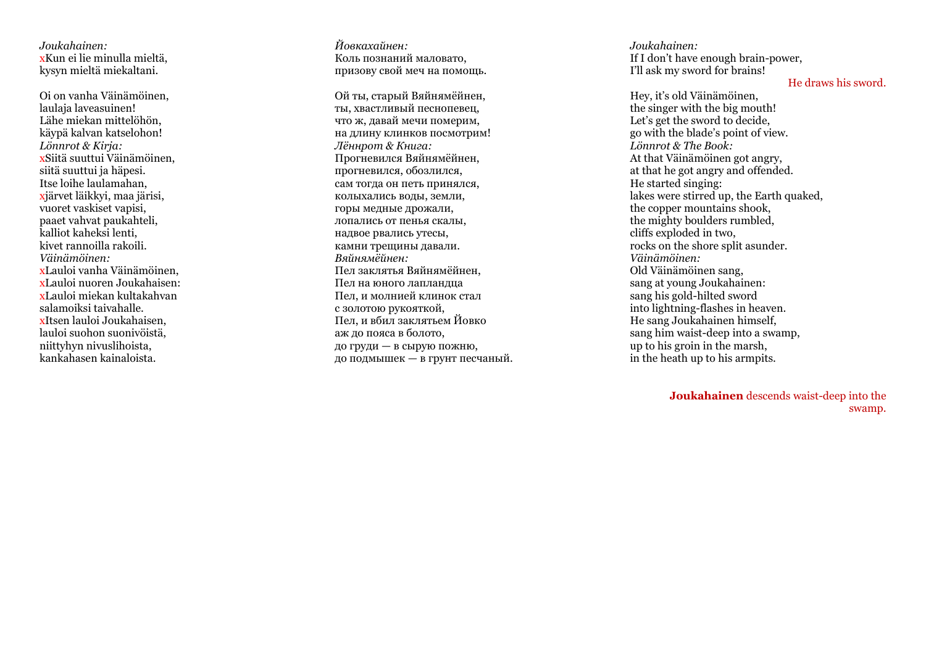*Joukahainen:* xKun ei lie minulla mieltä, kysyn mieltä miekaltani.

Oi on vanha Väinämöinen, laulaja laveasuinen! Lähe miekan mittelöhön, käypä kalvan katselohon! *Lönnrot & Kirja:* xSiitä suuttui Väinämöinen, siitä suuttui ja häpesi. xjärvet läikkyi, maa järisi, vuoret vaskiset vapisi, paaet vahvat paukahteli, kalliot kaheksi lenti, kivet rannoilla rakoili. *Väinämöinen:* xLauloi vanha Väinämöinen, xLauloi nuoren Joukahaisen: xLauloi miekan kultakahvan salamoiksi taivahalle. xItsen lauloi Joukahaisen, lauloi suohon suonivöistä, niittyhyn nivuslihoista, kankahasen kainaloista.

*Йовкахайнен :* Коль познаний маловато, призову свой меч на помощь.

Ой ты, старый Вяйнямёйнен, ты, хвастливый песнопевец, что ж, давай мечи померим, на длину клинков посмотрим! *Лённрот & Книга :* Прогневился Вяйнямёйнен, прогневился, обозлился , сам тогда он петь принялся, колыхались воды, земли, горы медные дрожали, лопались от пенья скалы, надвое рвались утесы, камни трещины давали. *Вяйнямёйнен :* Пел заклятья Вяйнямёйнен, Пел на юного лапландца Пел, и молнией клинок стал с золотою рукояткой, Пел, и вбил заклятьем Йовко аж до пояса в болото, до груди — в сырую пожню, до подмышек — в грунт песчаный.

*Joukahainen:*  If I don't have enough brain -power, I'll ask my sword for brains!

## He draws his sword.

Hey, it's old Väinämöinen,<br>the singer with the big mouth! Let's get the sword to decide. go with the blade's point of view. *Lönnrot & The Book:*  At that Väinämöinen got angry, at that he got angry and offended. He started singing: lakes were stirred up, the Earth quaked, the copper mountains shook, the mighty boulders rumbled, cliffs exploded in two, rocks on the shore split asunder. *Väinämöinen:*  Old Väinämöinen sang, sang at young Joukahainen: sang his gold -hilted sword into lightning -flashes in heaven. He sang Joukahainen himself, sang him waist -deep into a swamp, up to his groin in the marsh, in the heath up to his armpits.

> **Joukahainen** descends waist -deep into the swamp.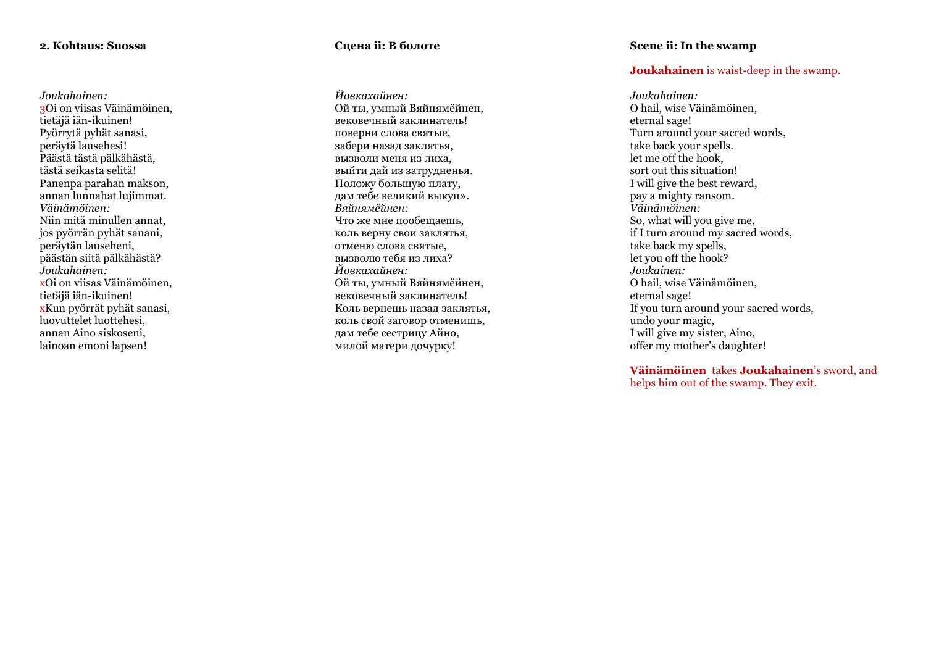## **2. Kohtaus: Suossa**

*Joukahainen:* 3Oi on viisas Väinämöinen, tietäjä iän -ikuinen! Pyörrytä pyhät sanasi, peräytä lausehesi! Päästä tästä pälkähästä, tästä seikasta selitä! Panenpa parahan makson, annan lunnahat lujimmat. *Väinämöinen:*  Niin mitä minullen annat, jos pyörrän pyhät sanani, peräytän lauseheni, päästän siitä pälkähästä? *Joukahainen:* xOi on viisas Väinämöinen, tietäjä iän -ikuinen! xKun pyörrät pyhät sanasi, luovuttelet luottehesi, annan Aino siskoseni, lainoan emoni lapsen !

## **Сцена ii: В болоте**

*Йовкахайнен :* Ой ты, умный Вяйнямёйнен, вековечный заклинатель! поверни слова святые, забери назад заклятья, вызволи меня из лиха, выйти дай из затрудненья. Положу большую плату, дам тебе великий выкуп». *Вяйнямёйнен:* Что же мне пообещаешь, коль верну свои заклятья, отменю слова святые, вызволю тебя из лиха? *Йовкахайнен :* Ой ты, умный Вяйнямёйнен, вековечный заклинатель! Коль вернешь назад заклятья, коль свой заговор отменишь, дам тебе сестрицу Айно, милой матери дочурку!

## **Scene ii: In the swamp**

## **Joukahainen** is waist -deep in the swamp.

*Joukahainen:*  O hail, wise Väinämöinen, eternal sage! Turn around your sacred words. take back your spells. let me off the hook, sort out this situation! I will give the best reward, pay a mighty ransom. *Väinämöinen:* So, what will you give me, if I turn around my sacred words, take back my spells, let you off the hook? *Joukainen:*  O hail, wise Väinämöinen, eternal sage! If you turn around your sacred words, undo your magic, I will give my sister, Aino, offer my mother's daughter!

**Väinämöinen** takes **Joukahainen**'s sword, and helps him out of the swamp. They exit.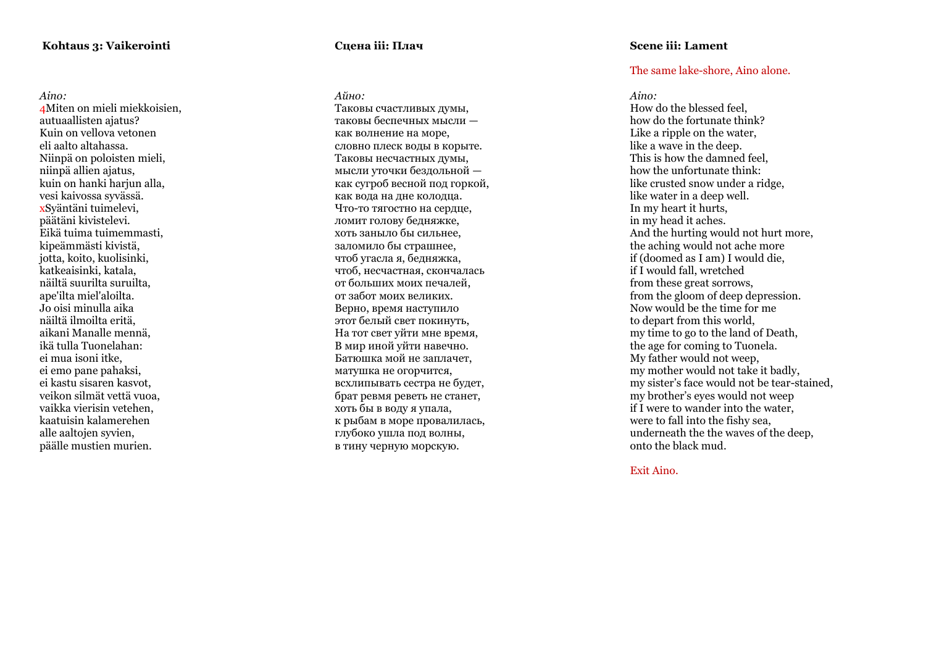*Aino:* 4Miten on mieli miekkoisien, autuaallisten ajatus ? Kuin on vellova vetonen eli aalto altahassa. Niinpä on poloisten mieli, niinpä allien ajatus, kuin on hanki hariun alla, vesi kaivossa syvässä. xSyäntäni tuimelevi, päätäni kivistelevi. Eikä tuima tuimemmasti, kipeämmästi kivistä, jotta, koito, kuolisinki, katkeaisinki, katala, näiltä suurilta suruilta, ape'ilta miel'aloilta. Jo oisi minulla aika näiltä ilmoilta eritä, aikani Manalle mennä, ikä tulla Tuonelahan: ei mua isoni itke, ei emo pane pahaksi, ei kastu sisaren kasvot, veikon silmät vettä vuoa, vaikka vierisin vetehen, kaatuisin kalamerehen alle aaltojen syvien, päälle mustien murien.

## **Сцена iii: Плач**

*Айно :* Таковы счастливых думы, таковы беспечных мысли как волнение на море, словно плеск воды в корыте. Таковы несчастных думы, мысли уточки бездольной как сугроб весной под горкой, как вода на дне колодца. Что -то тягостно на сердце, ломит голову бедняжке, хоть заныло бы сильнее, заломило бы страшнее, чтоб угасла я, бедняжка, чтоб, несчастная, скончалась от больших моих печалей, от забот моих великих. Верно, время наступило этот белый свет покинуть, На тот свет уйти мне время, В мир иной уйти навечно. Батюшка мой не заплачет, матушка не огорчится, всхлипывать сестра не будет, брат ревмя реветь не станет, хоть бы в воду я упала, к рыбам в море провалилась, глубоко ушла под волны, в тину черную морскую.

## **Scene iii: Lament**

## The same lake -shore, Aino alone.

*Aino:* 

How do the blessed feel, how do the fortunate think? Like a ripple on the water. like a wave in the deep. This is how the damned feel, how the unfortunate think: like crusted snow under a ridge, like water in a deep well. In my heart it hurts, in my head it aches. And the hurting would not hurt more, the aching would not ache more if (doomed as I am) I would die, if I would fall, wretched from these great sorrows, from the gloom of deep depression. Now would be the time for me to depart from this world, my time to go to the land of Death, the age for coming to Tuonela. My father would not weep, my mother would not take it badly , my sister's face would not be tear -stained, my brother's eyes would not weep if I were to wander into the water, were to fall into the fishy sea, underneath the the waves of the deep, onto the black mud.

Exit Aino.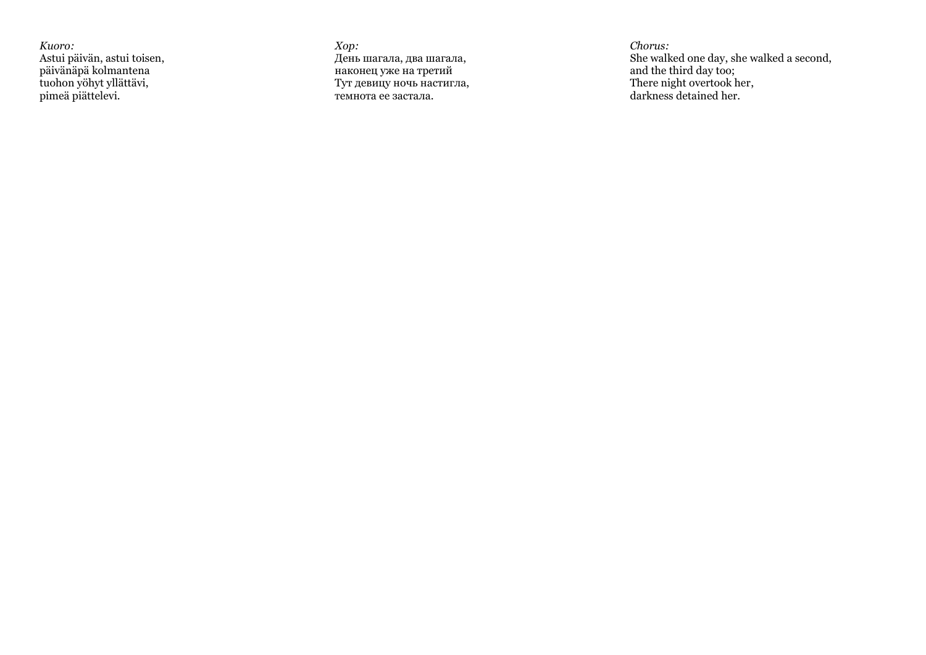*Kuoro:* Astui päivän, astui toisen, päivänäpä kolmantena tuohon yöhyt yllättävi, pimeä piättelevi.

*Хор :* День шагала, два шагала, наконец уже на третий Тут девицу ночь настигла, темнота ее застала.

*Chorus:*  She walked one day, she walked a second, and the third day too; There night overtook her, darkness detained her.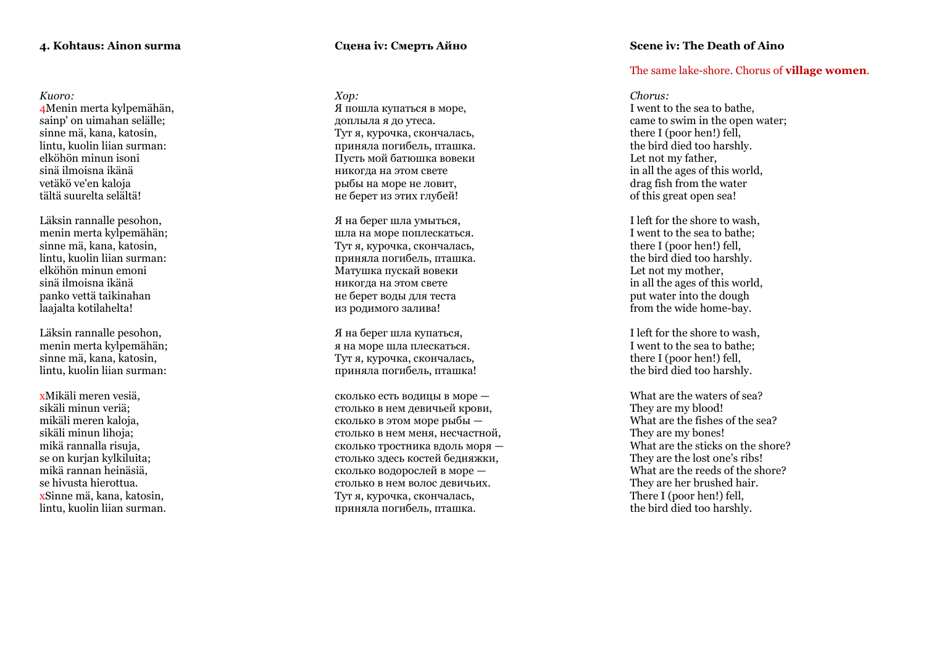#### *Kuoro:*

4Menin merta kylpemähän, sainp' on uimahan selälle; sinne mä, kana, katosin, lintu, kuolin liian surman: elköhön minun isoni sinä ilmoisna ikänä vetäkö ve'en kaloja tältä suurelta selältä!

Läksin rannalle pesohon, menin merta kylpemähän; sinne mä, kana, katosin, lintu, kuolin liian surman: elköhön minun emoni sinä ilmoisna ikänä panko vettä taikinahan laajalta kotilahelta!

Läksin rannalle pesohon, menin merta kylpemähän; sinne mä, kana, katosin, lintu, kuolin liian surman:

xMikäli meren vesiä, sikäli minun veriä; mikäli meren kaloja, sikäli minun lihoja; mikä rannalla risuja, se on kurjan kylkiluita; mikä rannan heinäsiä, se hivusta hierottua. xSinne mä, kana, katosin, lintu, kuolin liian surman.

## **Сцена iv: Смерть Айно**

*Хор :* Я пошла купаться в море, доплыла я до утеса. Тут я, курочка, скончалась, приняла погибель, пташка. Пусть мой батюшка вовеки никогда на этом свете рыбы на море не ловит, не берет из этих глубей!

Я на берег шла умыться, шла на море поплескаться. Тут я, курочка, скончалась, приняла погибель, пташка. Матушка пускай вовеки никогда на этом свете не берет воды для теста из родимого залива!

Я на берег шла купаться, я на море шла плескаться. Тут я, курочка, скончалась, приняла погибель, пташка!

сколько есть водицы в море столько в нем девичьей крови, сколько в этом море рыбы столько в нем меня, несчастной, сколько тростника вдоль моря столько здесь костей бедняжки, сколько водорослей в море столько в нем волос девичьих. Тут я, курочка, скончалась, приняла погибель, пташка.

## **Scene iv: The Death of Aino**

## The same lake -shore. Chorus of **village women** .

## *Chorus:*

I went to the sea to bathe, came to swim in the open water; there I (poor hen!) fell, the bird died too harshly. Let not my father, in all the ages of this world, drag fish from the water of this great open sea!

I left for the shore to wash, I went to the sea to bathe; there I (poor hen!) fell, the bird died too harshly. Let not my mother, in all the ages of this world, put water into the dough from the wide home -bay.

I left for the shore to wash, I went to the sea to bathe; there I (poor hen!) fell, the bird died too harshly.

What are the waters of sea? They are my blood! What are the fishes of the sea? They are my bones! What are the sticks on the shore? They are the lost one's ribs! What are the reeds of the shore? They are her brushed hair. There I (poor hen!) fell. the bird died too harshly.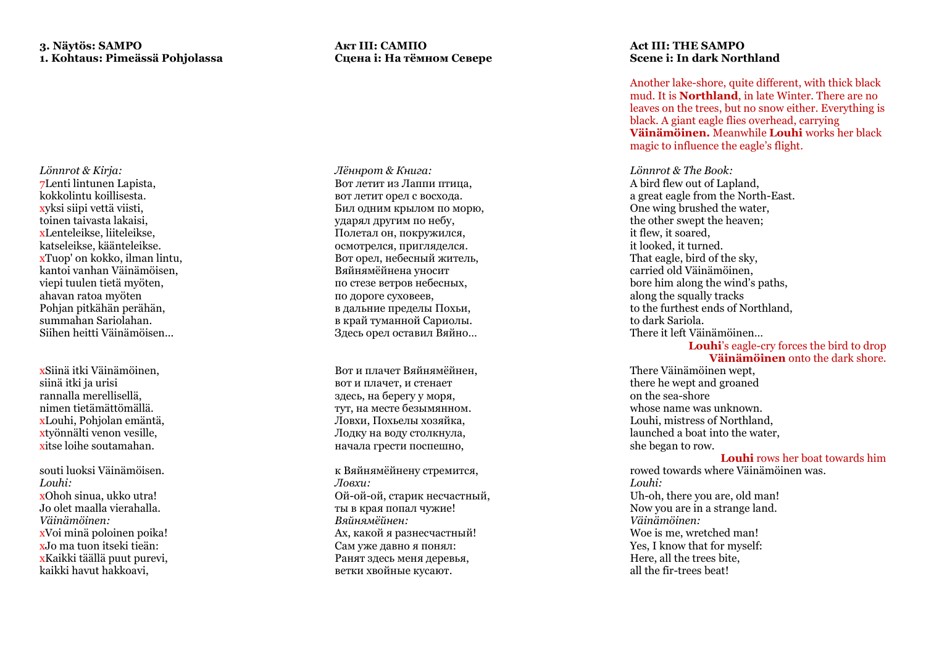## **3. Näytös: SAMPO 1. Kohtaus: Pimeässä Pohjolassa**

*Lönnrot & Kirja:* 7Lenti lintunen Lapista, kokkolintu koillisesta. xyksi siipi vettä viisti, toinen taivasta lakaisi, xLenteleikse, liiteleikse,<br>katseleikse, käänteleikse. xTuop' on kokko, ilman lintu, kantoi vanhan Väinämöisen, viepi tuulen tietä myöten, ahavan ratoa myöten Pohjan pitkähän perähän, summahan Sariolahan. Siihen heitti Väinämöisen...

xSiinä itki Väinämöinen, siinä itki ja urisi rannalla merellisellä, nimen tietämättömällä. xLouhi, Pohjolan emäntä, xtyönnälti venon vesille, xitse loihe soutamahan.

souti luoksi Väinämöisen. *Louhi:* xOhoh sinua, ukko utra! Jo olet maalla vierahalla. *Väinämöinen:* xVoi minä poloinen poika! xJo ma tuon itseki tieän: xKaikki täällä puut purevi, kaikki havut hakkoavi,

## **Акт III: САМПО Сцена i: На тёмном Севере**

*Лённрот & Книга :* Вот летит из Лаппи птица, вот летит орел с восхода. Бил одним крылом по морю, ударял другим по небу, Полетал он, покружился, осмотрелся, пригляделся. Вот орел, небесный житель, Вяйнямёйнена уносит по стезе ветров небесных, по дороге суховеев, в дальние пределы Похьи, в край туманной Сариолы. Здесь орел оставил Вяйно…

Вот и плачет Вяйнямёйнен, вот и плачет, и стенает здесь, на берегу у моря, тут, на месте безымянном . Ловхи, Похьелы хозяйка, Лодку на воду столкнула, начала грести поспешно,

к Вяйнямёйнену стремится, *Ловхи :* Ой -ой -ой, старик несчастный, ты в края попал чужие! *Вяйнямёйнен :* Ах, какой я разнесчастный! Сам уже давно я понял: Ранят здесь меня деревья, ветки хвойные кусают .

## **Act III: THE SAMPO Scene i: In dark Northland**

Another lake -shore, quite different, with thick black mud. It is **Northland**, in late Winter. There are no leaves on the trees, but no snow either. Everything is black. A giant eagle flies overhead, carrying **Väinämöinen .** Meanwhile **Louhi** works her black magic to influence the eagle's flight.

*Lönnrot & The Book:* A bird flew out of Lapland, a great eagle from the North -East. One wing brushed the water, the other swept the heaven; it flew, it soared, it looked, it turned. That eagle, bird of the sky, carried old Väinämöinen, bore him along the wind's paths, along the squally tracks to the furthest ends of Northland, to dark Sariola. There it left Väinämöinen…

**Louhi**'s eagle -cry forces the bird to drop **Väinämöinen** onto the dark shore.

There Väinämöinen wept, there he wept and groaned on the sea -shore whose name was unknown. Louhi, mistress of Northland, launched a boat into the water, she began to row.

## **Louhi** rows her boat towards him

rowed towards where Väinämöinen was. *Louhi:* Uh -oh, there you are, old man! Now you are in a strange land. *Väinämöinen:* Woe is me, wretched man! Yes, I know that for myself: Here, all the trees bite, all the fir -trees beat !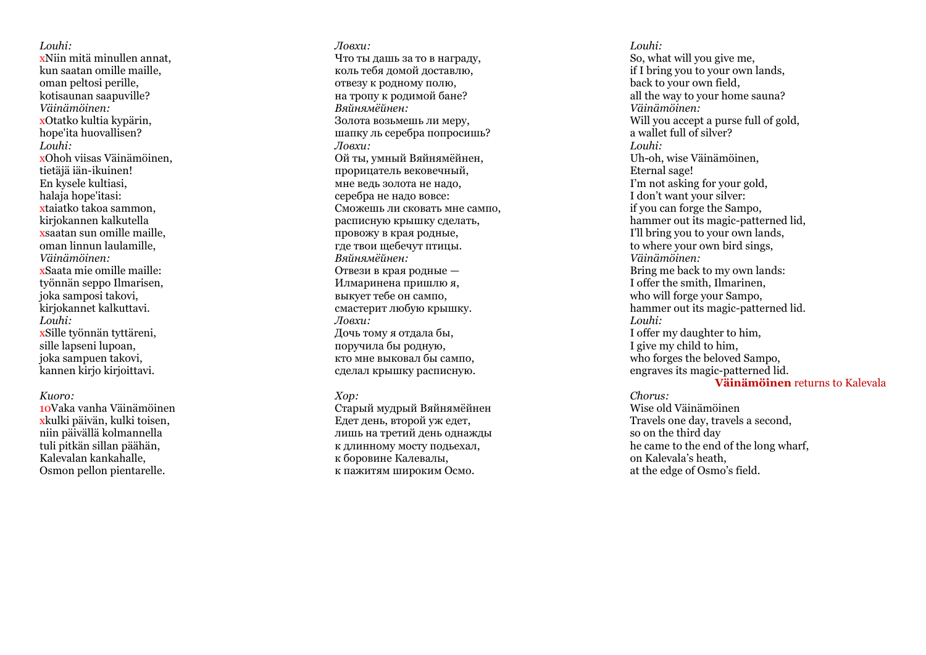*Louhi:* xNiin mitä minullen annat, kun saatan omille maille, oman peltosi perille, kotisaunan saapuville? *Väinämöinen:* xOtatko kultia kypärin, hope'ita huovallisen? *Louhi:* xOhoh viisas Väinämöinen, tietäjä iän -ikuinen! En kysele kultiasi, halaja hope'itasi: xtaiatko takoa sammon, kirjokannen kalkutella xsaatan sun omille maille, oman linnun laulamille, *Väinämöinen:* xSaata mie omille maille: työnnän seppo Ilmarisen, joka samposi takovi, kirjokannet kalkuttavi. *Louhi:* xSille työnnän tyttäreni, sille lapseni lupoan, joka sampuen takovi, kannen kirjo kirjoittavi.

*Kuoro:* xkulki päivän, kulki toisen, niin päivällä kolmannella tuli pitkän sillan päähän, Kalevalan kankahalle, Osmon pellon pientarelle.

*Ловхи :* Что ты дашь за то в награду, коль тебя домой доставлю, отвезу к родному полю, на тропу к родимой бане? *Вяйнямёйнен :* Золота возьмешь ли меру, шапку ль серебра попросишь? *Ловхи :* Ой ты, умный Вяйнямёйнен, прорицатель вековечный, мне ведь золота не надо , серебра не надо вовсе: Сможешь ли сковать мне сампо, расписную крышку сделать , провожу в края родные, где твои щебечут птицы. *Вяйнямёйнен :* Отвези в края родные — Илмаринена пришлю я, выкует тебе он сампо, смастерит любую крышку. *Ловхи :* Дочь тому я отдала бы, поручила бы родную, кто мне выковал бы сампо, сделал крышку расписную .

## *Хор :*

Старый мудрый Вяйнямёйнен Едет день, второй уж едет, лишь на третий день однажды к длинному мосту подьехал, к боровине Калевалы, к пажитям широким Осмо.

*Louhi:* So, what will you give me, if I bring you to your own lands, back to your own field, all the way to your home sauna? *Väinämöinen:* Will you accept a purse full of gold. a wallet full of silver? *Louhi:* Uh -oh, wise Väinämöinen, Eternal sage! I'm not asking for your gold, I don't want your silver: if you can forge the Sampo, hammer out its magic -patterned lid, I'll bring you to your own lands, to where your own bird sings, *Väinämöinen:* Bring me back to my own lands: I offer the smith, Ilmarinen, who will forge your Sampo, hammer out its magic -patterned lid. *Louhi:* I offer my daughter to him, I give my child to him, who forges the beloved Sampo, engraves its magic -patterned lid.

## **Väinämöinen** returns to Kalevala

*Chorus:* Wise old Väinämöinen Travels one day, travels a second, so on the third day he came to the end of the long wharf, on Kalevala's heath, at the edge of Osmo's field.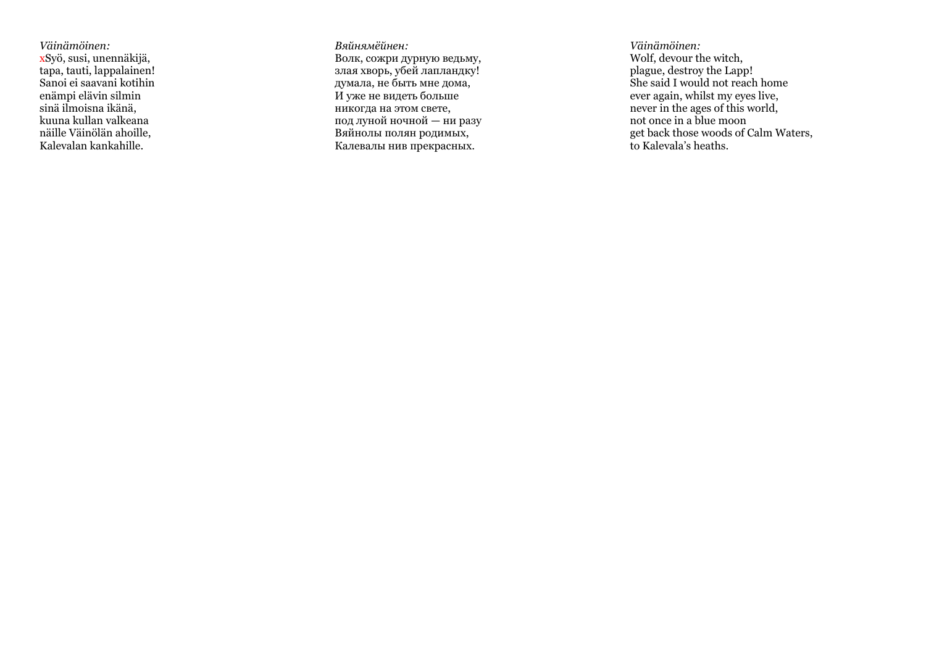*Väinämöinen:* xSyö, susi, unennäkijä, tapa, tauti, lappalainen! Sanoi ei saavani kotihin enämpi elävin silmin sinä ilmoisna ikänä, kuuna kullan valkeana näille Väinölän ahoille, Kalevalan kankahille.

*Вяйнямёйнен :* Волк, сожри дурную ведьму, злая хворь, убей лапландку! думала, не быть мне дома, И уже не видеть больше никогда на этом свете, под луной ночной — ни разу Вяйнолы полян родимых, Калевалы нив прекрасных .

*Väinämöinen:* Wolf, devour the witch, plague, destroy the Lapp! She said I would not reach home ever again, whilst my eyes live, never in the ages of this world, not once in a blue moon get back those woods of Calm Waters, to Kalevala's heaths.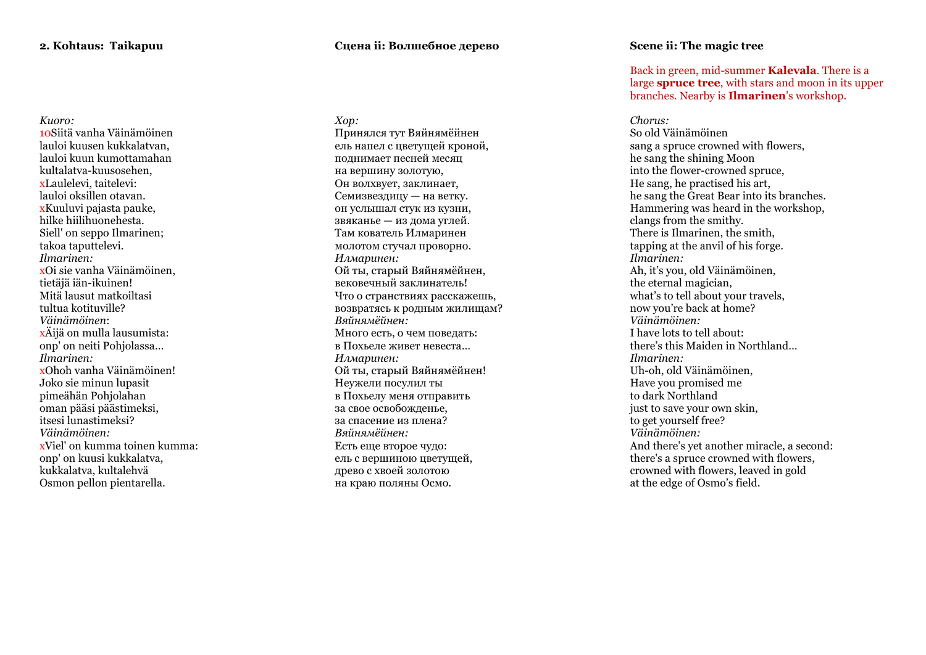## *Kuoro:* 10Siitä vanha Väinämöinen lauloi kuusen kukkalatvan, lauloi kuun kumottamahan kultalatva -kuusosehen, xLaulelevi, taitelevi: lauloi oksillen otavan. xKuuluvi pajasta pauke, hilke hiilihuonehesta. Siell' on seppo Ilmarinen; takoa taputtelevi. *Ilmarinen:* xOi sie vanha Väinämöinen, tietäjä iän -ikuinen! Mitä lausut matkoiltasi tultua kotituville?<br>Väinämöinen: *Väinämöinen*: xÄijä on mulla lausumista: onp' on neiti Pohjolassa … *Ilmarinen:* xOhoh vanha Väinämöinen! Joko sie minun lupasit pimeähän Pohjolahan oman pääsi päästimeksi, itsesi lunastimeksi? *Väinämöinen:* xViel' on kumma toinen kumma:

onp' on kuusi kukkalatva, kukkalatva, kultalehvä Osmon pellon pientarella.

## **Сцена ii: Волшебное дерево**

*Хор :* Принялся тут Вяйнямёйнен ель напел с цветущей кроной, поднимает песней месяц на вершину золотую, Он волхвует, заклинает, Семизвездицу — на ветку. он услышал стук из кузни, звяканье — из дома углей. Там кователь Илмаринен молотом стучал проворно. *Илмаринен :* Ой ты, старый Вяйнямёйнен, вековечный заклинатель! Что о странствиях расскажешь, возвратясь к родным жилищам? *Вяйнямёйнен :* Много есть, о чем поведать: в Похьеле живет невеста… *Илмаринен :* Ой ты, старый Вяйнямёйнен! Неужели посулил ты в Похьелу меня отправить за свое освобожденье, за спасение из плена? *Вяйнямёйнен :* Есть еще второе чудо: ель с вершиною цветущей, древо с хвоей золотою на краю поляны Осмо.

## **Scene ii: The magic tree**

Back in green, mid -summer **Kalevala**. There is a large **spruce tree**, with stars and moon in its upper branches. Nearby is **Ilmarinen**'s workshop.

## *Chorus:*

So old Väinämöinen sang a spruce crowned with flowers, he sang the shining Moon into the flower -crowned spruce, He sang, he practised his art, he sang the Great Bear into its branches. Hammering was heard in the workshop, clangs from the smithy. There is Ilmarinen, the smith, tapping at the anvil of his forge. *Ilmarinen:* Ah, it's you, old Väinämöinen, the eternal magician, what's to tell about your travels. now you're back at home? *Väinämöinen:* I have lots to tell about: there's this Maiden in Northland… *Ilmarinen:* Uh -oh, old Väinämöinen, Have you promised me to dark Northland just to save your own skin. to get yourself free? *Väinämöinen:* And there's yet another miracle, a second: there's a spruce crowned with flowers, crowned with flowers, leaved in gold at the edge of Osmo's field.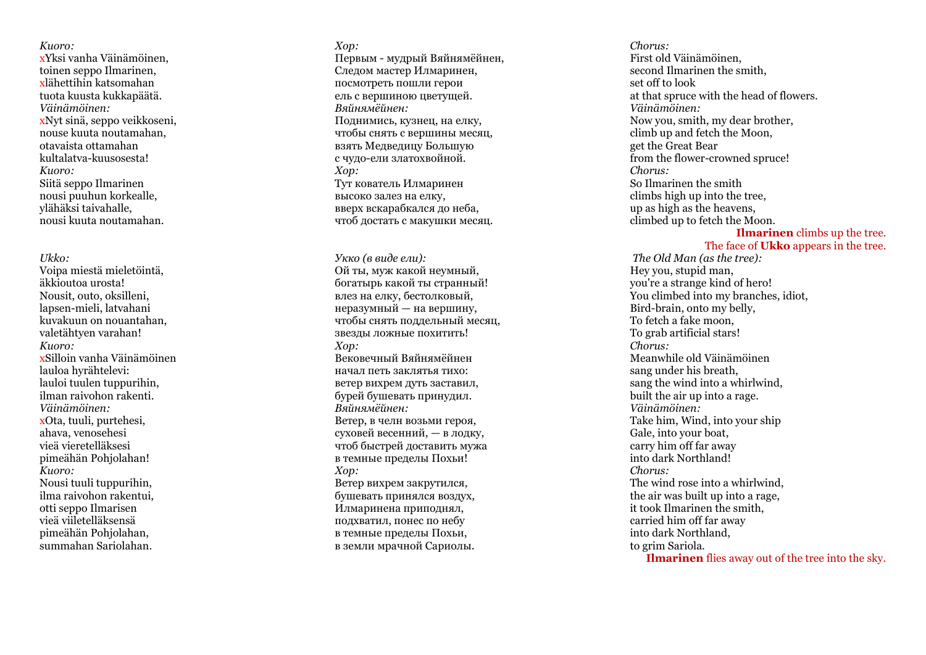*Kuoro:* xYksi vanha Väinämöinen, toinen seppo Ilmarinen, xlähettihin katsomahan tuota kuusta kukkapäätä. *Väinämöinen:* xNyt sinä, seppo veikkoseni, nouse kuuta noutamahan, otavaista ottamahan kultalatva -kuusosesta! *Kuoro:*  Siitä seppo Ilmarinen nousi puuhun korkealle, ylähäksi taivahalle, nousi kuuta noutamahan.

*Ukko :*

Voipa miestä mieletöintä, äkkioutoa urosta! Nousit, outo, oksilleni, lapsen -mieli, latvahani kuvakuun on nouantahan, valetähtyen varahan! *Kuoro:* xSilloin vanha Väinämöinen lauloa hyrähtelevi: lauloi tuulen tuppurihin, ilman raivohon rakenti. *Väinämöinen:* xOta, tuuli, purtehesi, ahava, venosehesi vieä vieretelläksesi pimeähän Pohjolahan! *Kuoro:* Nousi tuuli tuppurihin, ilma raivohon rakentui, otti seppo Ilmarisen vieä viiletelläksensä pimeähän Pohjolahan, summahan Sariolahan.

*Хор :* Первым - мудрый Вяйнямёйнен, Следом мастер Илмаринен, посмотреть пошли герои ель с вершиною цветущей. *Вяйнямёйнен :* Поднимись, кузнец, на елку, чтобы снять с вершины месяц, взять Медведицу Большую с чудо -ели златохвойной. *Хор :* Тут кователь Илмаринен высоко залез на елку, вверх вскарабкался до неба, чтоб достать с макушки месяц.

*Укко (в виде ели) :* Ой ты, муж какой неумный, богатырь какой ты странный! влез на елку, бестолковый, неразумный — на вершину, чтобы снять поддельный месяц, звезды ложные похитить ! *Хор :* Вековечный Вяйнямёйнен начал петь заклятья тихо: ветер вихрем дуть заставил, бурей бушевать принудил. *Вяйнямёйнен:* Ветер, в челн возьми героя, суховей весенний, — в лодку, чтоб быстрей доставить мужа в темные пределы Похьи! *Хор :* Ветер вихрем закрутился, бушевать принялся воздух, Илмаринена приподнял, подхватил, понес по небу в темные пределы Похьи, в земли мрачной Сариолы.

*Chorus:* First old Väinämöinen, second Ilmarinen the smith, set off to look at that spruce with the head of flowers. *Väinämöinen:* Now you, smith, my dear brother, climb up and fetch the Moon, get the Great Bear from the flower -crowned spruce! *Chorus:* So Ilmarinen the smith climbs high up into the tree, up as high as the heavens, climbed up to fetch the Moon.

### **Ilmarinen** climbs up the tree. The face of **Ukko** appears in the tree.

*The Old Man (as the tree):* Hey you , stupid man, you're a strange kind of hero! You climbed into my branches, idiot, Bird -brain, onto my belly, To fetch a fake moon, To grab artificial stars! *Chorus:* Meanwhile old Väinämöinen sang under his breath, sang the wind into a whirlwind, built the air up into a rage. *Väinämöinen:* Take him, Wind, into your ship Gale, into your boat, carry him off far away into dark Northland! *Chorus:* The wind rose into a whirlwind, the air was built up into a rage, it took Ilmarinen the smith, carried him off far away into dark Northland, to grim Sariola. **Ilmarinen** flies away out of the tree into the sky.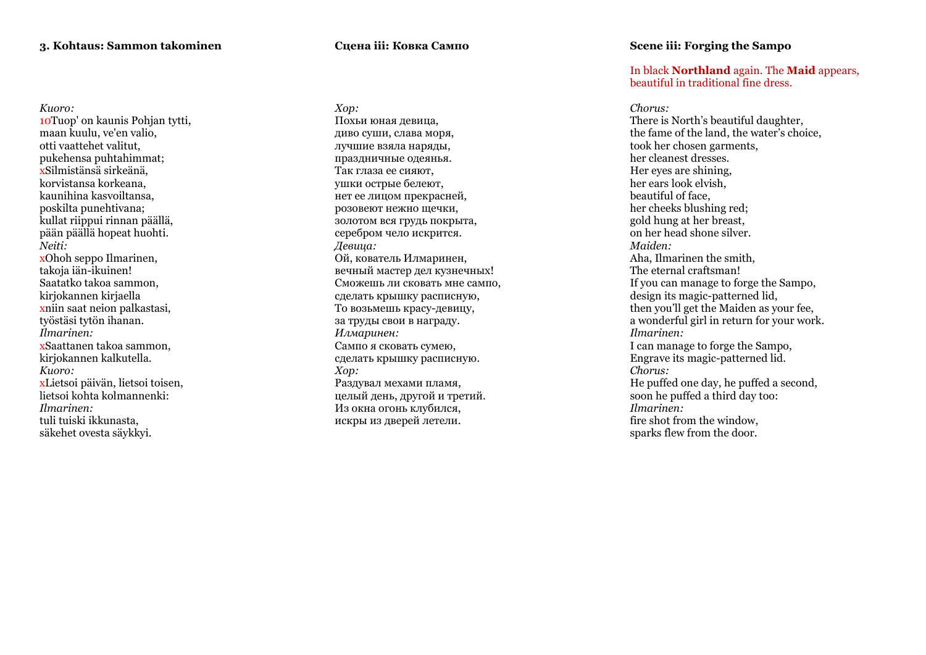## **3. Kohtaus: Sammon takominen**

## *Kuoro:* 10Tuop' on kaunis Pohjan tytti, maan kuulu, ve'en valio, otti vaattehet valitut, pukehensa puhtahimmat; xSilmistänsä sirkeänä, korvistansa korkeana, kaunihina kasvoiltansa, poskilta punehtivana; kullat riippui rinnan päällä, pään päällä hopeat huohti. *Neiti:* xOhoh seppo Ilmarinen, takoja iän -ikuinen! Saatatko takoa sammon, kirjokannen kirjaella xniin saat neion palkastasi, työstäsi tytön ihanan. *Ilmarinen:*

xSaattanen takoa sammon, kirjokannen kalkutella. *Kuoro:* xLietsoi päivän, lietsoi toisen,

lietsoi kohta kolmannenki: *Ilmarinen:*  tuli tuiski ikkunasta, säkehet ovesta säykkyi.

## **Сцена iii: Ковка Сампо**

*Хор :*

Похьи юная девица, диво суши, слава моря, лучшие взяла наряды, праздничные одеянья. Так глаза ее сияют, ушки острые белеют, нет ее лицом прекрасней, розовеют нежно щечки, золотом вся грудь покрыта, серебром чело искрится. *Девица:* Ой, кователь Илмаринен, вечный мастер дел кузнечных! Сможешь ли сковать мне сампо, сделать крышку расписную, То возьмешь красу -девицу, за труды свои в награду . *Илмаринен :* Сампо я сковать сумею, сделать крышку расписную . *Хор :* Раздувал мехами пламя, целый день, другой и третий. Из окна огонь клубился, искры из дверей летели.

## **Scene iii: Forging the Sampo**

## In black **Northland** again. The **Maid** appears, beautiful in traditional fine dress.

*Chorus:* There is North's beautiful daughter, the fame of the land, the water's choice, took her chosen garments, her cleanest dresses. Her eyes are shining, her ears look elvish, beautiful of face, her cheeks blushing red; gold hung at her breast, on her head shone silver. *Maiden:* Aha, Ilmarinen the smith, The eternal craftsman! If you can manage to forge the Sampo, design its magic -patterned lid, then you'll get the Maiden as your fee, a wonderful girl in return for your work. *Ilmarinen:* I can manage to forge the Sampo, Engrave its magic -patterned lid. *Chorus:* He puffed one day, he puffed a second, soon he puffed a third day too: *Ilmarinen:* fire shot from the window, sparks flew from the door.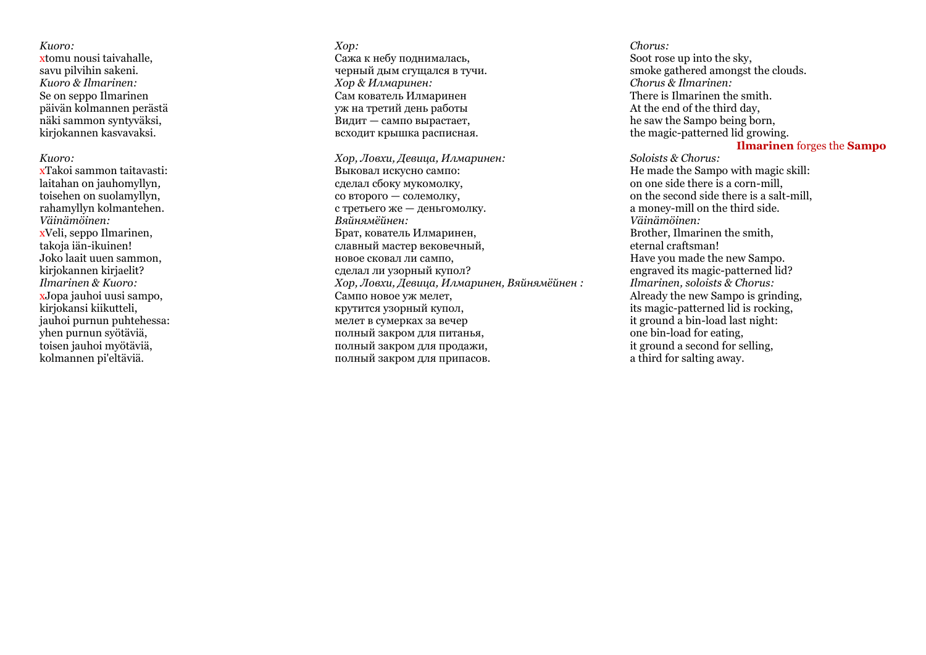## *Kuoro:*

xtomu nousi taivahalle, savu pilvihin sakeni. *Kuoro & Ilmarinen:*  Se on seppo Ilmarinen päivän kolmannen perästä näki sammon syntyväksi, kirjokannen kasvavaksi.

#### *Kuoro:*

xTakoi sammon taitavasti: laitahan on jauhomyllyn *,* toisehen on suolamyllyn, rahamyllyn kolmantehen. *Väinämöinen:* xVeli, seppo Ilmarinen, takoja iän -ikuinen! Joko laait uuen sammon, kirjokannen kirjaelit? *Ilmarinen & Kuoro:* xJopa jauhoi uusi sampo, kirjokansi kiikutteli, jauhoi purnun puhtehessa: yhen purnun syötäviä, toisen jauhoi myötäviä, kolmannen pi'eltäviä.

*Хор :* Сажа к небу поднималась, черный дым сгущался в тучи. *Хор & Илмаринен :* Сам кователь Илмаринен уж на третий день работы Видит — сампо вырастает, всходит крышка расписная.

*Хор, Ловхи, Девица, Илмаринен :* Выковал искусно сампо: сделал сбоку мукомолку, со второго — солемолку, с третьего же — деньгомолку. *Вяйнямёйнен:* Брат, кователь Илмаринен, славный мастер вековечный, новое сковал ли сампо, сделал ли узорный купол? *Хор, Ловхи, Девица, Илмаринен, Вяйнямёйнен :* Сампо новое уж мелет, крутится узорный купол, мелет в сумерках за вечер полный закром для питанья, полный закром для продажи, полный закром для припасов .

*Chorus:* Soot rose up into the sky, smoke gathered amongst the clouds. *Chorus & Ilmarinen:* There is Ilmarinen the smith . At the end of the third day, he saw the Sampo being born, the magic-patterned lid growing.

#### **Ilmarinen** forges the **Sampo**

*Soloists & Chorus:* He made the Sampo with magic skill: on one side there is a corn -mill, on the second side there is a salt -mill, a money -mill on the third side. *Väinämöinen:* Brother, Ilmarinen the smith, eternal craftsman! Have you made the new Sampo . engraved its magic -patterned lid? *Ilmarinen, soloists & Chorus:* Already the new Sampo is grinding, its magic -patterned lid is rocking, it ground a bin -load last night: one bin -load for eating, it ground a second for selling, a third for salting away.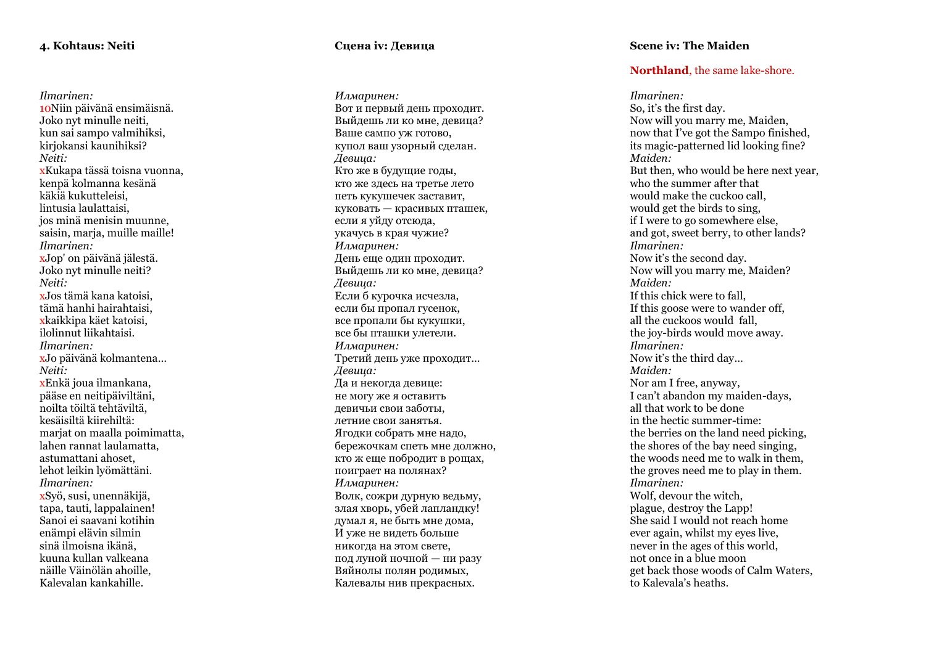## **4. Kohtaus: Neiti**

*Ilmarinen:* 10Niin päivänä ensimäisnä. Joko nyt minulle neiti, kun sai sampo valmihiksi, kirjokansi kaunihiksi? *Neiti:* xKukapa tässä toisna vuonna, kenpä kolmanna kesänä käkiä kukutteleisi, lintusia laulattaisi, jos minä menisin muunne, saisin, maria, muille maille! *Ilmarinen:* xJop' on päivänä jälestä. Joko nyt minulle neiti? *Neiti:* xJos tämä kana katoisi, tämä hanhi hairahtaisi, xkaikkipa käet katoisi, ilolinnut liikahtaisi. *Ilmarinen:* **x**Jo päivänä kolmantena... *Neiti:* xEnkä joua ilmankana, pääse en neitipäiviltäni, noilta töiltä tehtäviltä, kesäisiltä kiirehiltä: mariat on maalla poimimatta, lahen rannat laulamatta, astumattani ahoset, lehot leikin lyömättäni. *Ilmarinen:* xSyö, susi, unennäkijä, tapa, tauti, lappalainen! Sanoi ei saavani kotihin enämpi elävin silmin sinä ilmoisna ikänä, kuuna kullan valkeana näille Väinölän ahoille, Kalevalan kankahille.

## **Сцена i v: Девица**

*Илмаринен :* Вот и первый день проходит. Выйдешь ли ко мне, девица? Ваше сампо уж готово, купол ваш узорный сделан . *Девица:* Кто же в будущие годы, кто же здесь на третье лето петь кукушечек заставит, куковать — красивых пташек, если я уйду отсюда, укачусь в края чужие? *Илмаринен :* День еще один проходит. Выйдешь ли ко мне, девица? *Девица:* Если б курочка исчезла, если бы пропал гусенок, все пропали бы кукушки, все бы пташки улетели . *Илмаринен :* Третий день уже проходит … *Девица:* Да и некогда девице: не могу же я оставить девичьи свои заботы, летние свои занятья. Ягодки собрать мне надо, бережочкам спеть мне должно, кто ж еще побродит в рощах, поиграет на полянах ? *Илмаринен :* Волк, сожри дурную ведьму, злая хворь, убей лапландку! думал я, не быть мне дома, И уже не видеть больше никогда на этом свете, под луной ночной — ни разу Вяйнолы полян родимых, Калевалы нив прекрасных .

## **Scene iv: The Maiden**

## **Northland**, the same lake -shore.

*Ilmarinen:* So, it's the first day. Now will you marry me, Maiden, now that I've got the Sampo finished, its magic -patterned lid looking fine? *Maiden:* But then, who would be here next year, who the summer after that would make the cuckoo call, would get the birds to sing, if I were to go somewhere else, and got, sweet berry, to other lands? *Ilmarinen:* Now it's the second day. Now will you marry me, Maiden? *Maiden:* If this chick were to fall, If this goose were to wander off, all the cuckoos would fall, the joy -birds would move away. *Ilmarinen:* Now it's the third day … *Maiden:* Nor am I free, anyway, I can't abandon my maiden -days, all that work to be done in the hectic summer -time: the berries on the land need picking, the shores of the bay need singing, the woods need me to walk in them, the groves need me to play in them. *Ilmarinen:* Wolf, devour the witch, plague, destroy the Lapp! She said I would not reach home ever again, whilst my eyes live, never in the ages of this world, not once in a blue moon get back those woods of Calm Waters, to Kalevala's heaths.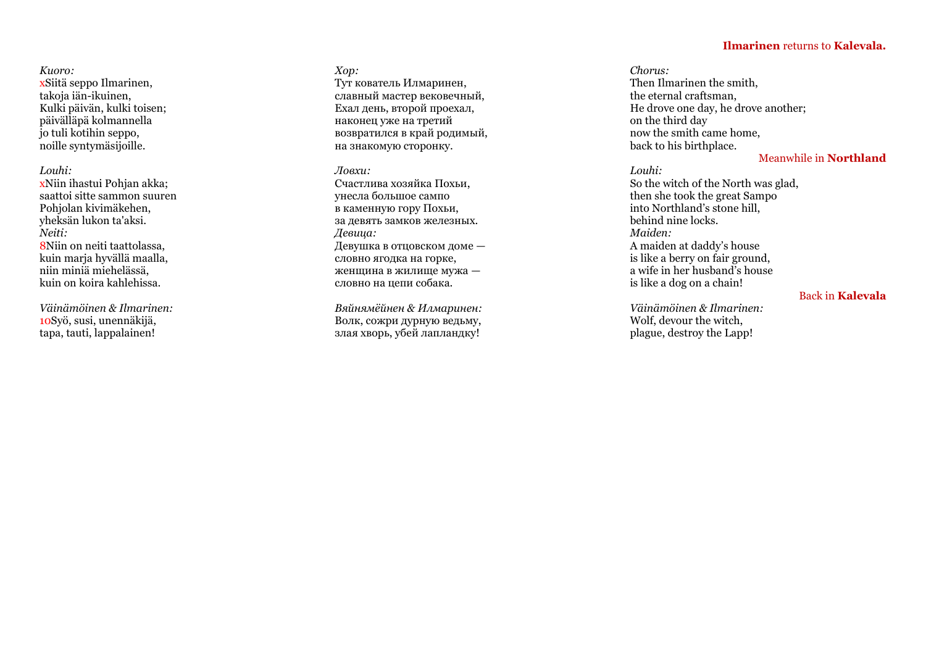## **Ilmarinen** returns to **Kalevala.**

## *Kuoro:* xSiitä seppo Ilmarinen, takoja iän -ikuinen, Kulki päivän, kulki toisen; päivälläpä kolmannella jo tuli kotihin seppo, noille syntymäsijoille.

## *Louhi:*

xNiin ihastui Pohjan akka; saattoi sitte sammon suuren Pohjolan kivimäkehen, yheksän lukon ta'aksi. *Neiti:* 8Niin on neiti taattolassa, kuin marja hyvällä maalla, niin miniä miehelässä, kuin on koira kahlehissa.

*Väinämöinen & Ilmarinen:* 10Syö, susi, unennäkijä, tapa, tauti, lappalainen!

## *Хор :*

Тут кователь Илмаринен, славный мастер вековечный, Ехал день, второй проехал, наконец уже на третий возвратился в край родимый, на знакомую сторонку.

## *Ловхи :*

Счастлива хозяйка Похьи, унесла большое сампо в каменную гору Похьи, за девять замков железных. *Девица:* Девушка в отцовском доме словно ягодка на горке, женщина в жилище мужа словно на цепи собака.

*Вяйнямёйнен & Илмаринен :* Волк, сожри дурную ведьму, злая хворь, убей лапландку!

*Chorus:* Then Ilmarinen the smith, the eternal craftsman, He drove one day, he drove another; on the third day now the smith came home, back to his birthplace.

## Meanwhile in **Northland**

## *Louhi:*

So the witch of the North was glad, then she took the great Sampo into Northland's stone hill, behind nine locks. *Maiden:* A maiden at daddy's house is like a berry on fair ground, a wife in her husband's house is like a dog on a chain!

## Back in **Kalevala**

*Väinämöinen & Ilmarinen:* Wolf, devour the witch, plague, destroy the Lapp!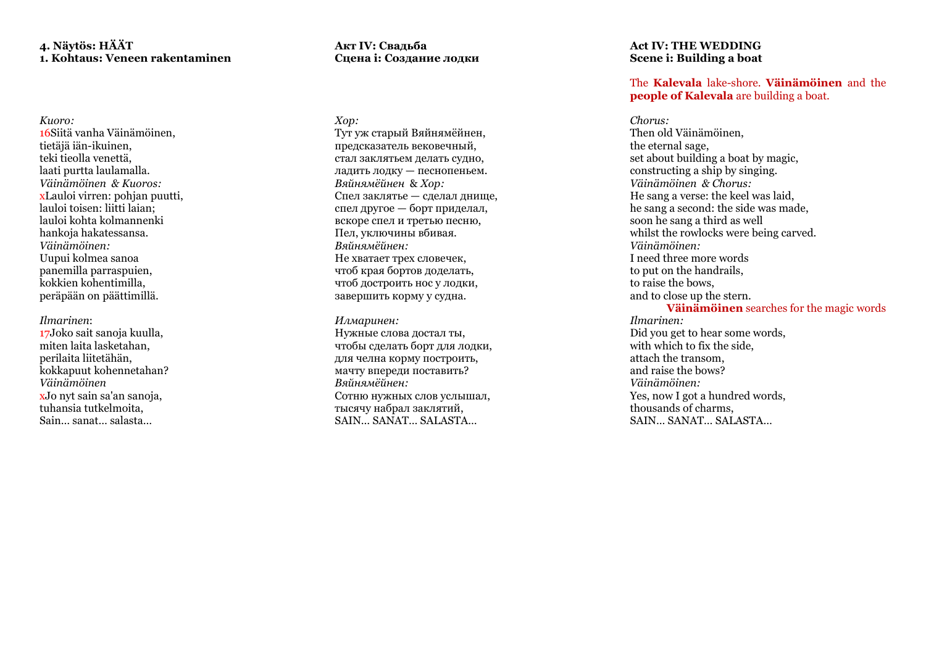## **4. Näytös: HÄÄT 1. Kohtaus: Veneen rakentaminen**

*Kuoro:* 16Siitä vanha Väinämöinen, tietäjä iän -ikuinen, teki tieolla venettä, laati purtta laulamalla. *Väinämöinen & Kuoros:* xLauloi virren: pohjan puutti, lauloi toisen: liitti laian; lauloi kohta kolmannenki hankoja hakatessansa. *Väinämöinen:* Uupui kolmea sanoa panemilla parraspuien, kokkien kohentimilla, peräpään on päättimillä.

## *Ilmarinen*:

17Joko sait sanoja kuulla, miten laita lasketahan, perilaita liitetähän, kokkapuut kohennetahan? *Väinämöinen* xJo nyt sain sa'an sanoja, tuhansia tutkelmoita, Sain… sanat… salasta…

## **Акт IV: Свадьба Сцена i: Создание лодки**

*Хор :* Тут уж старый Вяйнямёйнен, предсказатель вековечный, стал заклятьем делать судно, ладить лодку — песнопеньем . *Вяйнямёйнен* & *Хор :* Спел заклятье — сделал днище, спел другое — борт приделал, вскоре спел и третью песню, Пел, уключины вбивая. *Вяйнямёйнен :* Не хватает трех словечек, чтоб края бортов доделать, чтоб достроить нос у лодки, завершить корму у судна.

## *Илмаринен :*

Нужные слова достал ты, чтобы сделать борт для лодки, для челна корму построить, мачту впереди поставить? *Вяйнямёйнен :* Сотню нужных слов услышал, тысячу набрал заклятий, SAIN… SANAT… SALASTA…

## **Act IV: THE WEDDING Scene i: Building a boat**

## The **Kalevala** lake -shore. **Väinämöinen** and the **people of Kalevala** are building a boat.

## *Chorus:*

Then old Väinämöinen, the eternal sage, set about building a boat by magic, constructing a ship by singing. *Väinämöinen & Chorus:* He sang a verse: the keel was laid, he sang a second: the side was made, soon he sang a third as well whilst the rowlocks were being carved. *Väinämöinen:* I need three more words to put on the handrails, to raise the bows, and to close up the stern. **Väinämöinen** searches for the magic words *Ilmarinen:* Did you get to hear some words, with which to fix the side, attach the transom, and raise the bows? *Väinämöinen:* Yes, now I got a hundred words, thousands of charms, SAIN… SANAT… SALASTA…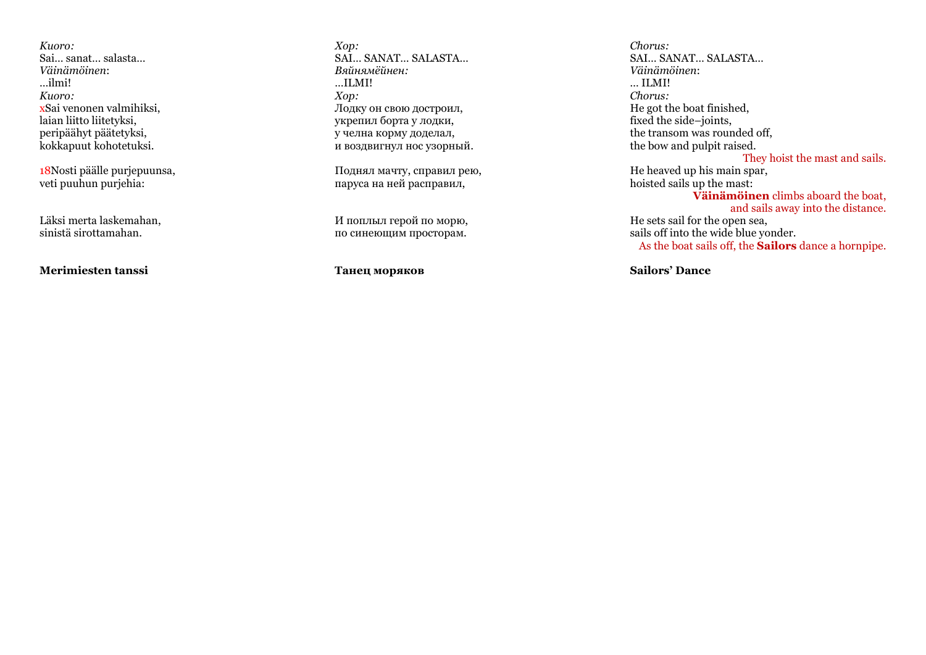*Kuoro:* Sai… sanat… salasta… *Väinämöinen*: …ilmi! *Kuoro:* xSai venonen valmihiksi, laian liitto liitetyksi, peripäähyt päätetyksi, kokkapuut kohotetuksi.

18Nosti päälle purjepuunsa, veti puuhun purjehia:

Läksi merta laskemahan, sinistä sirottamahan.

**Merimiesten tanssi**

*Хор :* SAI… SANAT… SALASTA… *Вяйнямёйнен :* …ILMI! *Хор :* Лодку он свою достроил, укрепил борта у лодки, у челна корму доделал, и воздвигнул нос узорный .

Поднял мачту, справил рею, паруса на ней расправил,

И поплыл герой по морю, по синеющим просторам.

**Танец моряков**

*Chorus:* SAI… SANAT… SALASTA… *Väinämöinen*: *…* ILMI! *Chorus:* He got the boat finished, fixed the side –joints, the transom was rounded off, the bow and pulpit raised. They hoist the mast and sails. He heaved up his main spar, hoisted sails up the mast: **Väinämöinen** climbs aboard the boat, and sails away into the distance . He sets sail for the open sea,

sails o ff into the wide blue yonder. As the boat sails off, the **Sailors** dance a hornpipe.

**Sailors' Dance**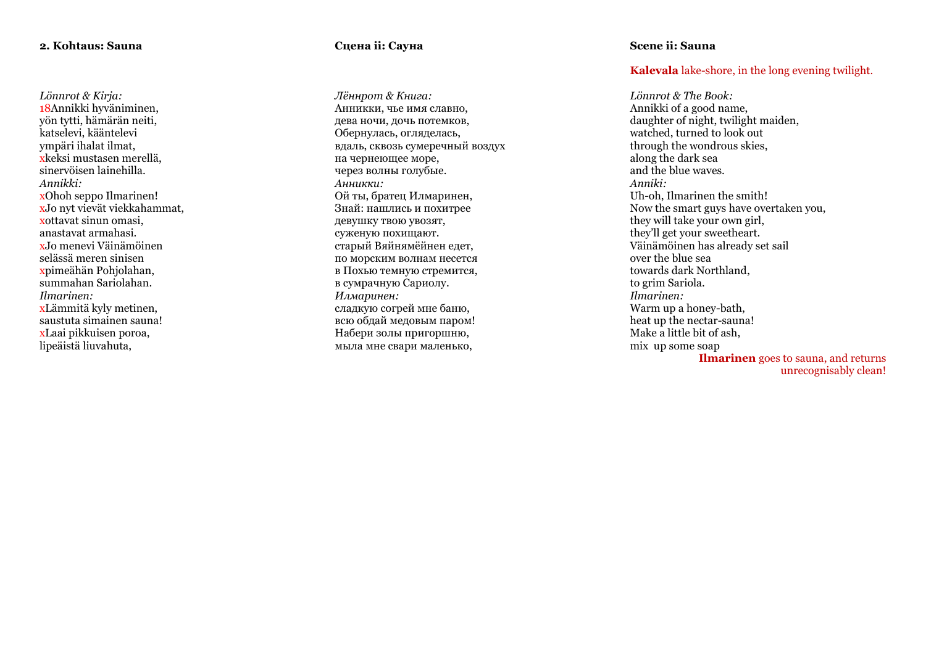## **2. Kohtaus: Sauna**

*Lönnrot & Kirja:* 18Annikki hyväniminen, yön tytti, hämärän neiti, katselevi, kääntelevi ympäri ihalat ilmat, xkeksi mustasen merellä, sinervöisen lainehilla. *Annikki:* xJo nyt vievät viekkahammat, xottavat sinun omasi, anastavat armahasi. xJo menevi Väinämöinen selässä meren sinisen xpimeähän Pohjolahan, summahan Sariolahan. *Ilmarinen:* xLämmitä kyly metinen, saustuta simainen sauna! xLaai pikkuisen poroa, lipeäistä liuvahuta,

## **Сцена ii: Сауна**

*Лённрот & Книга :* Анникки, чье имя славно, дева ночи, дочь потемков, Обернулась, огляделась, вдаль, сквозь сумеречный воздух на чернеющее море, через волны голубые. *Анникки :* Ой ты, братец Илмаринен, Знай: нашлись и похитрее девушку твою увозят, суженую похищают . старый Вяйнямёйнен едет, по морским волнам несется в Похью темную стремится, в сумрачную Сариолу. *Илмаринен :* сладкую согрей мне баню, всю обдай медовым паром! Набери золы пригоршню , мыла мне свари маленько,

## **Scene ii: Sauna**

## **Kalevala** lake -shore, in the long evening twilight.

*Lönnrot & The Book:* Annikki of a good name, daughter of night, twilight maiden, watched, turned to look out through the wondrous skies , along the dark sea and the blue waves. *Anniki:* Uh -oh, Ilmarinen the smith! Now the smart guys have overtaken you, they will take your own girl, they'll get your sweetheart. Väinämöinen has already set sail over the blue sea towards dark Northland, to grim Sariola. *Ilmarinen:* Warm up a honey -bath, heat up the nectar -sauna! Make a little bit of ash, mix up some soap **Ilmarinen** goes to sauna, and returns

unrecognisably clean!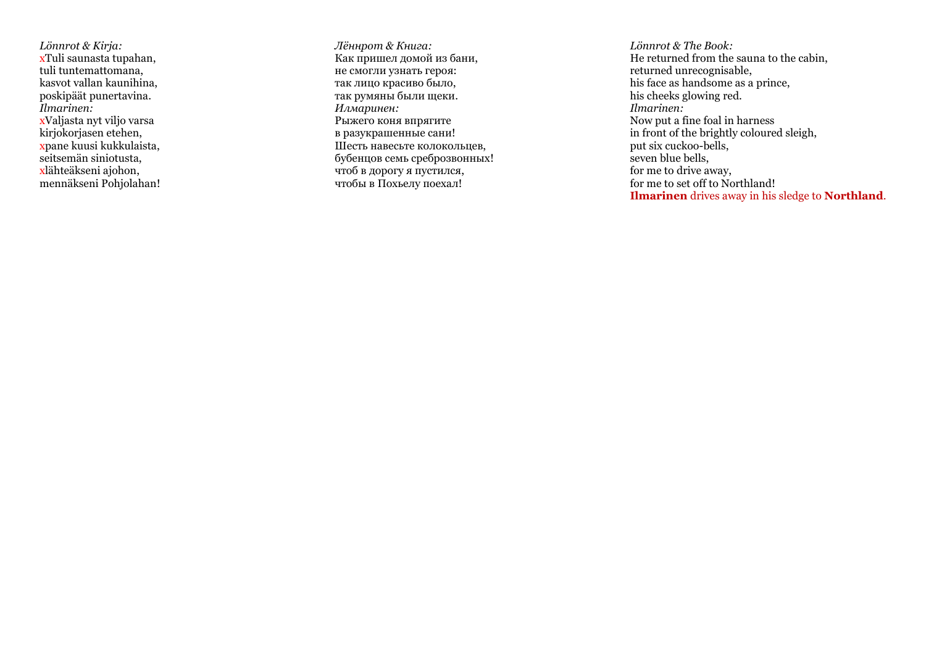*Lönnrot & Kirja:* xTuli saunasta tupahan, tuli tuntemattomana, kasvot vallan kaunihina, poskipäät punertavina. *Ilmarinen:* xValjasta nyt viljo varsa kirjokorjasen etehen, xpane kuusi kukkulaista, seitsemän siniotusta, xlähteäkseni ajohon, mennäkseni Pohjolahan!

*Лённрот & Книга :* Как пришел домой из бани, не смогли узнать героя: так лицо красиво было, так румяны были щеки. *Илмаринен :* Рыжего коня впрягите в разукрашенные сани! Шесть навесьте колокольцев, бубенцов семь среброзвонных ! чтоб в дорогу я пустился, чтобы в Похьелу поехал!

*Lönnrot & The Book:* He returned from the sauna to the cabin, returned unrecognisable, his face as handsome as a prince, his cheeks glowing red. *Ilmarinen:* Now put a fine foal in harness in front of the brightly coloured sleigh, put six cuckoo -bells, seven blue bells, for me to drive away, for me to set off to Northland! **Ilmarinen** drives away in his sledge to **Northland** .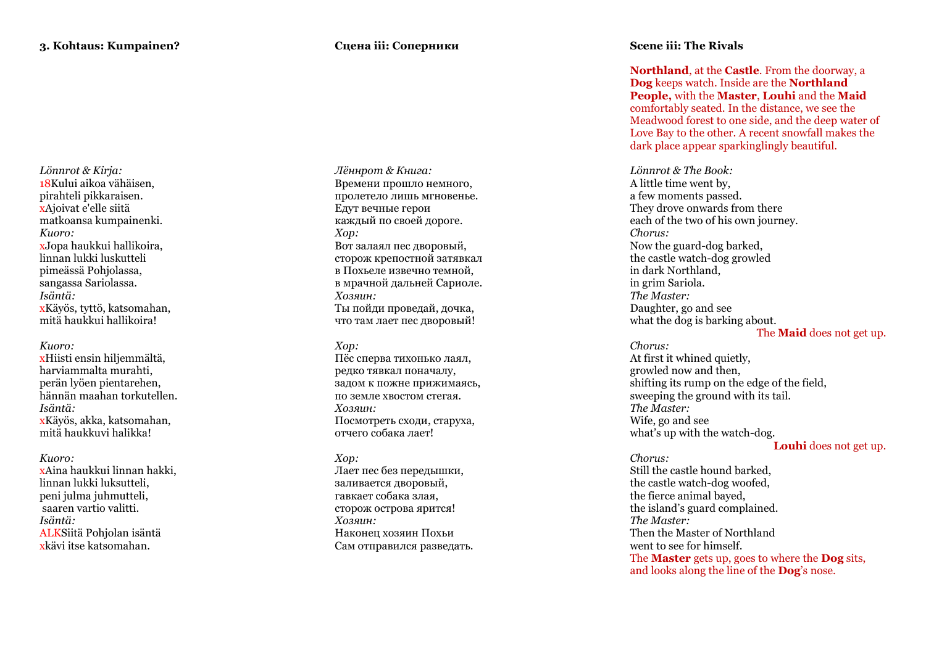**Сцена iii: Соперники**

*Lönnrot & Kirja:* 18Kului aikoa vähäisen, pirahteli pikkaraisen. xAjoivat e'elle siitä matkoansa kumpainenki. *Kuoro:* xJopa haukkui hallikoira, linnan lukki luskutteli pimeässä Pohjolassa, sangassa Sariolassa. *Isäntä:* xKäyös, tyttö, katsomahan, mitä haukkui hallikoira!

#### *Kuoro:*

xHiisti ensin hiljemmältä, harviammalta murahti, perän lyöen pientarehen, hännän maahan torkutellen. *Isäntä:* xKäyös, akka, katsomahan, mitä haukkuvi halikka!

*Kuoro:*

xAina haukkui linnan hakki, linnan lukki luksutteli, peni julma juhmutteli, saaren vartio valitti. *Isäntä:* ALKSiitä Pohjolan isäntä xkävi itse katsomahan.

*Лённрот & Книга :* Времени прошло немного, пролетело лишь мгновенье. Едут вечные герои каждый по своей дороге . *Хор :* Вот залаял пес дворовый, сторож крепостной затявкал в Похьеле извечно темной, в мрачной дальней Сариоле . *Хозяин :* Ты пойди проведай, дочка, что там лает пес дворовый!

#### *Хор :*

Пёс сперва тихонько лаял, редко тявкал поначалу, задом к пожне прижимаясь, по земле хвостом стегая. *Хозяин :* Посмотреть сходи, старуха, отчего собака лает!

#### *Хор :*

Лает пес без передышки, заливается дворовый, гавкает собака злая, сторож острова ярится! *Хозяин :* Наконец хозяин Похьи Сам отправился разведать.

## **Scene iii: The Rivals**

**Northland**, at the **Castle**. From the doorway, a **Dog** keeps watch. Inside are the **Northland People,** with the **Master**, **Louhi** and the **Maid** comfortably seated. In the distance, we see the Meadwood forest to one side, and the deep water of Love Bay to the other. A recent snowfall makes the dark place appear sparkinglingly beautiful.

*Lönnrot & The Book:* A little time went by, a few moments passed. They drove onwards from there each of the two of his own journey. *Chorus:* Now the guard -dog barked, the castle watch -dog growled in dark Northland, in grim Sariola. *The Master:* Daughter, go and see what the dog is barking about.

#### The **Maid** does not get up.

*Chorus:* At first it whined quietly, growled now and then, shifting its rump on the edge of the field, sweeping the ground with its tail. *The Master:* Wife, go and see what's up with the watch -dog. **Louhi** does not get up *.*

#### *Chorus:*

Still the castle hound barked, the castle watch -dog woofed, the fierce animal bayed, the island's guard complained. *The Master:* Then the Master of Northland went to see for himself. The **Master** gets up, goes to where the **Dog** sits, and looks along the line of the **Dog**'s nose.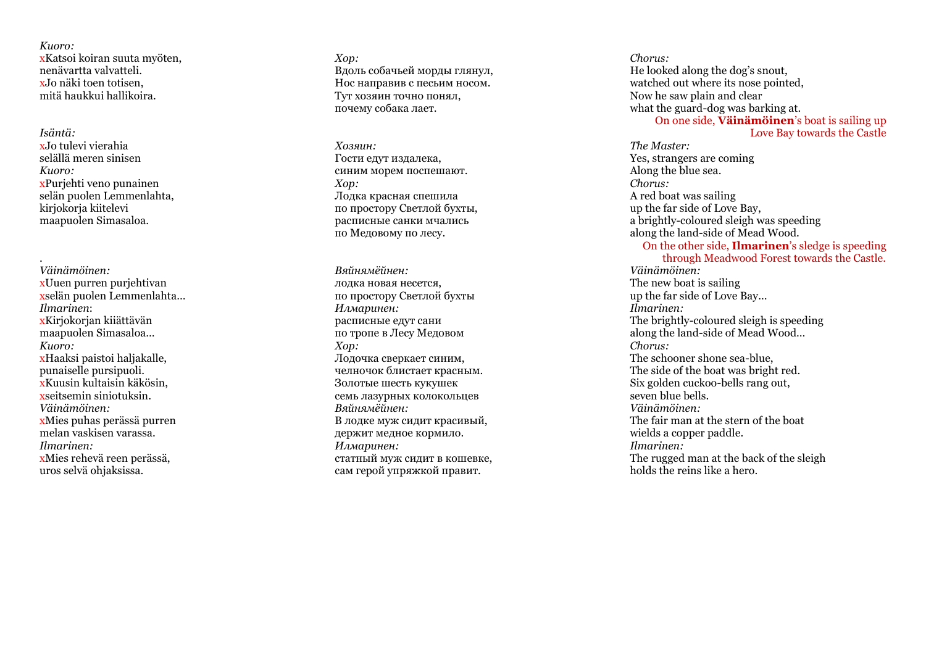*Kuoro:* xKatsoi koiran suuta myöten, nenävartta valvatteli. xJo näki toen totisen, mitä haukkui hallikoira.

*Isäntä:* xJo tulevi vierahia selällä meren sinisen *Kuoro :* xPurjehti veno punainen selän puolen Lemmenlahta, kirjokorja kiitelevi maapuolen Simasaloa.

. *Väinämöinen:* xUuen purren purjehtivan xselän puolen Lemmenlahta...<br>Ilmarinen *Ilmarinen*: xKirjokorjan kiiättävän maapuolen Simasaloa… *Kuoro:* xHaaksi paistoi haljakalle, punaiselle pursipuoli. xKuusin kultaisin käkösin, xseitsemin siniotuksin. *Väinämöinen:* xMies puhas perässä purren melan vaskisen varassa. *Ilmarinen:* xMies rehevä reen perässä, uros selvä ohjaksissa.

*Хор :* Вдоль собачьей морды глянул, Нос направив с песьим носом . Тут хозяин точно понял, почему собака лает.

*Хозяин :* Гости едут издалека, синим морем поспешают . *Хор :* Лодка красная спешила по простору Светлой бухты, расписные санки мчались по Медовому по лесу.

*Вяйнямёйнен :* лодка новая несется, по простору Светлой бухты *Илмаринен :* расписные едут сани по тропе в Лесу Медовом *Хор :* Лодочка сверкает синим, челночок блистает красным. Золотые шесть кукушек семь лазурных колокольцев *Вяйнямёйнен :* В лодке муж сидит красивый, держит медное кормило. *Илмаринен :* статный муж сидит в кошевке, сам герой упряжкой правит.

*Chorus:* He looked along the dog's snout, watched out where its nose pointed. Now he saw plain and clear what the guard -dog was barking at. On one side, **Väinämöinen**'s boat is sailing up

## Love Bay towards the Castle

*The Master:* Yes, strangers are coming Along the blue sea. *Chorus :* A red boat was sailing up the far side of Love Bay, a brightly -coloured sleigh was speeding along the land -side of Mead Wood.

On the other side, **Ilmarinen**'s sledge is speeding through Meadwood Forest towards the Castle. *Väinämöinen:* The new boat is sailing up the far side of Love Bay… *Ilmarinen:* The brightly -coloured sleigh is speeding along the land -side of Mead Wood… *Chorus:*  The schooner shone sea -blue, The side of the boat was brigh t red. Six golden cuckoo -bells rang out, seven blue bells. *Väinämöinen :* The fair man at the stern of the boat wields a copper paddle. *Ilmarinen:* The rugged man at the back of the sleigh holds the reins like a hero.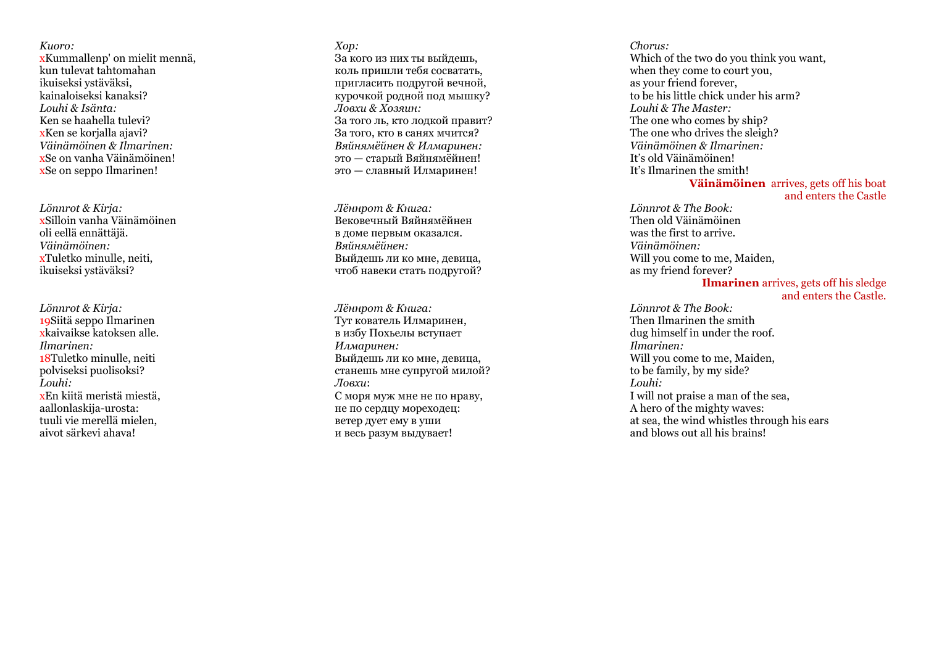*Kuoro:* xKummallenp' on mielit mennä, kun tulevat tahtomahan ikuiseksi ystäväksi, kainaloiseksi kanaksi? *Louhi & Isänta:* Ken se haahella tulevi? xKen se korialla ajavi? *Väinämöinen & Ilmarinen:* xSe on vanha Väinämöinen! xSe on seppo Ilmarinen!

*Lönnrot & Kirja :* xSilloin vanha Väinämöinen oli eellä ennättäjä. *Väinämöinen:* xTuletko minulle, neiti, ikuiseksi ystäväksi?

*Lönnrot & Kirja:* xkaivaikse katoksen alle. *Ilmarinen:* 18Tuletko minulle, neiti polviseksi puolisoksi? *Louhi:* xEn kiitä meristä miestä, aallonlaskija -urosta: tuuli vie merellä mielen, aivot särkevi ahava!

*Хор :* За кого из них ты выйдешь, коль пришли тебя сосватать, пригласить подругой вечной, курочкой родной под мышку? *Ловхи & Хозяин :* За того ль, кто лодкой правит? За того, кто в санях мчится? *Вяйнямёйнен & Илмаринен :* это — старый Вяйнямёйнен! это — славный Илмаринен!

*Лённрот & Книга :* Вековечный Вяйнямёйнен в доме первым оказался. *Вяйнямёйнен :* Выйдешь ли ко мне, девица, чтоб навеки стать подругой?

*Лённрот & Книга :* Тут кователь Илмаринен, в избу Похьелы вступает *Илмаринен :* Выйдешь ли ко мне, девица, станешь мне супругой милой? *Ловхи* : С моря муж мне не по нраву, не по сердцу мореходец: ветер дует ему в уши и весь разум выдувает !

*Chorus:*  Which of the two do you think you want, when they come to court you, as your friend forever, to be his little chick under his arm? *Louhi & The Master:* The one who comes by ship? The one who drives the sleigh? *Väinämöinen & Ilmarinen:* It's old Väinämöinen! It's Ilmarinen the smith!

## **Väinämöinen** arrives, gets off his boat and enters the Castle

*Lönnrot & The Book:* Then old Väinämöinen was the first to arrive. *Väinämöinen:* Will you come to me, Maiden, as my friend forever?

#### **Ilmarinen** arrives, gets o ff his sledge and enters the Castle.

*Lönnrot & The Book:* Then Ilmarinen the smith dug himself in under the roof. *Ilmarinen:* Will you come to me, Maiden, to be family, by my side? *Louhi:* I will not praise a man of the sea, A hero of the mighty waves: at sea, the wind whistles through his ears and blows out all his brains!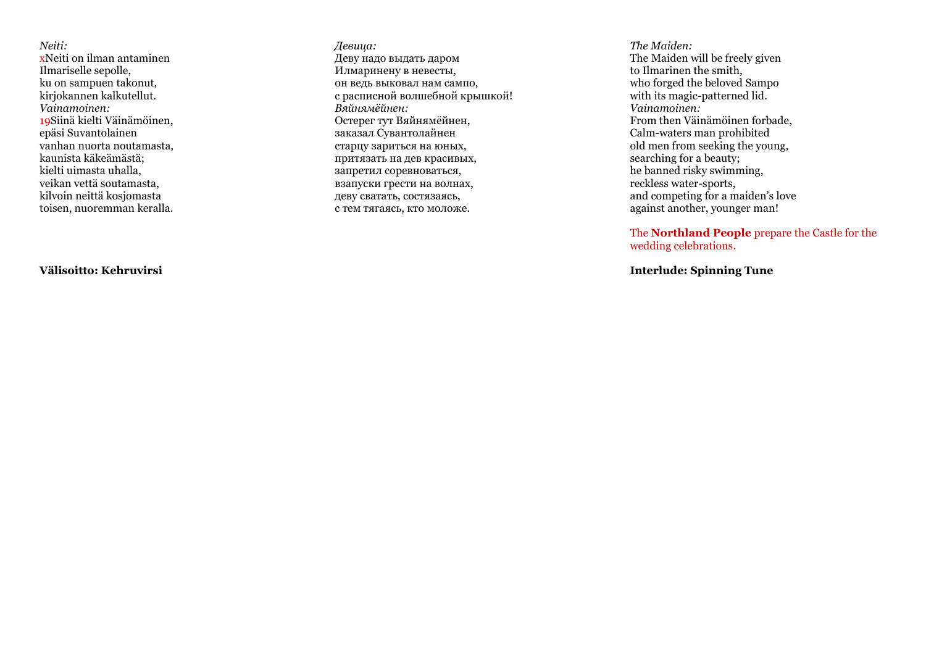*Neiti:* xNeiti on ilman antaminen Ilmariselle sepolle, ku on sampuen takonut, kirjokannen kalkutellut. *Vainamoinen:* 19Siinä kielti Väinämöinen, epäsi Suvantolainen vanhan nuorta noutamasta, kaunista käkeämästä; kielti uimasta uhalla, veikan vettä soutamasta, kilvoin neittä kosjomasta toisen, nuoremman keralla.

*Девица:* Деву надо выдать даром Илмаринену в невесты, он ведь выковал нам сампо, с расписной волшебной крышкой! *Вяйнямёйнен :* Остерег тут Вяйнямёйнен, заказал Сувантолайнен старцу зариться на юных, притязать на дев красивых, запретил соревноваться, взапуски грести на волнах, деву сватать, состязаясь, с тем тягаясь, кто моложе.

*The Maiden:* The Maiden will be freely given to Ilmarinen the smith, who forged the beloved Sampo with its magic -patterned lid. *Vainamoinen:* From then Väinämöinen forbade, Calm -waters man prohibited old men from seeking the young, searching for a beauty; he banned risky swimming, reckless water -sports, and competing for a maiden's love against another, younger man!

The **Northland People** prepare the Castle for the wedding celebrations.

**Interlude: Spinning Tune**

**Välisoitto: Kehruvirsi**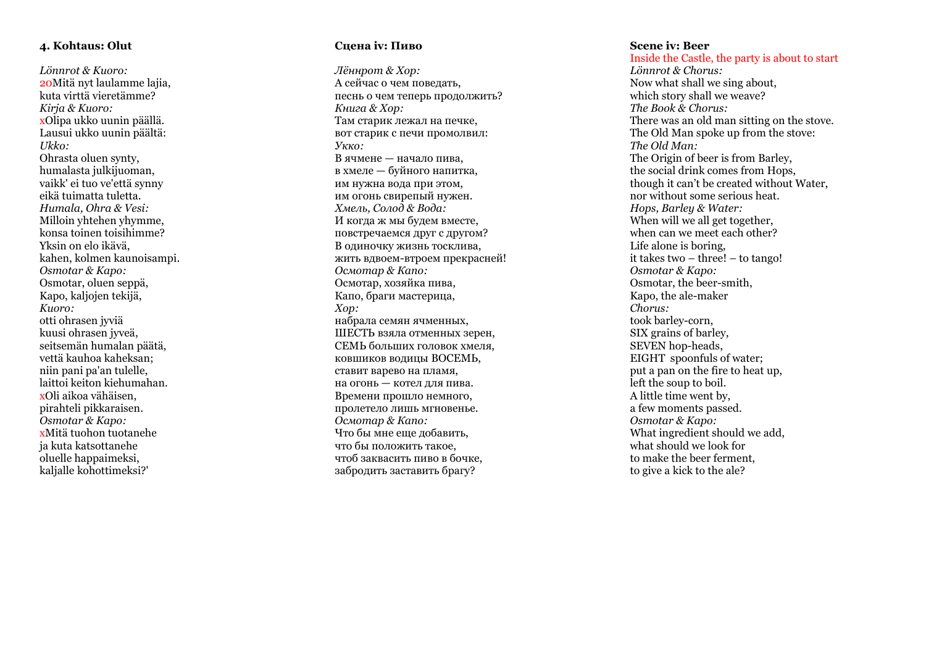## **4. Kohtaus: Olut**

*Lönnrot & Kuoro:* 20Mitä nyt laulamme lajia, kuta virttä vieretämme? *Kirja & Kuoro:* xOlipa ukko uunin päällä. Lausui ukko uunin päältä: *Ukko:* Ohrasta oluen synty, humalasta julkijuoman, vaikk' ei tuo ve'että synny eikä tuimatta tuletta. *Humala, Ohra & Vesi:*  Milloin yhtehen yhymme, konsa toinen toisihimme? Yksin on elo ikävä, kahen, kolmen kaunoisampi . *Osmotar & Kapo:* Osmotar, oluen seppä, Kapo, kaljojen tekijä, *Kuoro:* otti ohrasen jyviä kuusi ohrasen jyveä, seitsemän humalan päätä, vettä kauhoa kaheksan; niin pani pa'an tulelle, laittoi keiton kiehumahan. xOli aikoa vähäisen, pirahteli pikkaraisen. *Osmotar & Kapo:* xMitä tuohon tuotanehe ja kuta katsottanehe oluelle happaimeksi, kaljalle kohottimeksi?'

## **Сцена iv: Пиво**

*Лённрот & Хор :* А сейчас о чем поведать, песнь о чем теперь продолжить? *Книга & Хор :* Там старик лежал на печке, вот старик с печи промолвил: *Укко :* В ячмене — начало пива, в хмеле — буйного напитка, им нужна вода при этом, им огонь свирепый нужен. *Хмель, Солод & Вода:* И когда ж мы будем вместе, повстречаемся друг с другом? В одиночку жизнь тосклива, жить вдвоем -втроем прекрасней! *Осмотар & Капо:* Осмотар, хозяйка пива, Капо, браги мастерица, *Хор :* набрала семян ячменных, ШЕСТЬ взяла отменных зерен, СЕМЬ больших головок хмеля , ковшиков водицы ВОСЕМЬ , ставит варево на пламя, на огонь — котел для пива. Времени прошло немного, пролетело лишь мгновенье. *Осмотар & Капо:* Что бы мне еще добавить, что бы положить такое, чтоб заквасить пиво в бочке, забродить заставить брагу?

#### **Scene iv: Beer**

Inside the Castle, the party is about to start *Lönnrot & Chorus:* Now what shall we sing about, which story shall we weave? *The Book & Chorus:* There was an old man sitting on the stove. The Old Man spoke up from the stove: *The Old Man:* The Origin of beer is from Barley, the social drink comes from Hops, though it can't be created without Water, nor without some serious heat. *Hops, Barley & Water:* When will we all get together, when can we meet each other? Life alone is boring, it takes two – three! – to tango! *Osmotar & Kapo:* Osmotar, the beer -smith, Kapo, the ale -maker *Chorus:* took barley -corn, SIX grains of barley, SEVEN hop -heads, EIGHT spoonfuls of water; put a pan on the fire to heat up, left the soup to boil. A little time went by, a few moments passed. *Osmotar & Kapo:* What ingredient should we add, what should we look for to make the beer ferment, to give a kick to the ale?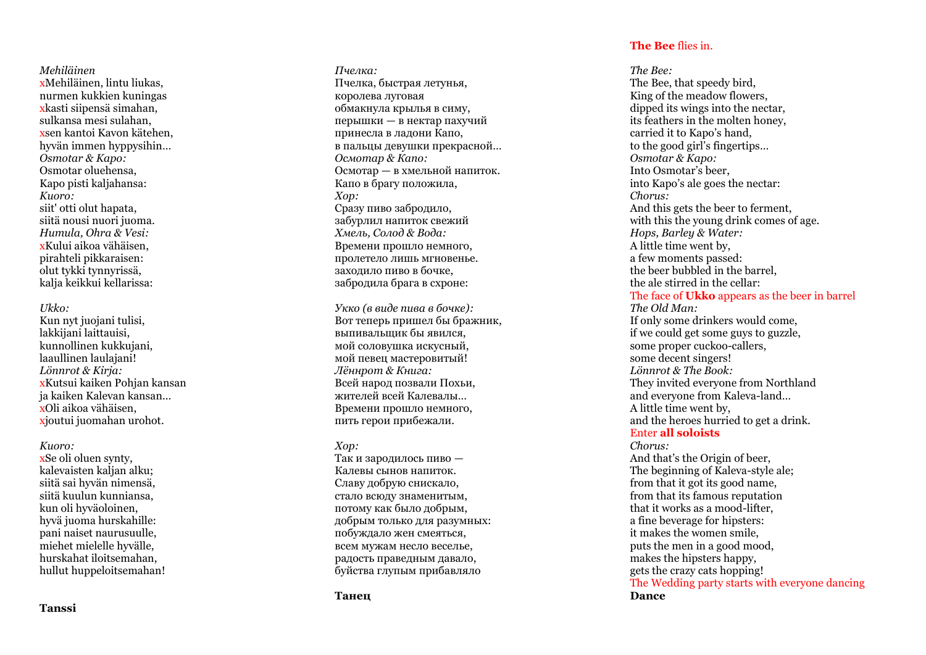*Mehiläinen* xMehiläinen, lintu liukas, nurmen kukkien kuningas xkasti siipensä simahan, sulkansa mesi sulahan , xsen kantoi Kavon kätehen, hyvän immen hyppysihin… *Osmotar & Kapo:* Osmotar oluehensa, Kapo pisti kaljahansa: *Kuoro:* siit' otti olut hapata, siitä nousi nuori juoma . *Humula, Ohra & Vesi :* xKului aikoa vähäisen, pirahteli pikkaraisen: olut tykki tynnyrissä, kalja keikkui kellarissa:

#### *Ukko:*

Kun nyt juojani tulisi, lakkijani laittauisi, kunnollinen kukkujani, laaullinen laulajani! *Lönnrot & Kirja:* xKutsui kaiken Pohjan kansan ja kaiken Kalevan kansan...<br>xOli aikoa vähäisen. xioutui juomahan urohot.

#### *Kuoro:*

xSe oli oluen synty, kalevaisten kaljan alku; siitä sai hyvän nimensä, siitä kuulun kunniansa, kun oli hyväoloinen, hyvä juoma hurskahille: pani naiset naurusuulle, miehet mielelle hyvälle, hurskahat iloitsemahan, hullut huppeloitsemahan!

*Пчелка :* Пчелка, быстрая летунья, королева луговая обмакнула крылья в симу, перышки — в нектар пахучий принесла в ладони Капо, в пальцы девушки прекрасной … *Осмотар & Капо:* Осмотар — в хмельной напиток. Капо в брагу положила, *Хор :* Сразу пиво забродило, забурлил напиток свежий *Хмель, Солод & Вода:* Времени прошло немного, пролетело лишь мгновенье. заходило пиво в бочке, забродила брага в схроне:

*Укко (в виде пива в бочке) :* Вот теперь пришел бы бражник, выпивальщик бы явился, мой соловушка искусный, мой певец мастеровитый! *Лённрот & Книга :* Всей народ позвали Похьи, жителей всей Калевалы… Времени прошло немного, пить герои прибежали.

## *Хор :*

Так и зародилось пиво — Калевы сынов напиток. Славу добрую снискало, стало всюду знаменитым, потому как было добрым, добрым только для разумных: побуждало жен смеяться, всем мужам несло веселье, радость праведным давало, буйства глупым прибавляло

## **The Bee** flies in.

*The Bee:* The Bee, that speedy bird, King of the meadow flowers, dipped its wings into the nectar, its feathers in the molten honey, carried it to Kapo's hand, to the good girl's fingertips… *Osmotar & Kapo:* Into Osmotar's beer, into Kapo's ale goes the nectar: *Chorus:* And this gets the beer to ferment, with this the young drink comes of age. *Hops, Barley & Water :* A little time went by, a few moments passed: the beer bubbled in the barrel, the ale stirred in the cellar: The face of **Ukko** appears as the beer in barrel *The Old Man:* If only some drinkers would come, if we could get some guys to guzzle, some proper cuckoo -callers, some decent singers! *Lönnrot & The Book:* They invited everyone from Northland and everyone from Kaleva -land… A little time went by, and the heroes hurried to get a drink. Enter **all soloists** *Chorus:* And that's the Origin of beer, The beginning of Kaleva -style ale; from that it got its good name, from that its famous reputation that it works as a mood -lifter, a fine beverage for hipsters: it makes the women smile, puts the men in a good mood, makes the hipsters happy, gets the crazy cats hopping!

The Wedding party starts with everyone dancing **Dance**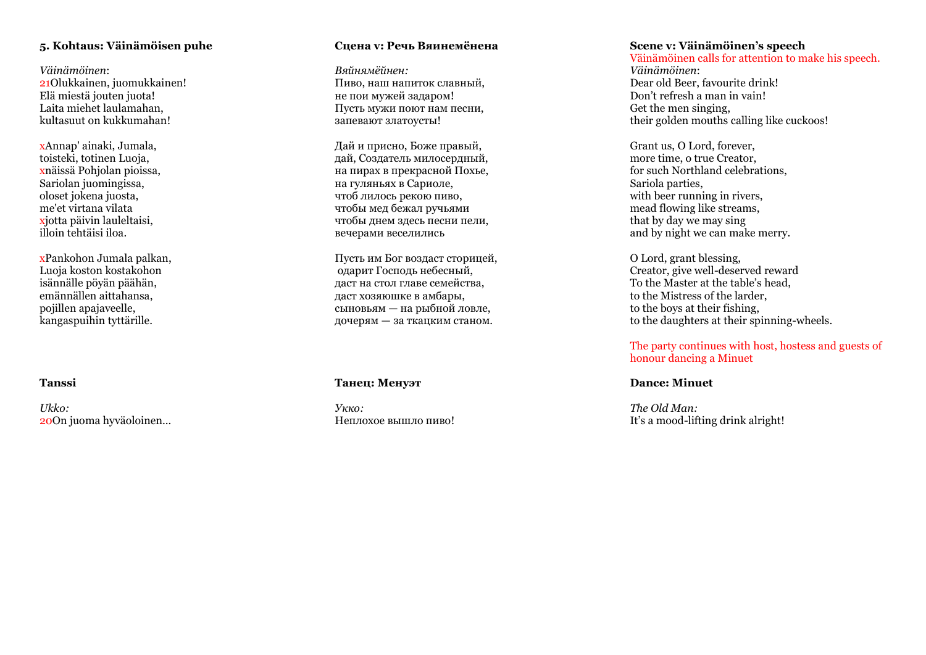## **5. Kohtaus: Väinämöisen puhe**

*Väinämöinen* : 21Olukkainen, juomukkainen! Elä miestä jouten juota! Laita miehet laulamahan, kultasuut on kukkumahan!

xAnnap' ainaki, Jumala, toisteki, totinen Luoja, xnäissä Pohjolan pioissa, Sariolan juomingissa, oloset jokena juosta, me'et virtana vilata xjotta päivin lauleltaisi, illoin tehtäisi iloa.

xPankohon Jumala palkan, Luoja koston kostakohon isännälle pöyän päähän, emännällen aittahansa, pojillen apajaveelle, kangaspuihin tyttärille.

**Tanssi**

*Ukko:* 20On juoma hyväoloinen...

## **Сцена v: Речь Вяинемёнена**

*Вяйнямёйнен :* Пиво, наш напиток славный, не пои мужей задаром! Пусть мужи поют нам песни, запевают златоусты!

Дай и присно, Боже правый, дай, Создатель милосердный, на пирах в прекрасной Похье, на гуляньях в Сариоле, чтоб лилось рекою пиво, чтобы мед бежал ручьями чтобы днем здесь песни пели, вечерами веселились

Пусть им Бог воздаст сторицей, одарит Господь небесный, даст на стол главе семейства, даст хозяюшке в амбары, сыновьям — на рыбной ловле, дочерям — за ткацким станом .

## **Танец: Менуэт**

*Укко :* Неплохое вышло пиво!

## **Scene v: Väinämöinen's speech**

Väinämöinen calls for attention to make his speech. *Väinämöinen* : Dear old Beer, favourite drink! Don't refresh a man in vain! Get the men singing, their golden mouths calling like cuckoos!

Grant us, O Lord, forever, more time, o true Creator, for such Northland celebrations, Sariola parties, with beer running in rivers, mead flowing like streams, that by day we may sing and by night we can make merry.

O Lord, grant blessing, Creator, give well -deserved reward To the Master at the table's head , to the Mistress of the larder, to the boys at their fishing, to the daughters at their spinning -wheels.

## The party continues with host, hostess and guests of honour dancing a Minuet

## **Dance: Minuet**

*The Old Man:* It's a mood -lifting drink alright!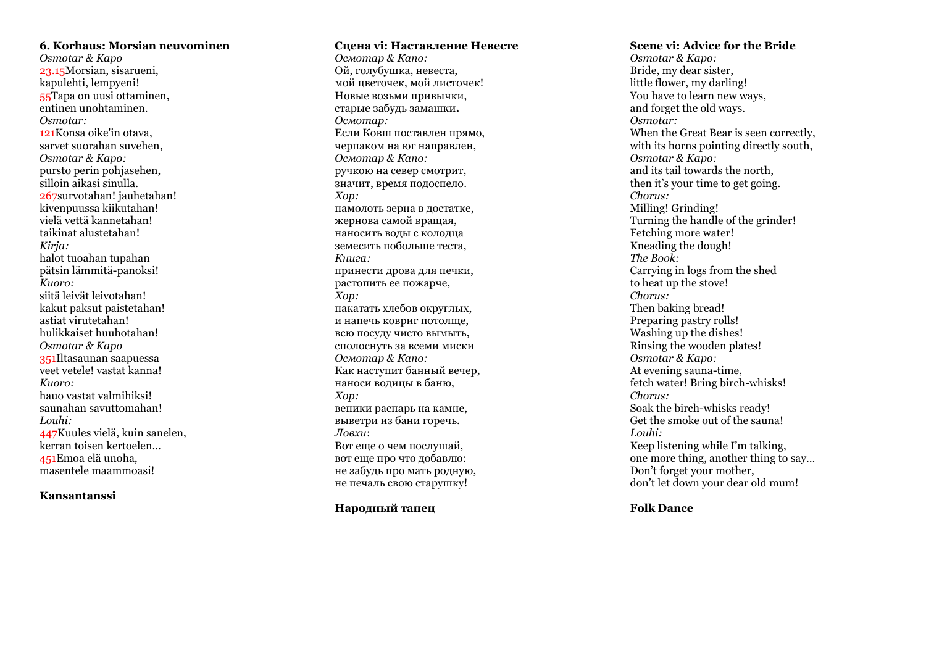## **6. Korhaus: Morsian neuvominen**

*Osmotar & Kapo*  23.15Morsian, sisarueni, kapulehti, lempyeni! 55Tapa on uusi ottaminen, entinen unohtaminen. *Osmotar:*  121Konsa oike'in otava, sarvet suorahan suvehen, *Osmotar & Kapo:*  pursto perin pohjasehen, silloin aikasi sinulla. 267survotahan! jauhetahan! kivenpuussa kiikutahan! vielä vettä kannetahan! taikinat alustetahan! *Kirja:*  halot tuoahan tupahan pätsin lämmitä -panoksi! *Kuoro:* siitä leivät leivotahan! kakut paksut paistetahan! astiat virutetahan! hulikkaiset huuhotahan! *Osmotar & Kapo*  351Iltasaunan saapuessa veet vetele! vastat kanna! *Kuoro:* hauo vastat valmihiksi! saunahan savuttomahan! *Louhi :* 447Kuules vielä, kuin sanelen, kerran toisen kertoelen... 451Emoa elä unoha, masentele maammoasi!

## **Kansantanssi**

**Сцена vi: Наставление Невесте**

*Осмотар & Капо:* Ой, голубушка, невеста, мой цветочек, мой листочек! Новые возьми привычки, старые забудь замашки **.** *Осмотар :* Если Ковш поставлен прямо, черпаком на юг направлен, *Осмотар & Капо:* ручкою на север смотрит, значит, время подоспело . *Хор :* намолоть зерна в достатке, жернова самой вращая, наносить воды с колодца земесить побольше теста, *Книга :* принести дрова для печки, растопить ее пожарче, *Хор :* накатать хлебов округлых, и напечь ковриг потолще, всю посуду чисто вымыть, сполоснуть за всеми миски *Осмотар & Капо:* Как наступит банный вечер, наноси водицы в баню, *Хор :* веники распарь на камне, выветри из бани горечь. *Ловхи* : Вот еще о чем послушай, вот еще про что добавлю: не забудь про мать родную, не печаль свою старушку!

## **Народный танец**

#### **Scene vi: Advice for the Bride**

*Osmotar & Kapo:* Bride, my dear sister, little flower, my darling! You have to learn new ways, and forget the old ways. *Osmotar:* When the Great Bear is seen correctly, with its horns pointing directly south, *Osmotar & Kapo:* and its tail towards the north, then it's your time to get going. *Chorus:* Milling! Grinding! Turning the handle of the grinder! Fetching more water! Kneading the dough! *The Book:* Carrying in logs from the shed to heat up the stove! *Chorus:* Then baking bread! Preparing pastry rolls! Washing up the dishes! Rinsing the wooden plates! *Osmotar & Kapo:* At evening sauna -time, fetch water! Bring birch -whisks! *Chorus:* Soak the birch -whisks ready! Get the smoke out of the sauna! *Louhi:* Keep listening while I'm talking, one more thing, another thing to say… Don't forget your mother, don't let down your dear old mum!

## **Folk Dance**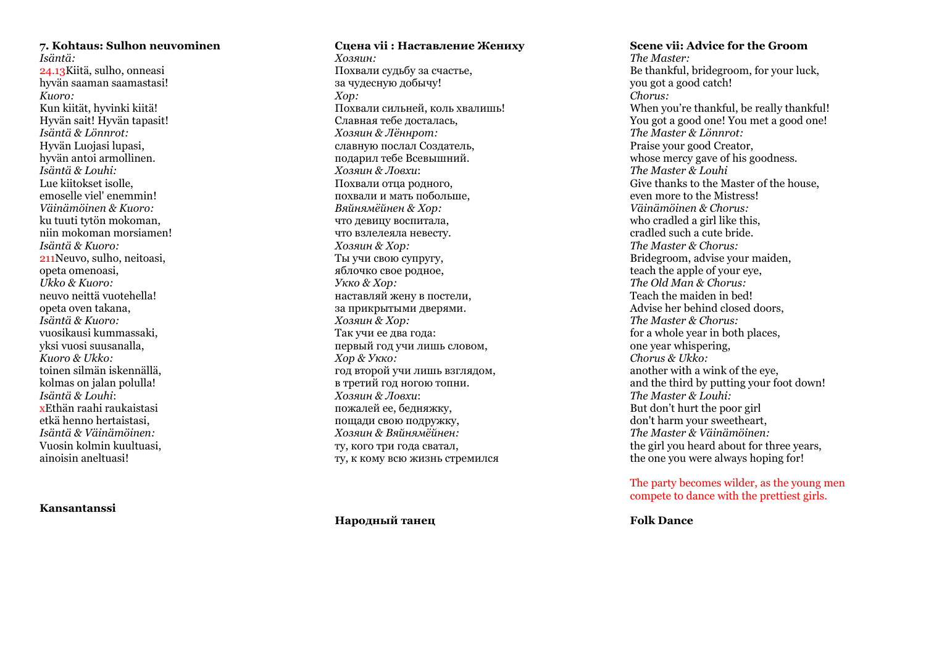## **7. Kohtaus: Sulhon neuvominen**

*Isäntä:* 24.13Kiitä, sulho, onneasi hyvän saaman saamastasi! *Kuoro:*  Kun kiität, hyvinki kiitä! Hyvän sait! Hyvän tapasit! *Isäntä & Lönnrot:* Hyvän Luojasi lupasi, hyvän antoi armollinen. *Isäntä & Louhi:* Lue kiitokset isolle, emoselle viel' enemmin! *Väinämöinen & Kuoro:* ku tuuti tytön mokoman, niin mokoman morsiamen! *Isäntä & Kuoro:*  211Neuvo, sulho, neitoasi, opeta omenoasi, *Ukko & Kuoro:* neuvo neittä vuotehella! opeta oven takana, *Isäntä & Kuoro:* vuosikausi kummassaki, yksi vuosi suusanalla, *Kuoro & Ukko:* toinen silmän iskennällä, kolmas on jalan polulla! *Isäntä & Louhi* : xEthän raahi raukaistasi etkä henno hertaistasi, *Isäntä & Väinämöinen:* Vuosin kolmin kuultuasi, ainoisin aneltuasi!

## **Kansantanssi**

## **Сцена vii : Наставление Жениху** *Хозяин :* Похвали судьбу за счастье, за чудесную добычу! *Хор :* Похвали сильней, коль хвалишь! Славная тебе досталась, *Хозяин & Лённрот :* славную послал Создатель, подарил тебе Всевышний. *Хозяин & Ловхи* : Похвали отца родного, похвали и мать побольше, *Вяйнямёйнен & Хор :* что девицу воспитала, что взлелеяла невесту. *Хозяин & Хор :* Ты учи свою супругу, яблочко свое родное, *Укко & Хор :* наставляй жену в постели, за прикрытыми дверями. *Хозяин & Хор :* Так учи ее два года: первый год учи лишь словом, *Хор & Укко :* год второй учи лишь взглядом, в третий год ногою топни. *Хозяин & Ловхи* : пожалей ее, бедняжку, пощади свою подружку,

*Хозяин & Вяйнямёйнен :* ту, кого три года сватал, ту, к кому всю жизнь стремился

## **Народный танец**

## **Scene vii: Advice for the Groom**

*The Master:* Be thankful, bridegroom, for your luck, you got a good catch! *Chorus:* When you're thankful, be really thankful! You got a good one! You met a good one! *The Master & Lönnrot:* Praise your good Creator, whose mercy gave of his goodness. *The Master & Louhi* Give thanks to the Master of the house, even more to the Mistress! *Väinämöinen & Chorus:* who cradled a girl like this, cradled such a cute bride. *The Master & Chorus:* Bridegroom, advise your maiden, teach the apple of your eye, *The Old Man & Chorus:* Teach the maiden in bed! Advise her behind closed doors, *The Master & Chorus:* for a whole year in both places, one year whispering, *Chorus & Ukko:* another with a wink of the eye, and the third by putting your foot down! *The Master & Louhi:* But don't hurt the poor girl don't harm your sweetheart, *The Master & Väinämöinen:* the girl you heard about for three years, the one you were always hoping for!

## The party becomes wilder, as the young men compete to dance with the prettiest girls.

**Folk Dance**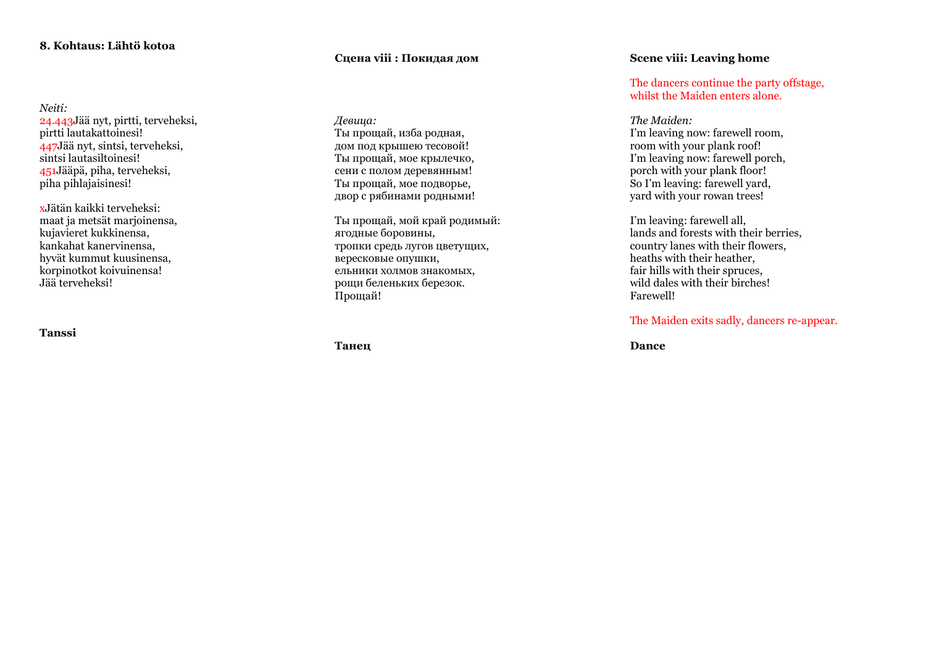## **8. Kohtaus: Lähtö kotoa**

*Neiti:* 24.443Jää nyt, pirtti, terveheksi, pirtti lautakattoinesi! 447Jää nyt, sintsi, terveheksi, sintsi lautasiltoinesi! 451Jääpä, piha, terveheksi, piha pihlajaisinesi!

xJätän kaikki terveheksi: maat ja metsät marjoinensa, kujavieret kukkinensa, kankahat kanervinensa, hyvät kummut kuusinensa, korpinotkot koivuinensa! Jää terveheksi!

**Tanssi**

## **Сцена viii : Покидая дом**

*Девица :* Ты прощай, изба родная, дом под крышею тесовой! Ты прощай, мое крылечко, сени с полом деревянным! Ты прощай, мое подворье, двор с рябинами родными!

Ты прощай, мой край родимый: ягодные боровины, тропки средь лугов цветущих, вересковые опушки, ельники холмов знакомых, рощи беленьких березок. Прощай !

**Танец**

## **Scene viii: Leaving home**

The dancers continue the party offstage, whilst the Maiden enters alone.

*The Maiden:*  I'm leaving now: farewell room, room with your plank roof! I'm leaving now: farewell porch, porch with your plank floor! So I'm leaving: farewell yard, yard with your rowan trees!

I'm leaving: farewell all, lands and forests with their berries, country lanes with their flowers, heaths with their heather, fair hills with their spruces, wild dales with their birches! Farewell!

The Maiden exits sadly, dancers re -appear.

**Dance**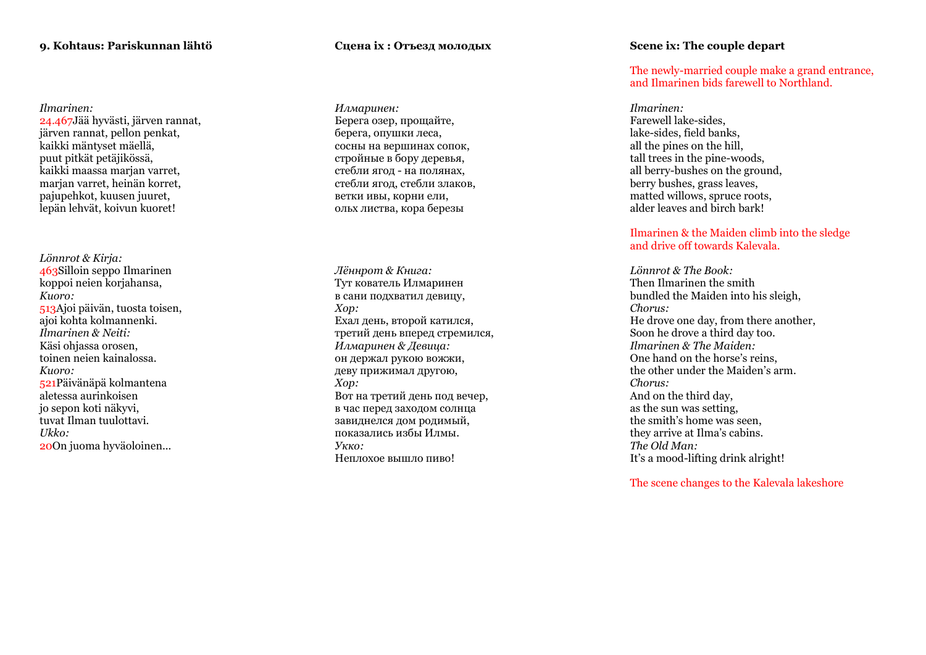## **9. Kohtaus: Pariskunnan lähtö**

*Ilmarinen:* järven rannat, pellon penkat, kaikki mäntyset mäellä, puut pitkät petäjikössä, kaikki maassa marjan varret, marjan varret, heinän korret, pajupehkot, kuusen juuret, lepän lehvät, koivun kuoret!

*Lönnrot & Kirja:* 463Silloin seppo Ilmarinen koppoi neien korjahansa, *Kuoro:* 513Ajoi päivän, tuosta toisen, ajoi kohta kolmannenki. *Ilmarinen & Neiti:* Käsi ohjassa orosen, toinen neien kainalossa. *Kuoro:* 521Päivänäpä kolmantena aletessa aurinkoisen jo sepon koti näkyvi, tuvat Ilman tuulottavi. *Ukko:* 20On juoma hyväoloinen...

## **Сцена ix : Отъезд молодых**

*Илмаринен :* Берега озер, прощайте, берега, опушки леса, сосны на вершинах сопок, стройные в бору деревья, стебли ягод - на полянах, стебли ягод, стебли злаков, ветки ивы, корни ели, ольх листва, кора березы

*Лённрот & Книга:* Тут кователь Илмаринен в сани подхватил девицу, *Хор :* Ехал день, второй катился, третий день вперед стремился, *Илмаринен & Девица :* он держал рукою вожжи, деву прижимал другою, *Хор :* Вот на третий день под вечер, в час перед заходом солнца завиднелся дом родимый, показались избы Илмы. *Укко :* Неплохое вышло пиво!

## **Scene ix: The couple depart**

The newly -married couple make a grand entrance, and Ilmarinen bids farewell to Northland.

*Ilmarinen:* Farewell lake -sides, lake -sides, field banks, all the pines on the hill, tall trees in the pine -woods, all berry -bushes on the ground, berry bushes, grass leaves, matted willows, spruce roots, alder leaves and birch bark!

Ilmarinen & the Maiden climb into the sledge and drive off towards Kalevala.

*Lönnrot & The Book:* Then Ilmarinen the smith bundled the Maiden into his sleigh, *Chorus:* He drove one day, from there another, Soon he drove a third day too. *Ilmarinen & The Maiden:* One hand on the horse's reins, the other under the Maiden's arm . *Chorus:* And on the third day, as the sun was setting, the smith's home was seen, they arrive at Ilma's cabins. *The Old Man:* It's a mood -lifting drink alright!

The scene changes to the Kalevala lakeshore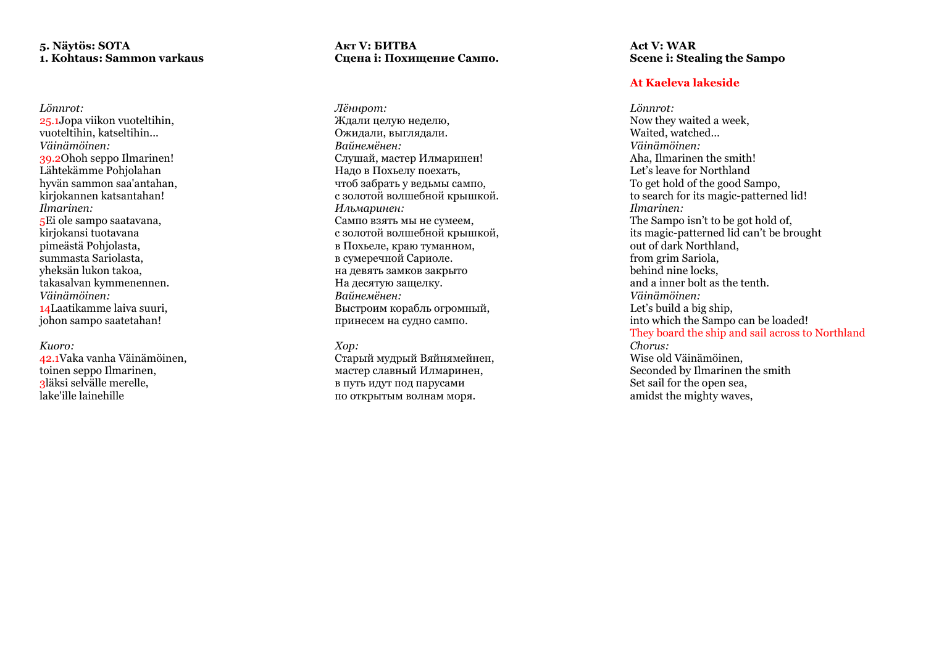## **5. Näytös: SOTA 1. Kohtaus: Sammon varkaus**

*Lönnrot:* 25.1Jopa viikon vuoteltihin, vuoteltihin, katseltihin... *Väinämöinen:* 39.2Ohoh seppo Ilmarinen! Lähtekämme Pohjolahan hyvän sammon saa'antahan, kirjokannen katsantahan! *Ilmarinen:* 5Ei ole sampo saatavana, kirjokansi tuotavana pimeästä Pohjolasta, summasta Sariolasta, yheksän lukon takoa, takasalvan kymmenennen. *Väinämöinen:* 14Laatikamme laiva suuri, johon sampo saatetahan !

#### *Kuoro:*

42.1Vaka vanha Väinämöinen, toinen seppo Ilmarinen, 3läksi selvälle merelle, lake'ille lainehille

## **Акт V: БИТВА Сцена i: Похищение Сампо.**

*Лённрот :* Ждали целую неделю, Ожидали, выглядали. *Вайнемёнен:* Слушай, мастер Илмаринен! Надо в Похьелу поехать, чтоб забрать у ведьмы сампо, с золотой волшебной крышкой. *Ильмаринен:* Сампо взять мы не сумеем, с золотой волшебной крышкой, в Похьеле, краю туманном, в сумеречной Сариоле. на девять замков закрыто На десятую защелку. *Вайнемёнен:* Выстроим корабль огромный, принесем на судно сампо.

## *Хор:*

Старый мудрый Вяйнямейнен, мастер славный Илмаринен, в путь идут под парусам и по открытым волнам моря.

**Act V: WAR Scene i: Stealing the Sampo**

## **At Kaeleva lakeside**

*Lönnrot:* Now they waited a week, Waited, watched… *Väinämöinen:* Aha, Ilmarinen the smith! Let's leave for Northland To get hold of the good Sampo, to search for its magic -patterned lid! *Ilmarinen:* The Sampo isn't to be got hold of, its magic -patterned lid can't be brought out of dark Northland, from grim Sariola, behind nine locks, and a inner bolt as the tenth. *Väinämöinen:* Let's build a big ship, into which the Sampo can be loaded ! They board the ship and sail across to Northland *Chorus:* Wise old Väinämöinen, Seconded by Ilmarinen the smith Set sail for the open sea, amidst the mighty waves,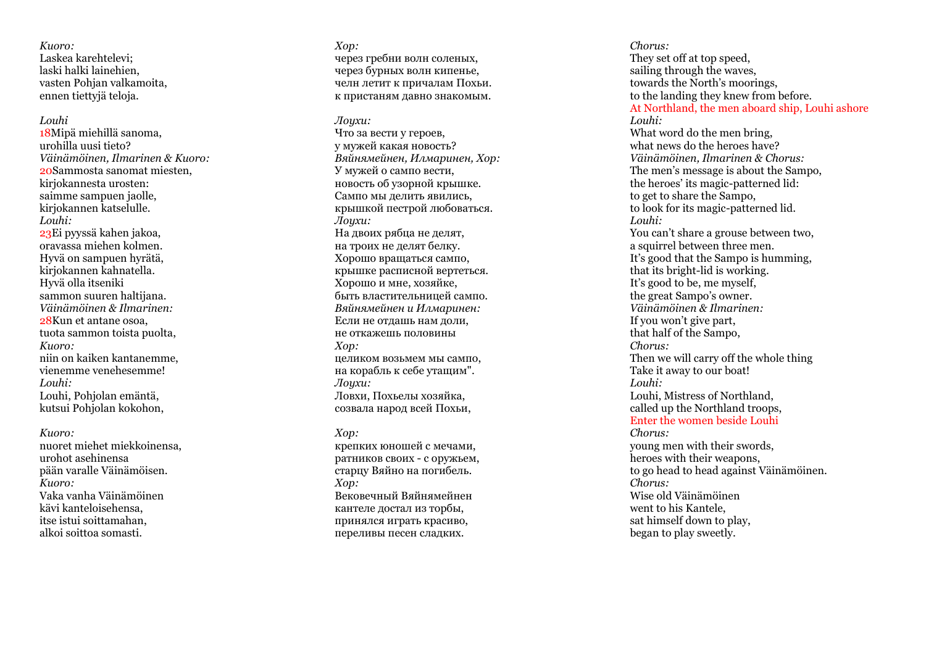*Kuoro:* Laskea karehtelevi; laski halki lainehien, vasten Pohjan valkamoita, ennen tiettyjä teloja.

#### *Louhi*

18Mipä miehillä sanoma, urohilla uusi tieto? *Väinämöinen, Ilmarinen & Kuoro:* 20Sammosta sanomat miesten, kirjokannesta urosten: saimme sampuen jaolle, kirjokannen katselulle. *Louhi:* 23Ei pyyssä kahen jakoa, oravassa miehen kolmen. Hyvä on sampuen hyrätä, kirjokannen kahnatella . Hyvä olla itseniki sammon suuren haltijana. *Väinämöinen & Ilmarinen:* 28Kun et antane osoa, tuota sammon toista puolta, *Kuoro:* niin on kaiken kantanemme, vienemme venehesemme! *Louhi :* Louhi, Pohjolan emäntä, kutsui Pohjolan kokohon,

*Kuoro:*

nuoret miehet miekkoinensa, urohot asehinensa pään varalle Väinämöisen. *Kuoro:* Vaka vanha Väinämöinen kävi kanteloisehensa, itse istui soittamahan, alkoi soittoa somasti.

*Хор:* через гребни волн соленых, через бурных волн кипенье, челн летит к причалам Похьи. к пристаням давно знакомым.

*Лоухи:* 

Что за вести у героев, у мужей какая новость? *Вяйнямейнен, Илмаринен, Хор:* У мужей о сампо вести, новость об узорной крышке. Cампо мы делить явились, крышкой пестрой любоваться . *Лоухи:* На двоих рябца не делят, на троих не делят белку. Хорошо вращаться сампо, крышке расписной вертеться. Хорошо и мне, хозяйке, быть властительницей сампо. *Вяйнямейнен и Илмаринен:* Если не отдашь нам доли, не откажешь половины *Хор:* целиком возьмем мы сампо, на корабль к себе утащим". *Лоухи:* Ловхи, Похьелы хозяйка, созвала народ всей Похьи,

#### *Хор:*

крепких юношей с мечами, ратников своих - с оружьем, старцу Вяйно на погибель. *Хор:* Вековечный Вяйнямейнен кантеле достал из торбы, принялся играть красиво, переливы песен сладких.

*Chorus:* They set off at top speed, sailing through the waves, towards the North's moorings, to the landing they knew from before. At Northland, the men aboard ship, Louhi ashore *Louhi:* What word do the men bring, what news do the heroes have? *Väinämöinen, Ilmarinen & Chorus:* The men's message is about the Sampo, the heroes' its magic -patterned lid: to get to share the Sampo, to look for its magic -patterned lid. *Louhi:* You can't share a grouse between two, a squirrel between three men. It's good that the Sampo is humming, that its bright -lid is working . It's good to be, me myself, the great Sampo's owner. *Väinämöinen & Ilmarinen:* If you won't give part, that half of the Sampo, *Chorus :* Then we will carry off the whole thing Take it away to our boat! *Louhi :* Louhi, Mistress of Northland, called up the Northland troops, Enter the women beside Louhi *Chorus:* young men with their swords, heroes with their weapons, to go head to head against Väinämöinen. *Chorus:* Wise old Väinämöinen went to his Kantele, sat himself down to play, began to play sweetly.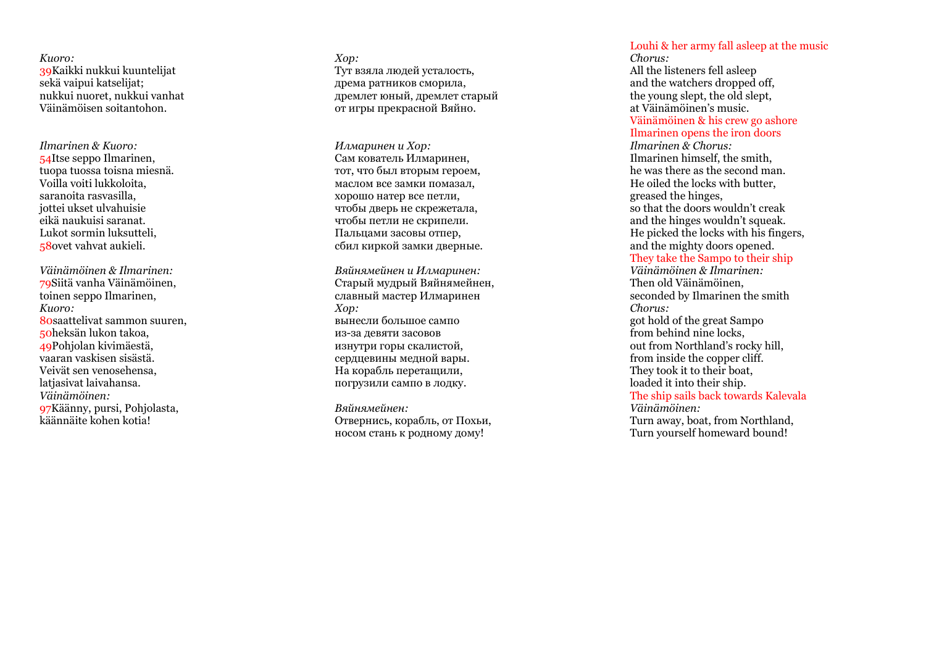*Kuoro:* 39Kaikki nukkui kuuntelijat sekä vaipui katselijat; nukkui nuoret, nukkui vanhat Väinämöisen soitantohon.

*Ilmarinen & Kuoro:* 54Itse seppo Ilmarinen, tuopa tuossa toisna miesnä. Voilla voiti lukkoloita, saranoita rasvasilla, eikä naukuisi saranat. Lukot sormin luksutteli, 58ovet vahvat aukieli.

*Väinämöinen & Ilmarinen:* 79Siitä vanha Väinämöinen, toinen seppo Ilmarinen, *Kuoro:* 80saattelivat sammon suuren, 50heksän lukon takoa, 49Pohjolan kivimäestä, vaaran vaskisen sisästä. Veivät sen venosehensa, latiasivat laivahansa. *Väinämöinen:* 97Käänny, pursi, Pohjolasta, käännäite kohen kotia!

*Хор:* Тут взяла людей усталость, дрема ратников сморила, дремлет юный, дремлет старый от игры прекрасной Вяйно.

*Илмаринен и Хор:* Сам кователь Илмаринен, тот, что был вторым героем, маслом все замки помазал, хорошо натер все петли, чтобы дверь не скрежетала, чтобы петли не скрипели. Пальцами засовы отпер, сбил киркой замки дверные.

*Вяйнямейнен и Илмаринен:* Старый мудрый Вяйнямейнен, славный мастер Илмаринен *Хор:* вынесли большое сампо из -за девяти засовов изнутри горы скалистой, сердцевины медной вары. На корабль перетащили, погрузили сампо в лодку.

*Вяйнямейнен:* Отвернись, корабль, от Похьи, носом стань к родному дому!

## Louhi & her army fall asleep at the music

*Chorus:* All the listeners fell asleep and the watchers dropped off, the young slept, the old slept, at Väinämöinen's music. Väinämöinen & his crew go ashore Ilmarinen opens the iron doors *Ilmarinen & Chorus:* Ilmarinen himself, the smith, he was there as the second man. He oiled the locks with butter, greased the hinges, so that the doors wouldn't creak and the hinges wouldn't squeak. He picked the locks with his fingers, and the mighty doors opened. They take the Sampo to their ship *Väinämöinen & Ilmarinen:* Then old Väinämöinen, seconded by Ilmarinen the smith *Chorus:* got hold of the great Sampo from behind nine locks, out from Northland's rocky hill, from inside the copper cliff. They took it to their boat, loaded it into their ship. The ship sails back towards Kalevala *Väinämöinen:* Turn away, boat, from Northland, Turn yourself homeward bound!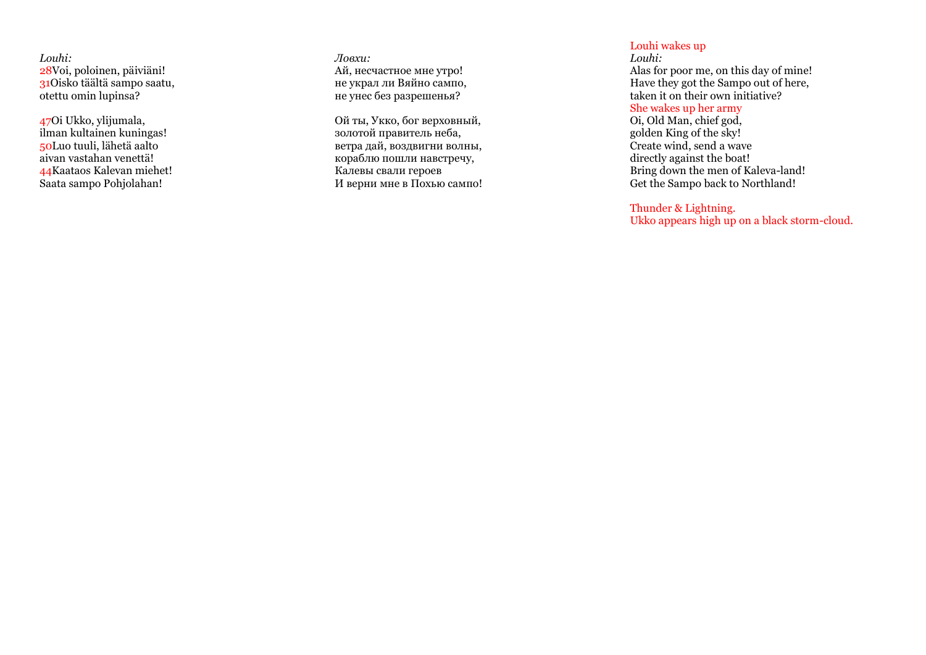*Louhi:* 28Voi, poloinen, päiviäni! 31Oisko täältä sampo saatu, otettu omin lupinsa?

47Oi Ukko, ylijumala, ilman kultainen kuningas! 50Luo tuuli, lähetä aalto aivan vastahan venettä! 44Kaataos Kalevan miehet! Saata sampo Pohjolahan!

*Ловхи:* Ай, несчастное мне утро! не украл ли Вяйно сампо, не унес без разрешенья?

Ой ты, Укко, бог верховный, золотой правитель неба, ветра дай, воздвигни волны, кораблю пошли навстречу, Калевы свали героев И верни мне в Похью сампо!

## Louhi wakes up

*Louhi:* Alas for poor me, on this day of mine! Have they got the Sampo out of here, taken it on their own initiative?

## She wakes up her army

Oi, Old Man, chief god, golden King of the sky! Create wind, send a wave directly against the boat! Bring down the men of Kaleva -land! Get the Sampo back to Northland!

## Thunder & Lightning.

Ukko appears high up on a black storm -cloud.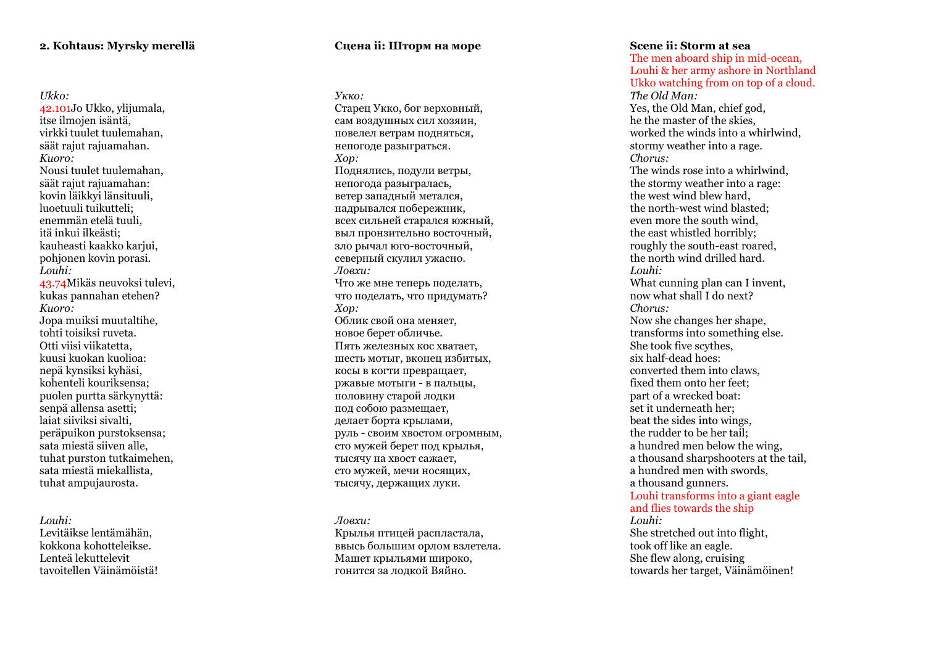## **2. Kohtaus: Myrsky merellä**

#### *Ukko:*

42.101Jo Ukko, ylijumala, itse ilmojen isäntä, virkki tuulet tuulemahan, säät rajut rajuamahan. *Kuoro:*  Nousi tuulet tuulemahan, säät rajut rajuamahan: kovin läikkyi länsituuli, luoetuuli tuikutteli; enemmän etelä tuuli, itä inkui ilkeästi; kauheasti kaakko karjui, pohjonen kovin porasi. *Louhi:* 43.74Mikäs neuvoksi tulevi, kukas pannahan etehen? *Kuoro:* Jopa muiksi muutaltihe, tohti toisiksi ruveta. Otti viisi viikatetta, kuusi kuokan kuolioa: nepä kynsiksi kyhäsi, kohenteli kouriksensa; puolen purtta särkynyttä: senpä allensa asetti; laiat siiviksi sivalti, peräpuikon purstoksensa; sata miestä siiven alle, tuhat purston tutkaimehen, sata miestä miekallista, tuhat ampujaurosta.

#### *Louhi:*

Levitäikse lentämähän, kokkona kohotteleikse. Lenteä lekuttelevit tavoitellen Väinämöistä!

## **Сцена ii: Шторм на море**

*Укко:* Старец Укко, бог верховный, сам воздушных сил хозяин, повелел ветрам подняться, непогоде разыграться. *Хор:* Поднялись, подули ветры, непогода разыгралась, ветер западный метался, надрывался побережник, всех сильней старался южный, выл пронзительно восточный, зло рычал юго -восточный, северный скулил ужасно. *Ловхи:* Что же мне теперь поделать, что поделать, что придумать? *Хор:* Облик свой она меняет, новое берет обличье. Пять железных кос хватает, шесть мотыг, вконец избитых, косы в когти превращает, ржавые мотыги - в пальцы, половину старой лодки под собою размещает, делает борта крылами, руль - своим хвостом огромным, сто мужей берет под крылья, тысячу на хвост сажает, сто мужей, мечи носящих, тысячу, держащих луки.

#### *Ловхи:*

Крылья птицей распластала, ввысь большим орлом взлетела. Машет крыльями широко, гонится за лодкой Вяйно.

## **Scene ii: Storm at sea**

The men aboard ship in mid -ocean, Louhi & her army ashore in Northland Ukko watching from on top of a cloud. *The Old Man:* Yes, the Old Man, chief god, he the master of the skies, worked the winds into a whirlwind, stormy weather into a rage. *Chorus:* The winds rose into a whirlwind, the stormy weather into a rage: the west wind blew hard, the north -west wind blasted; even more the south wind, the east whistled horribly; roughly the south -east roared, the north wind drilled hard. *Louhi:* What cunning plan can I invent, now what shall I do next? *Chorus:* Now she changes her shape, transforms into something else. She took five scythes, six half-dead hoes: converted them into claws, fixed them onto her feet; part of a wrecked boat: set it underneath her; beat the sides into wings, the rudder to be her tail; a hundred men below the wing, a thousand sharpshooters at the tail, a hundred men with swords, a thousand gunners. Louhi transforms into a giant eagle and flies towards the ship *Louhi:* She stretched out into flight, took off like an eagle. She flew along, cruising towards her target, Väinämöinen!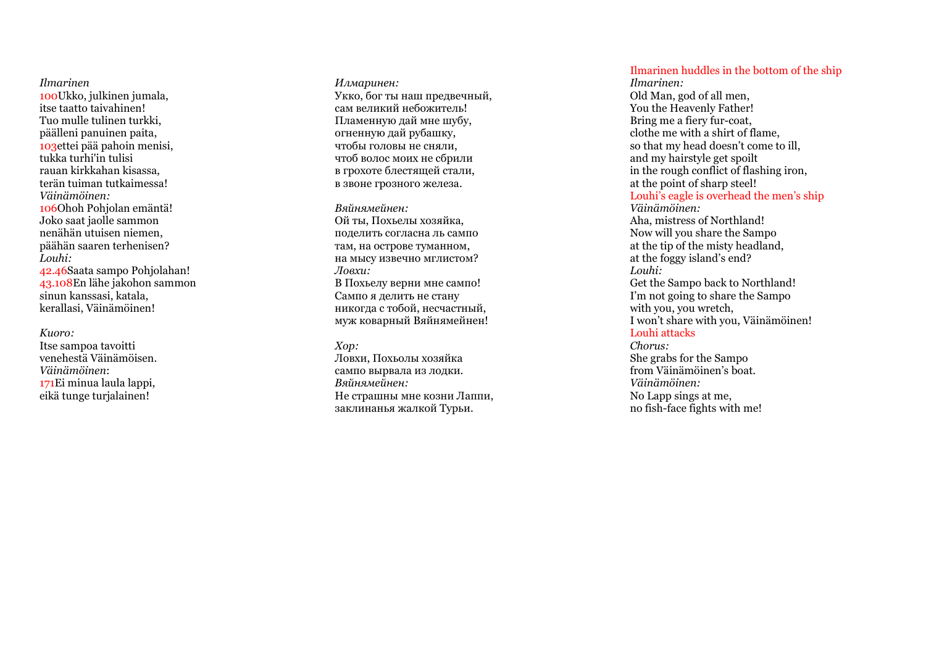*Ilmarinen*  100Ukko, julkinen jumala, itse taatto taivahinen! Tuo mulle tulinen turkki, päälleni panuinen paita, 103ettei pää pahoin menisi, tukka turhi'in tulisi rauan kirkkahan kisassa, terän tuiman tutkaimessa! *Väinämöinen:*  106Ohoh Pohjolan emäntä! Joko saat jaolle sammon nenähän utuisen niemen, päähän saaren terhenisen? *Louhi:* 42.46Saata sampo Pohjolahan! 43.108En lähe jakohon sammon sinun kanssasi, katala,

#### *Kuoro:*

Itse sampoa tavoitti venehestä Väinämöisen. *Väinämöinen* : 171Ei minua laula lappi, eikä tunge turjalainen!

kerallasi, Väinämöinen!

*Илмаринен:* Укко, бог ты наш предвечный, сам великий небожитель! Пламенную дай мне шубу, огненную дай рубашку, чтобы головы не сняли, чтоб волос моих не сбрили в грохоте блестящей стали, в звоне грозного железа.

*Вяйнямейнен:* Ой ты, Похьелы хозяйка, поделить согласна ль сампо там, на острове туманном, на мысу извечно мглистом? *Ловхи:* В Похьелу верни мне сампо! Сампо я делить не стану никогда с тобой, несчастный, муж коварный Вяйнямейнен!

#### *Хор:*

Ловхи, Похьолы хозяйка сампо вырвала из лодки. *Вяйнямейнен :* Не страшны мне козни Лаппи, заклинанья жалкой Турьи.

Ilmarinen huddles in the bottom of the ship

*Ilmarinen:* Old Man, god of all men, You the Heavenly Father! Bring me a fiery fur -coat, clothe me with a shirt of flame, so that my head doesn't come to ill, and my hairstyle get spoilt in the rough conflict of flashing iron, at the point of sharp steel! Louhi's eagle is overhead the men's ship *Väinämöinen:* Aha, mistress of Northland! Now will you share the Sampo at the tip of the misty headland, at the foggy island's end? *Louhi:* Get the Sampo back to Northland! I'm not going to share the Sampo with you, you wretch, I won't share with you, Väinämöinen! Louhi attacks *Chorus:* She grabs for the Sampo from Väinämöinen's boat. *Väinämöinen:*

No Lapp sings at me, no fish -face fights with me!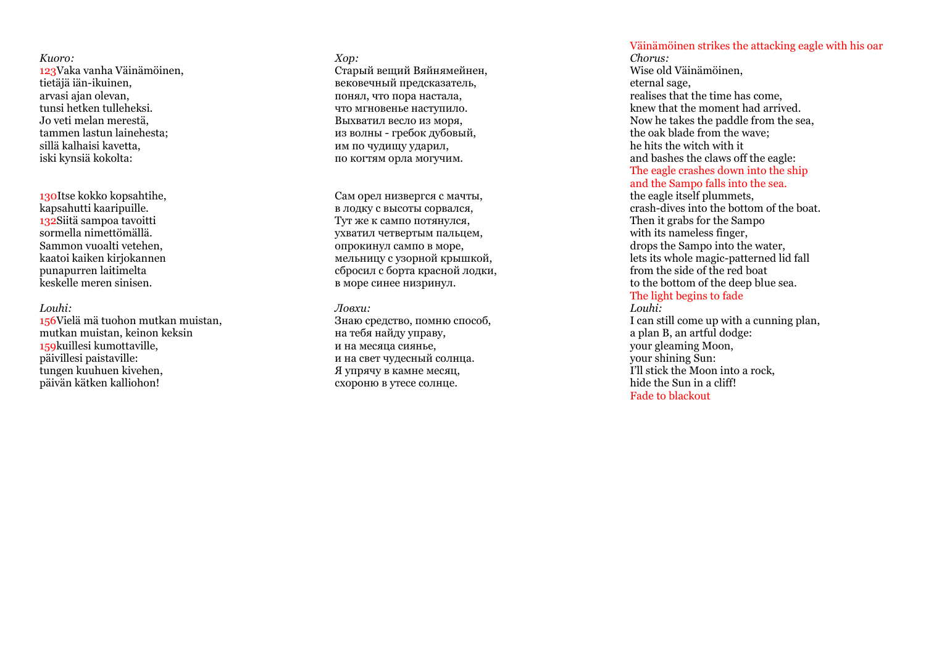## *Kuoro:*

123Vaka vanha Väinämöinen, tietäjä iän -ikuinen, arvasi ajan olevan, tunsi hetken tulleheksi. Jo veti melan merestä, tammen lastun lainehesta; sillä kalhaisi kavetta, iski kynsiä kokolta:

130Itse kokko kopsahtihe, kapsahutti kaaripuille. 132Siitä sampoa tavoitti sormella nimettömällä. Sammon vuoalti vetehen, kaatoi kaiken kirjokannen punapurren laitimelta keskelle meren sinisen.

## *Louhi:*

156Vielä mä tuohon mutkan muistan, mutkan muistan, keinon keksin 159kuillesi kumottaville, päivillesi paistaville: tungen kuuhuen kivehen, päivän kätken kalliohon!

#### *Хор :*

Старый вещий Вяйнямейнен, вековечный предсказатель, понял, что пора настала, что мгновенье наступило. Выхватил весло из моря, из волны - гребок дубовый, им по чудищу ударил, по когтям орла могучим.

Сам орел низвергся с мачты, в лодку с высоты сорвался, Тут же к сампо потянулся, ухватил четвертым пальцем, опрокинул сампо в море, мельницу с узорной крышкой, сбросил с борта красной лодки, в море синее низринул.

## *Ловхи:*

Знаю средство, помню способ, на тебя найду управу, и на месяца сиянье, и на свет чудесный солнца. Я упрячу в камне месяц, схороню в утесе солнце.

## Väinämöinen strikes the attacking eagle with his oar

*Chorus:* Wise old Väinämöinen, eternal sage, realises that the time has come, knew that the moment had arrived. Now he takes the paddle from the sea, the oak blade from the wave; he hits the witch with it and bashes the claws off the eagle: The eagle crashes down into the ship and the Sampo falls into the sea. the eagle itself plummets, crash -dives into the bottom of the boat. Then it grabs for the Sampo with its nameless finger. drops the Sampo into the water, lets its whole magic -patterned lid fall from the side of the red boat to the bottom of the deep blue sea. The light begins to fade

*Louhi:* I can still come up with a cunning plan, a plan B, an artful dodge: your gleaming Moon, your shining Sun: I'll stick the Moon into a rock, hide the Sun in a cliff! Fade to blackout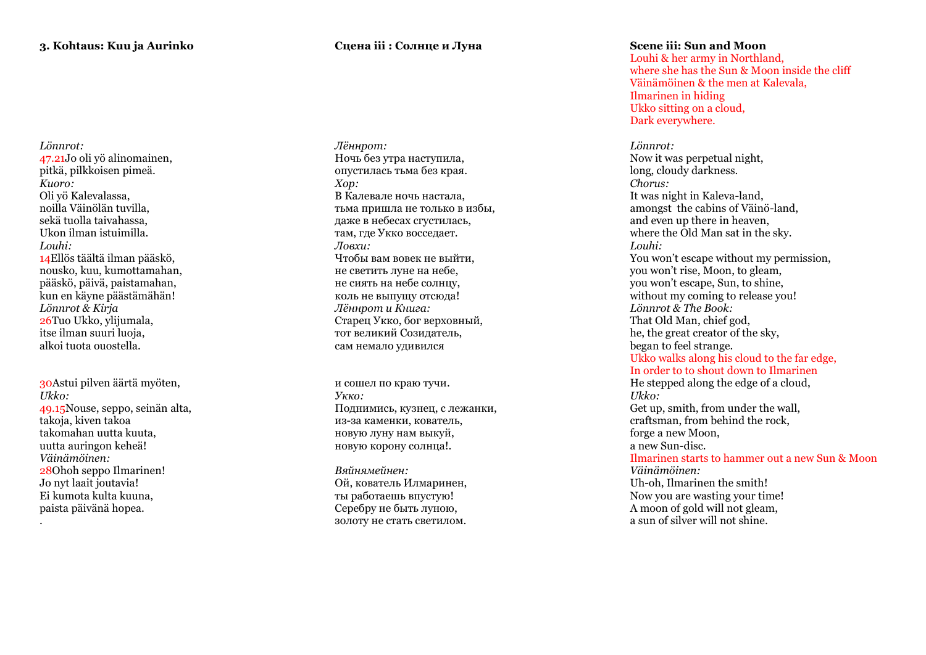## *Lönnrot:* 47.21Jo oli yö alinomainen, pitkä, pilkkoisen pimeä. *Kuoro:*  Oli yö Kalevalassa, noilla Väinölän tuvilla, sekä tuolla taivahassa, Ukon ilman istuimilla. *Louhi:* 14Ellös täältä ilman pääskö, nousko, kuu, kumottamahan, pääskö, päivä, paistamahan, kun en käyne päästämähän! *Lönnrot & Kirja* 26Tuo Ukko, ylijumala, itse ilman suuri luoja, alkoi tuota ouostella.

30Astui pilven äärtä myöten, *Ukko:* 49.15Nouse, seppo, seinän alta, takoja, kiven takoa takomahan uutta kuuta, uutta auringon keheä! *Väinämöinen:* 28Ohoh seppo Ilmarinen! Jo nyt laait joutavia! Ei kumota kulta kuuna, paista päivänä hopea.

.

## **Сцена iii : Солнце и Луна**

*Лённрот:* Ночь без утра наступила, опустилась тьма без края. *Хор:* В Калевале ночь настала, тьма пришла не только в избы, даже в небесах сгустилась, там, где Укко восседает. *Ловхи:* Чтобы вам вовек не выйти, не светить луне на небе, не сиять на небе солнцу, коль не выпущу отсюда! *Лённрот и Книга:* Старец Укко, бог верховный, тот великий Созидатель, сам немало удивился

и сошел по краю тучи. *Укко:* Поднимись, кузнец, с лежанки, из -за каменки, кователь, новую луну нам выкуй, новую корону солнца!.

*Вяйнямейнен:* Ой, кователь Илмаринен, ты работаешь впустую! Серебру не быть луною, золоту не стать светилом .

## **Scene iii: Sun and Moon**

Louhi & her army in Northland, where she has the Sun & Moon inside the cliff Väinämöinen & the men at Kalevala, Ilmarinen in hiding Ukko sitting on a cloud, Dark everywhere.

*Lönnrot:* Now it was perpetual night, long, cloudy darkness. *Chorus:* It was night in Kaleva -land, amongst the cabins of Väinö -land, and even up there in heaven, where the Old Man sat in the sky. *Louhi:* You won't escape without my permission, you won't rise, Moon, to gleam, you won't escape, Sun, to shine, without my coming to release you! *Lönnrot & The Book:* That Old Man, chief god, he, the great creator of the sky, began to feel strange. Ukko walks along his cloud to the far edge, In order to to shout down to Ilmarinen He stepped along the edge of a cloud, *Ukko:* Get up, smith, from under the wall, craftsman, from behind the rock, forge a new Moon, a new Sun -disc. Ilmarinen starts to hammer out a new Sun & Moon *Väinämöinen:* Uh -oh, Ilmarinen the smith! Now you are wasting your time! A moon of gold will not gleam, a sun of silver will not shine.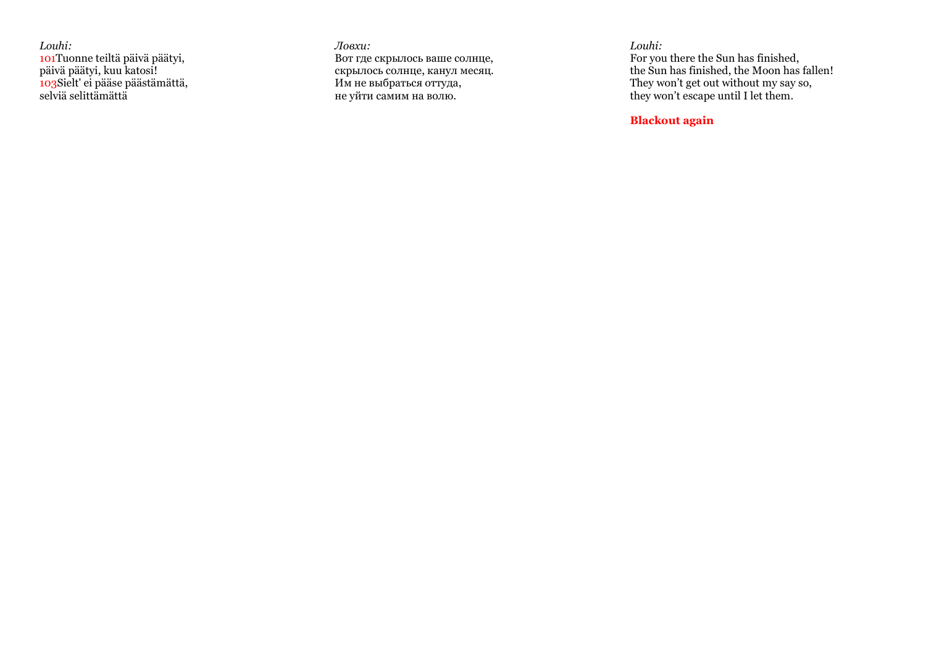*Louhi:* 101Tuonne teiltä päivä päätyi, päivä päätyi, kuu katosi! 103Sielt' ei pääse päästämättä, selviä selittämättä

*Ловхи:* Вот где скрылось ваше солнце, скрылось солнце, канул месяц. Им не выбраться оттуда, не уйти самим на волю.

*Louhi:*

For you there the Sun has finished, the Sun has finished, the Moon has fallen! They won't get out without my say so, they won't escape until I let them.

## **Blackout again**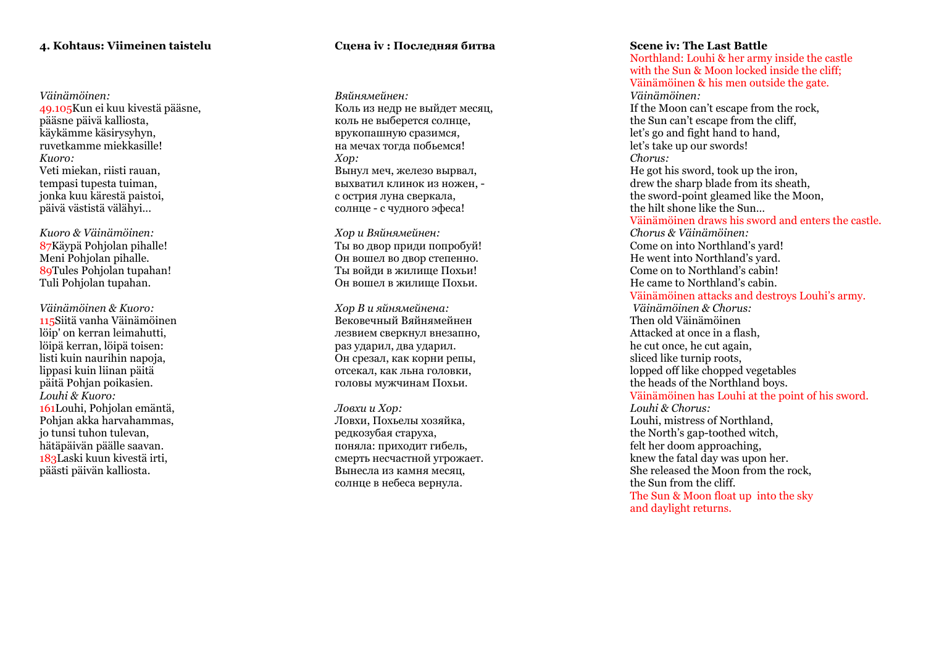## **4. Kohtaus: Viimeinen taistelu**

*Väinämöinen:* 49.105Kun ei kuu kivestä pääsne, pääsne päivä kalliosta, käykämme käsirysyhyn, ruvetkamme miekkasille! *Kuoro:*  Veti miekan, riisti rauan, tempasi tupesta tuiman, jonka kuu kärestä paistoi, päivä västistä välähyi...

*Kuoro & Väinämöinen:* 87Käypä Pohjolan pihalle! Meni Pohjolan pihalle. 89Tules Pohjolan tupahan! Tuli Pohjolan tupahan.

*Väinämöinen & Kuoro:* 115Siitä vanha Väinämöinen löip' on kerran leimahutti, löipä kerran, löipä toisen: listi kuin naurihin napoja, lippasi kuin liinan päitä päitä Pohjan poikasien. *Louhi & Kuoro:* 161Louhi, Pohjolan emäntä, Pohjan akka harvahammas, jo tunsi tuhon tulevan, hätäpäivän päälle saavan. 183Laski kuun kivestä irti, päästi päivän kalliosta.

## **Сцена iv : Последняя битва**

*Вяйнямейнен:* Коль из недр не выйдет месяц, коль не выберется солнце, врукопашную сразимся, на мечах тогда побьемся! *Хор:* Вынул меч, железо вырвал, выхватил клинок из ножен, с острия луна сверкала, солнце - с чудного эфеса!

*Хор и Вяйнямейнен:* Ты во двор приди попробуй! Он вошел во двор степенно. Ты войди в жилище Похьи! Он вошел в жилище Похьи.

*Хор В и яйнямейнена:* Вековечный Вяйнямейнен лезвием сверкнул внезапно, раз ударил, два ударил. Он срезал, как корни репы, отсекал, как льна головки, головы мужчинам Похьи.

*Ловхи и Хор:* Ловхи, Похьелы хозяйка, редкозубая старуха, поняла: приходит гибель, смерть несчастной угрожает. Вынесла из камня месяц, солнце в небеса вернула.

## **Scene iv: The Last Battle**

Northland: Louhi & her army inside the castle with the Sun & Moon locked inside the cliff: Väinämöinen & his men outside the gate. *Väinämöinen:* If the Moon can't escape from the rock, the Sun can't escape from the cliff, let's go and fight hand to hand, let's take up our swords! *Chorus:* He got his sword, took up the iron, drew the sharp blade from its sheath, the sword -point gleamed like the Moon, the hilt shone like the Sun… Väinämöinen draws his sword and enters the castle. *Chorus & Väinämöinen:* Come on into Northland's yard! He went into Northland's yard. Come on to Northland's cabin! He came to Northland's cabin. Väinämöinen attacks and destroys Louhi's army. *Väinämöinen & Chorus:* Then old Väinämöinen Attacked at once in a flash, he cut once, he cut again, sliced like turnip roots, lopped off like chopped vegetables the heads of the Northland boys. Väinämöinen has Louhi at the point of his sword. *Louhi & Chorus:* Louhi, mistress of Northland, the North's gap -toothed witch, felt her doom approaching, knew the fatal day was upon her. She released the Moon from the rock, the Sun from the cliff. The Sun & Moon float up into the sky and daylight returns.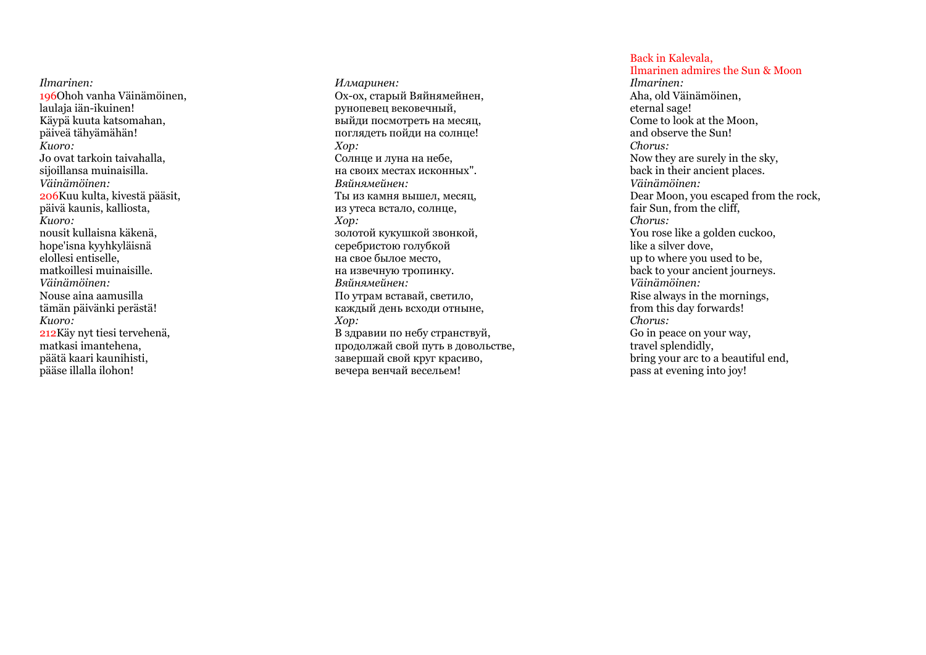*Ilmarinen:* 196Ohoh vanha Väinämöinen, laulaja iän -ikuinen! Käypä kuuta katsomahan, päiveä tähyämähän! *Kuoro:* Jo ovat tarkoin taivahalla, sijoillansa muinaisilla. *Väinämöinen:* 206Kuu kulta, kivestä pääsit, päivä kaunis, kalliosta , *Kuoro:* nousit kullaisna käkenä, hope'isna kyyhkyläisnä elollesi entiselle, matkoillesi muinaisille. *Väinämöinen:* Nouse aina aamusilla tämän päivänki perästä! *Kuoro:*  212Käy nyt tiesi tervehenä, matkasi imantehena, päätä kaari kaunihisti, pääse illalla ilohon!

*Илмаринен:* Ох -ох, старый Вяйнямейнен, рунопевец вековечный, выйди посмотреть на месяц, поглядеть пойди на солнце! *Хор:* Солнце и луна на небе, на своих местах исконных". *Вяйнямейнен:* Ты из камня вышел, месяц, из утеса встало, солнце, *Хор:* золотой кукушкой звонкой, серебристою голубкой на свое былое место, на извечную тропинку. *Вяйнямейнен:* По утрам вставай, светило, каждый день всходи отныне, *Хор:* В здравии по небу странствуй, продолжай свой путь в довольстве, завершай свой круг красиво, вечера венчай весельем!

## Back in Kalevala,

Ilmarinen admires the Sun & Moon *Ilmarinen:*  Aha, old Väinämöinen, eternal sage! Come to look at the Moon, and observe the Sun! *Chorus:* Now they are surely in the sky, back in their ancient places . *Väinämöinen:* Dear Moon, you escaped from the rock, fair Sun, from the cliff, *Chorus:* You rose like a golden cuckoo, like a silver dove, up to where you used to be, back to your ancient journeys. *Väinämöinen:* Rise always in the mornings, from this day forwards! *Chorus:* Go in peace on your way, travel splendidly, bring your arc to a beautiful end, pass at evening into joy!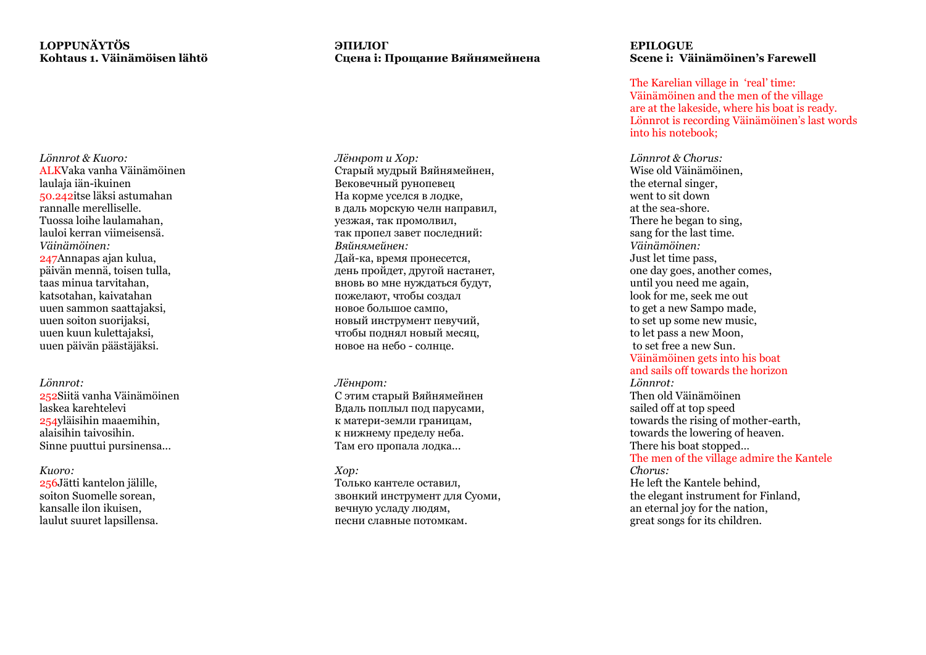## **LOPPUNÄYTÖS Kohtaus 1. Väinämöisen lähtö**

*Lönnrot & Kuoro:* ALKVaka vanha Väinämöinen laulaja iän -ikuinen 50.242 itse läksi astumahan rannalle merelliselle. Tuossa loihe laulamahan, lauloi kerran viimeisensä. *Väinämöinen:* 247Annapas ajan kulua, päivän mennä, toisen tulla, taas minua tarvitahan, katsotahan, kaivatahan uuen sammon saattajaksi, uuen soiton suorijaksi, uuen kuun kulettajaksi, uuen päivän päästäjäksi.

*Lönnrot :* 252Siitä vanha Väinämöinen laskea karehtelevi 254yläisihin maaemihin, alaisihin taivosihin. Sinne puuttui pursinensa...

*Kuoro:*  256Jätti kantelon jälille, soiton Suomelle sorean, kansalle ilon ikuisen, laulut suuret lapsillensa.

## **ЭПИЛОГ Сцена i: Прощание Вяйнямейнена**

*Лённрот и Хор:* Старый мудрый Вяйнямейнен, Вековечный рунопевец На корме уселся в лодке, в даль морскую челн направил, уезжая, так промолвил, так пропел завет последний: *Вяйнямейнен:* Дай -ка, время пронесется, день пройдет, другой настанет, вновь во мне нуждаться будут, пожелают, чтобы создал новое большое сампо, новый инструмент певучий, чтобы поднял новый месяц, новое на небо - солнце.

#### *Лённрот:*

С этим старый Вяйнямейнен Вдаль поплыл под парусами, к матери -земли границам, к нижнему пределу неба. Там его пропала лодка...

## *Хор:*

Только кантеле оставил, звонкий инструмент для Суоми, вечную усладу людям, песни славные потомкам.

## **EPILOGUE Scene i: Väinämöinen's Farewell**

The Karelian village in 'real' time: Väinämöinen and the men of the village are at the lakeside, where his boat is ready. Lönnrot is recording Väinämöinen's last words into his notebook ;

*Lönnrot & Chorus:* Wise old Väinämöinen, the eternal singer, went to sit down at the sea -shore. There he began to sing, sang for the last time. *Väinämöinen:* Just let time pass, one day goes, another comes , until you need me again, look for me, seek me out to get a new Sampo made, to set up some new music, to let pass a new Moon, to set free a new Sun. Väinämöinen gets into his boat and sails off towards the horizon *Lönnrot:* Then old Väinämöinen sailed off at top speed towards the rising of mother -earth, towards the lowering of heaven. There his boat stopped… The men of the village admire the Kantele *Chorus:* He left the Kantele behind, the elegant instrument for Finland, an eternal joy for the nation, great songs for its children.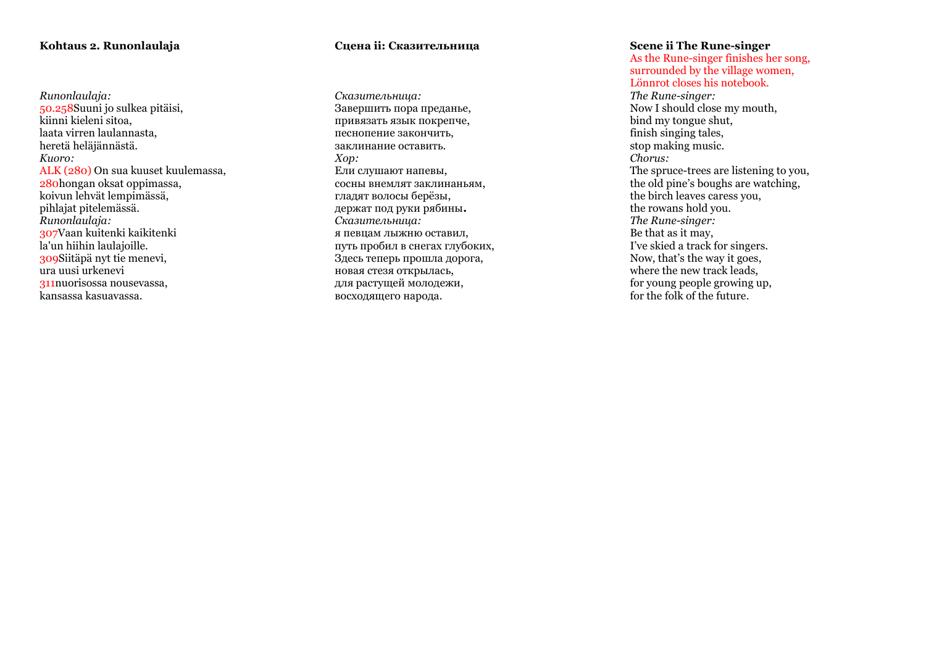## **Kohtaus 2. Runonlaulaja**

*Runonlaulaja:* 50.258Suuni jo sulkea pitäisi, kiinni kieleni sitoa, laata virren laulannasta, heretä heläjännästä. *Kuoro:* ALK (280) On sua kuuset kuulemassa, 280hongan oksat oppimassa, koivun lehvät lempimässä, pihlajat pitelemässä. *Runonlaulaja :* 307Vaan kuitenki kaikitenki la'un hiihin laulajoille. 309Siitäpä nyt tie menevi, ura uusi urkenevi 311nuorisossa nousevassa, kansassa kasuavassa.

## **Сцена ii: Сказительница**

*Сказительница:* Завершить пора преданье, привязать язык покрепче, песнопение закончить, заклинание оставить. *Хор:* Ели слушают напевы, сосны внемлят заклинаньям, гладят волосы берёзы, держат под руки рябины **.** *Сказительница:* я певцам лыжню оставил, путь пробил в снегах глубоких, Здесь теперь прошла дорога, новая стезя открылась, для растущей молодежи, восходящего народа.

## **Scene ii The Rune -singer**

As the Rune -singer finishes her song, surrounded by the village women, Lönnrot closes his notebook.

*The Rune -singer:* Now I should close my mouth, bind my tongue shut, finish singing tales, stop making music. *Chorus:* The spruce -trees are listening to you, the old pine's boughs are watching, the birch leaves caress you, the rowans hold you. *The Rune -singer:* Be that as it may, I've skied a track for singers. Now, that's the way it goes, where the new track leads, for young people growing up, for the folk of the future .